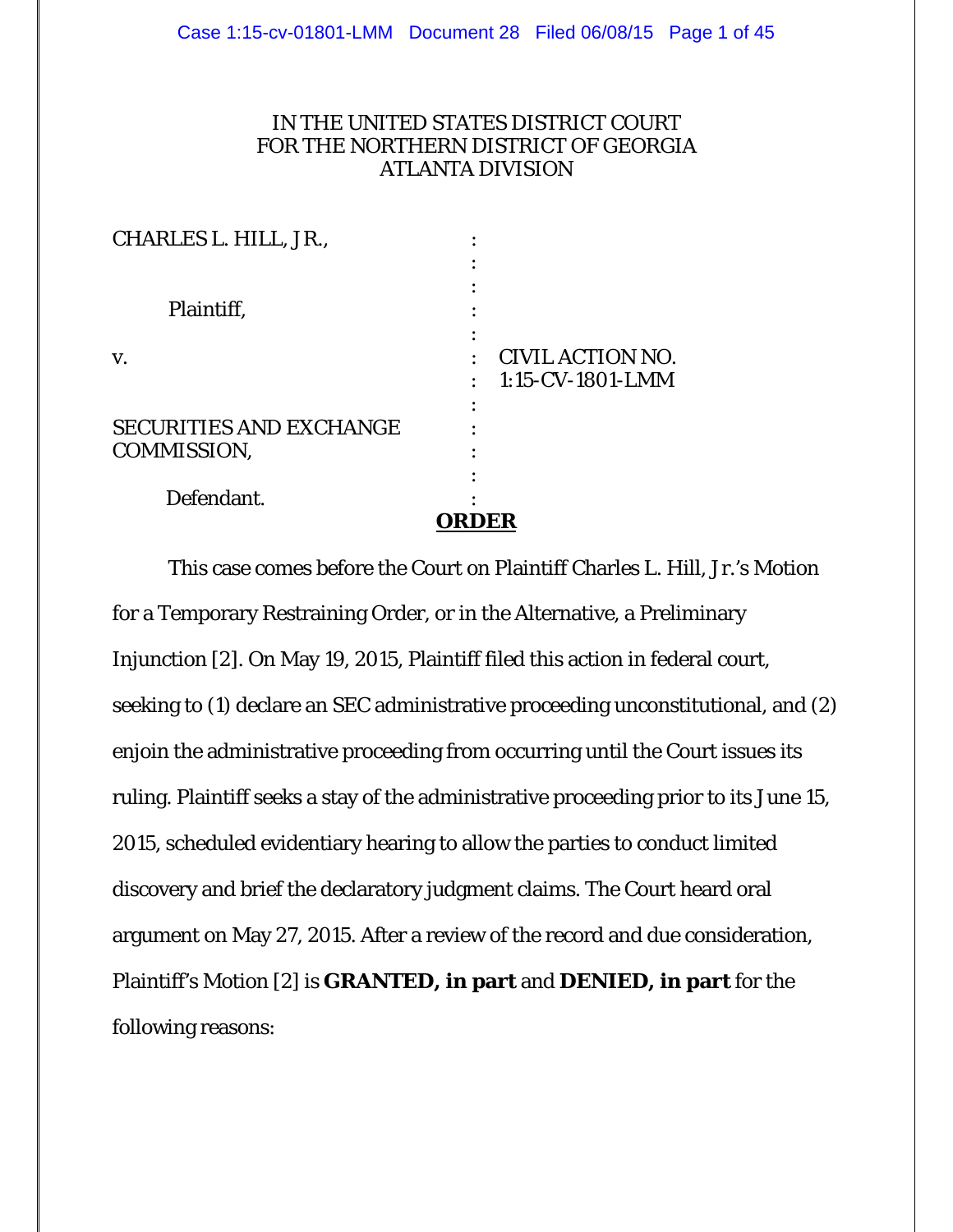## IN THE UNITED STATES DISTRICT COURT FOR THE NORTHERN DISTRICT OF GEORGIA ATLANTA DIVISION

|                                | <b>RDER</b>             |
|--------------------------------|-------------------------|
| Defendant.                     |                         |
|                                |                         |
| COMMISSION,                    |                         |
| <b>SECURITIES AND EXCHANGE</b> |                         |
|                                |                         |
|                                | 1:15-CV-1801-LMM        |
| V.                             | <b>CIVIL ACTION NO.</b> |
|                                |                         |
| Plaintiff,                     |                         |
|                                |                         |
|                                |                         |
| CHARLES L. HILL, JR.,          |                         |
|                                |                         |

 This case comes before the Court on Plaintiff Charles L. Hill, Jr.'s Motion for a Temporary Restraining Order, or in the Alternative, a Preliminary Injunction [2]. On May 19, 2015, Plaintiff filed this action in federal court, seeking to (1) declare an SEC administrative proceeding unconstitutional, and (2) enjoin the administrative proceeding from occurring until the Court issues its ruling. Plaintiff seeks a stay of the administrative proceeding prior to its June 15, 2015, scheduled evidentiary hearing to allow the parties to conduct limited discovery and brief the declaratory judgment claims. The Court heard oral argument on May 27, 2015. After a review of the record and due consideration, Plaintiff's Motion [2] is **GRANTED, in part** and **DENIED, in part** for the following reasons: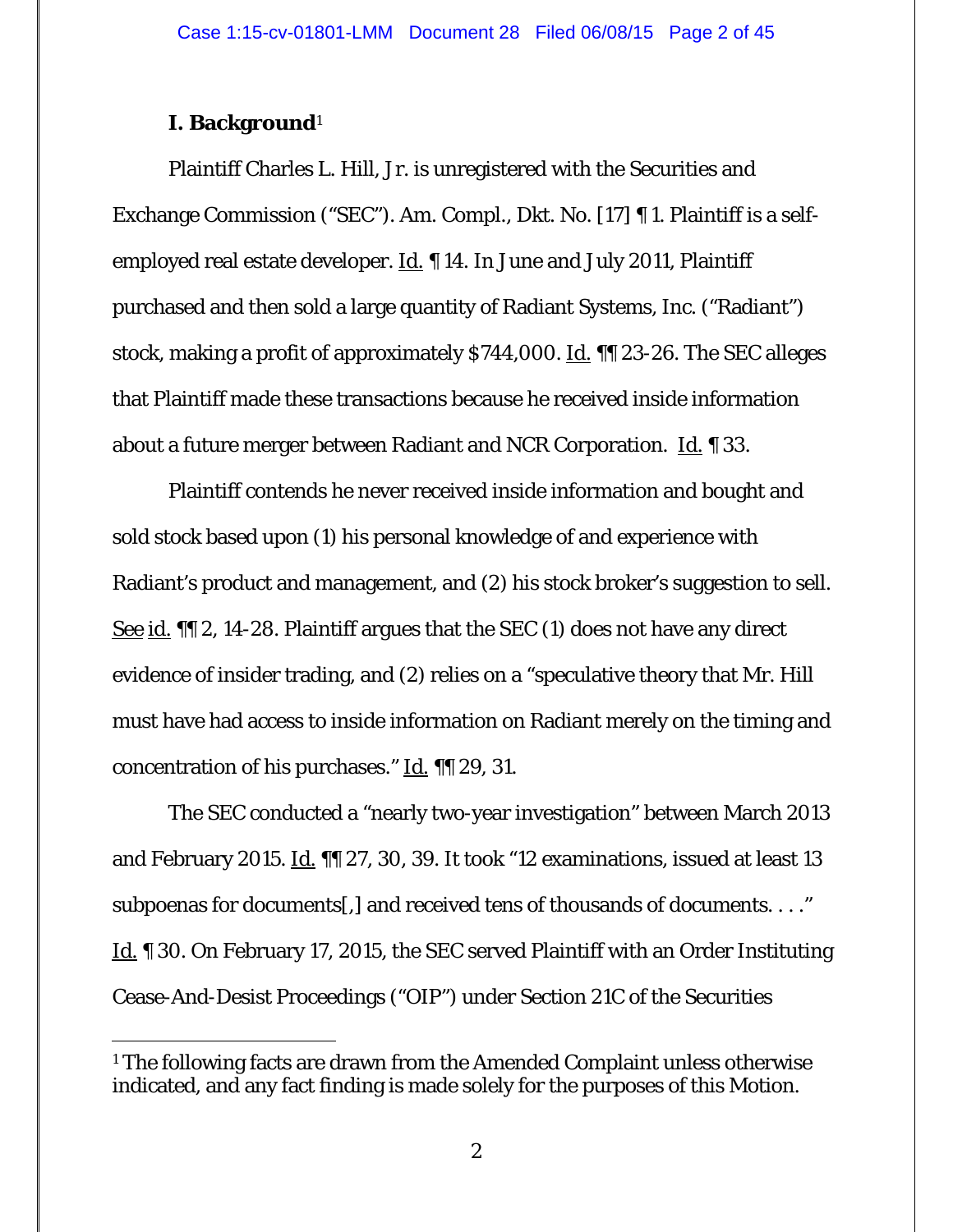## **I. Background**1

-

Plaintiff Charles L. Hill, Jr. is unregistered with the Securities and Exchange Commission ("SEC"). Am. Compl., Dkt. No. [17] ¶ 1. Plaintiff is a selfemployed real estate developer.  $\underline{Id}$ .  $\P$  14. In June and July 2011, Plaintiff purchased and then sold a large quantity of Radiant Systems, Inc. ("Radiant") stock, making a profit of approximately \$744,000. Id. ¶¶ 23-26. The SEC alleges that Plaintiff made these transactions because he received inside information about a future merger between Radiant and NCR Corporation. Id. ¶ 33.

Plaintiff contends he never received inside information and bought and sold stock based upon (1) his personal knowledge of and experience with Radiant's product and management, and (2) his stock broker's suggestion to sell. See id. ¶¶ 2, 14-28. Plaintiff argues that the SEC (1) does not have any direct evidence of insider trading, and (2) relies on a "speculative theory that Mr. Hill must have had access to inside information on Radiant merely on the timing and concentration of his purchases." Id. ¶¶ 29, 31.

 The SEC conducted a "nearly two-year investigation" between March 2013 and February 2015. Id. II 27, 30, 39. It took "12 examinations, issued at least 13 subpoenas for documents[,] and received tens of thousands of documents. . . ." Id. ¶ 30. On February 17, 2015, the SEC served Plaintiff with an Order Instituting Cease-And-Desist Proceedings ("OIP") under Section 21C of the Securities

<sup>&</sup>lt;sup>1</sup> The following facts are drawn from the Amended Complaint unless otherwise indicated, and any fact finding is made solely for the purposes of this Motion.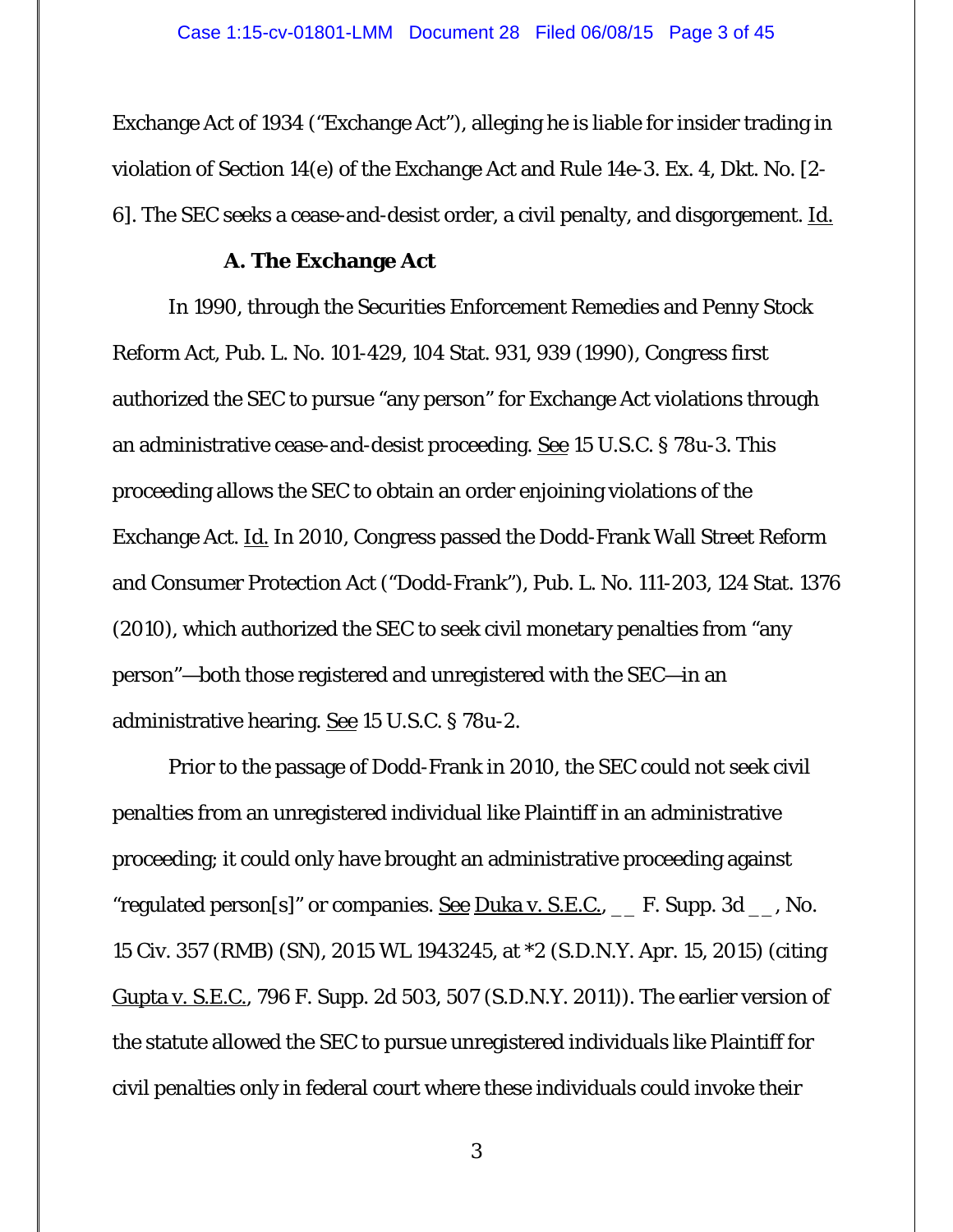Exchange Act of 1934 ("Exchange Act"), alleging he is liable for insider trading in violation of Section 14(e) of the Exchange Act and Rule 14e-3. Ex. 4, Dkt. No. [2- 6]. The SEC seeks a cease-and-desist order, a civil penalty, and disgorgement. Id.

#### **A. The Exchange Act**

 In 1990, through the Securities Enforcement Remedies and Penny Stock Reform Act, Pub. L. No. 101-429, 104 Stat. 931, 939 (1990), Congress first authorized the SEC to pursue "any person" for Exchange Act violations through an administrative cease-and-desist proceeding. See 15 U.S.C. § 78u-3. This proceeding allows the SEC to obtain an order enjoining violations of the Exchange Act. Id. In 2010, Congress passed the Dodd-Frank Wall Street Reform and Consumer Protection Act ("Dodd-Frank"), Pub. L. No. 111-203, 124 Stat. 1376 (2010), which authorized the SEC to seek civil monetary penalties from "any person"—both those registered and unregistered with the SEC—in an administrative hearing. See 15 U.S.C. § 78u-2.

Prior to the passage of Dodd-Frank in 2010, the SEC could not seek civil penalties from an unregistered individual like Plaintiff in an administrative proceeding; it could only have brought an administrative proceeding against "regulated person[s]" or companies. <u>See Duka v. S.E.C., \_</u> F. Supp. 3d \_\_, No. 15 Civ. 357 (RMB) (SN), 2015 WL 1943245, at \*2 (S.D.N.Y. Apr. 15, 2015) (citing Gupta v. S.E.C., 796 F. Supp. 2d 503, 507 (S.D.N.Y. 2011)). The earlier version of the statute allowed the SEC to pursue unregistered individuals like Plaintiff for civil penalties only in federal court where these individuals could invoke their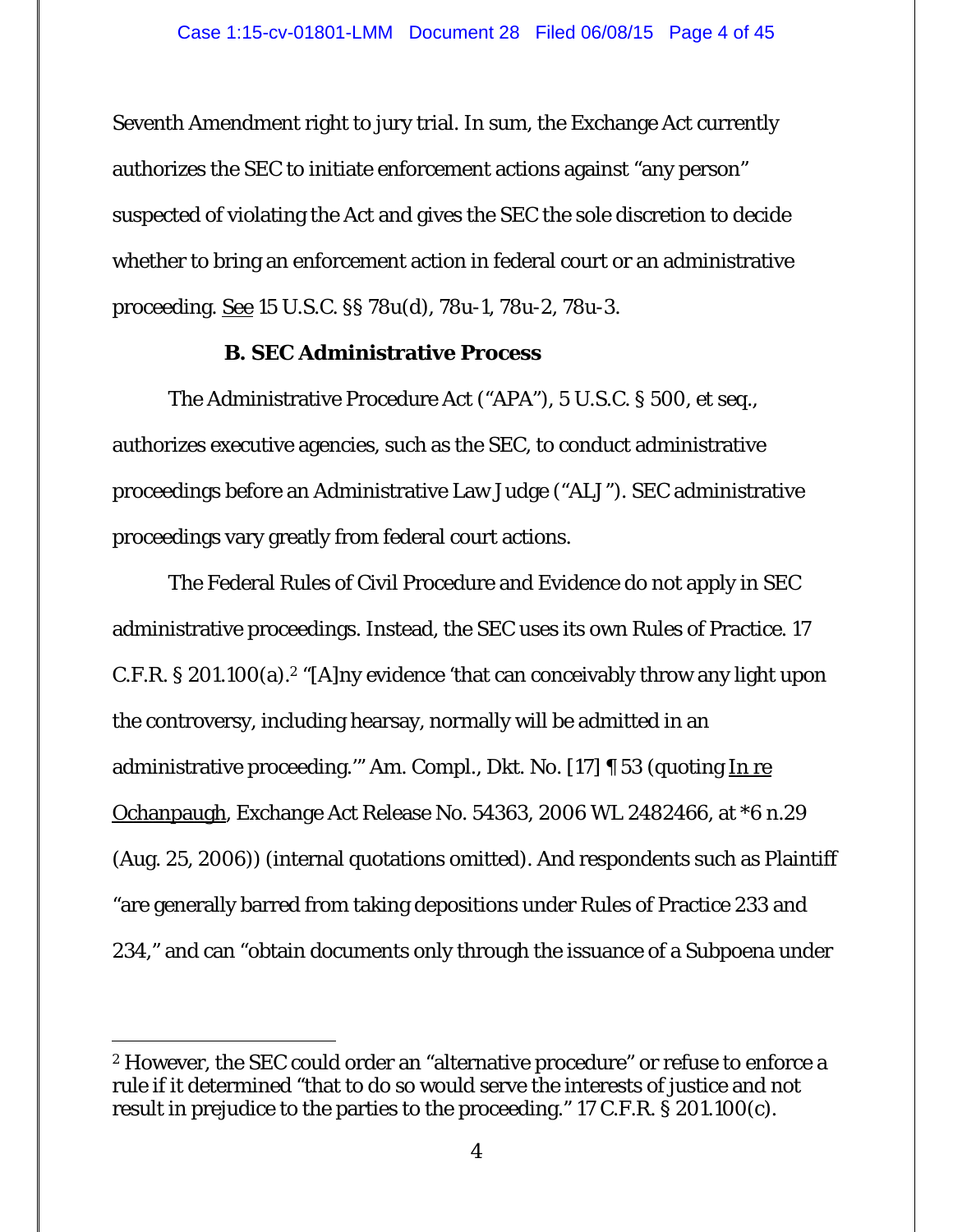Seventh Amendment right to jury trial. In sum, the Exchange Act currently authorizes the SEC to initiate enforcement actions against "any person" suspected of violating the Act and gives the SEC the sole discretion to decide whether to bring an enforcement action in federal court or an administrative proceeding. See 15 U.S.C. §§ 78u(d), 78u-1, 78u-2, 78u-3.

## **B. SEC Administrative Process**

 The Administrative Procedure Act ("APA"), 5 U.S.C. § 500, *et seq.*, authorizes executive agencies, such as the SEC, to conduct administrative proceedings before an Administrative Law Judge ("ALJ"). SEC administrative proceedings vary greatly from federal court actions.

The Federal Rules of Civil Procedure and Evidence do not apply in SEC administrative proceedings. Instead, the SEC uses its own Rules of Practice. 17 C.F.R. § 201.100(a).<sup>2</sup> "[A]ny evidence 'that can conceivably throw any light upon the controversy, including hearsay, normally will be admitted in an administrative proceeding." Am. Compl., Dkt. No. [17] [ 53 (quoting In re Ochanpaugh, Exchange Act Release No. 54363, 2006 WL 2482466, at \*6 n.29 (Aug. 25, 2006)) (internal quotations omitted). And respondents such as Plaintiff "are generally barred from taking depositions under Rules of Practice 233 and 234," and can "obtain documents only through the issuance of a Subpoena under

-

<sup>2</sup> However, the SEC could order an "alternative procedure" or refuse to enforce a rule if it determined "that to do so would serve the interests of justice and not result in prejudice to the parties to the proceeding." 17 C.F.R. § 201.100(c).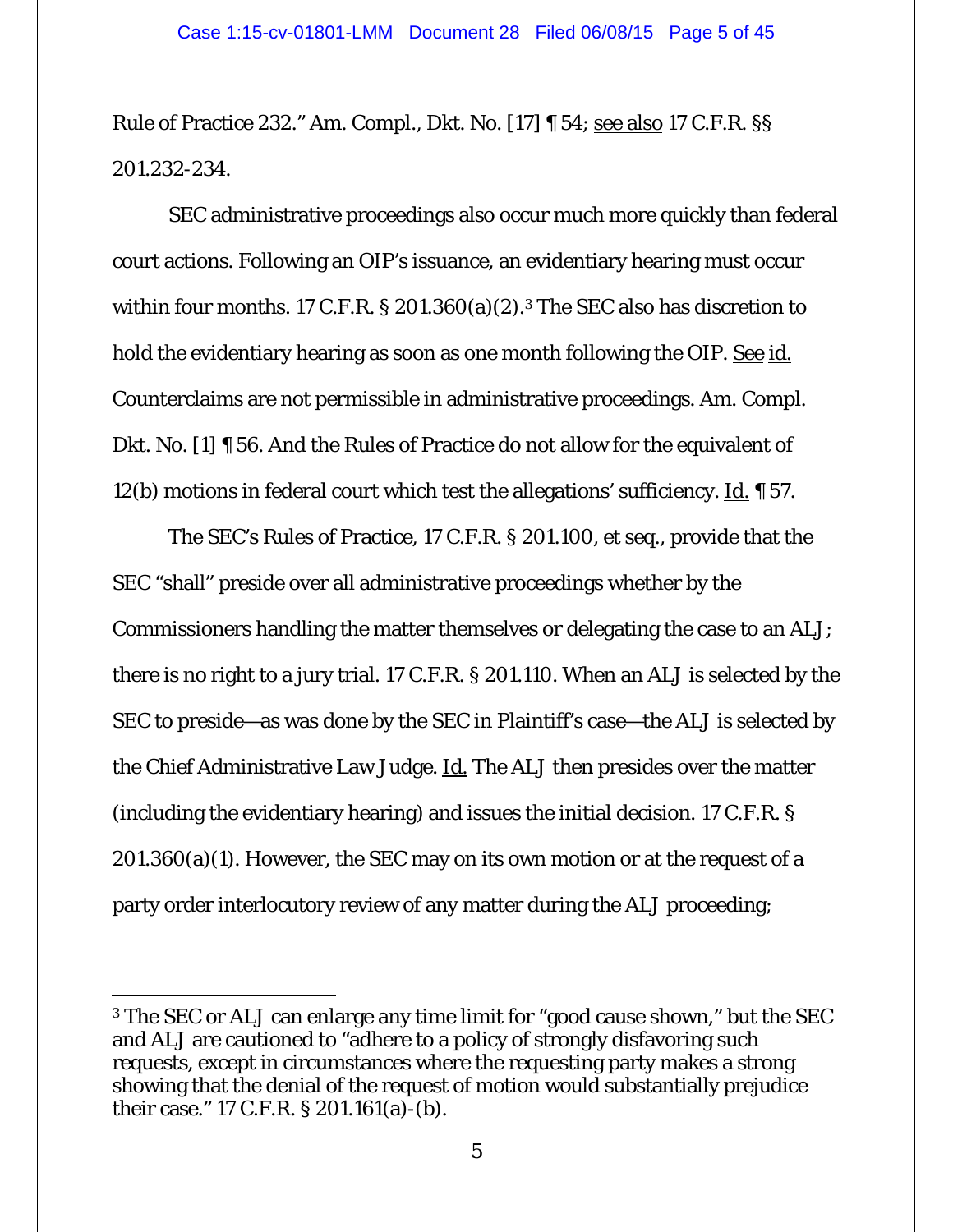Rule of Practice 232." Am. Compl., Dkt. No. [17] ¶ 54; see also 17 C.F.R. §§ 201.232-234.

 SEC administrative proceedings also occur much more quickly than federal court actions. Following an OIP's issuance, an evidentiary hearing must occur within four months. 17 C.F.R. § 201.360(a)(2).<sup>3</sup> The SEC also has discretion to hold the evidentiary hearing as soon as one month following the OIP. See id. Counterclaims are not permissible in administrative proceedings. Am. Compl. Dkt. No. [1] ¶ 56. And the Rules of Practice do not allow for the equivalent of 12(b) motions in federal court which test the allegations' sufficiency. Id.  $\sim$  57.

The SEC's Rules of Practice, 17 C.F.R. § 201.100, *et seq.*, provide that the SEC "shall" preside over all administrative proceedings whether by the Commissioners handling the matter themselves or delegating the case to an ALJ; there is no right to a jury trial. 17 C.F.R. § 201.110. When an ALJ is selected by the SEC to preside—as was done by the SEC in Plaintiff's case—the ALJ is selected by the Chief Administrative Law Judge. **Id.** The ALJ then presides over the matter (including the evidentiary hearing) and issues the initial decision. 17 C.F.R. §  $201.360(a)(1)$ . However, the SEC may on its own motion or at the request of a party order interlocutory review of any matter during the ALJ proceeding;

-

<sup>3</sup> The SEC or ALJ can enlarge any time limit for "good cause shown," but the SEC and ALJ are cautioned to "adhere to a policy of strongly disfavoring such requests, except in circumstances where the requesting party makes a strong showing that the denial of the request of motion would substantially prejudice their case." 17 C.F.R. § 201.161(a)-(b).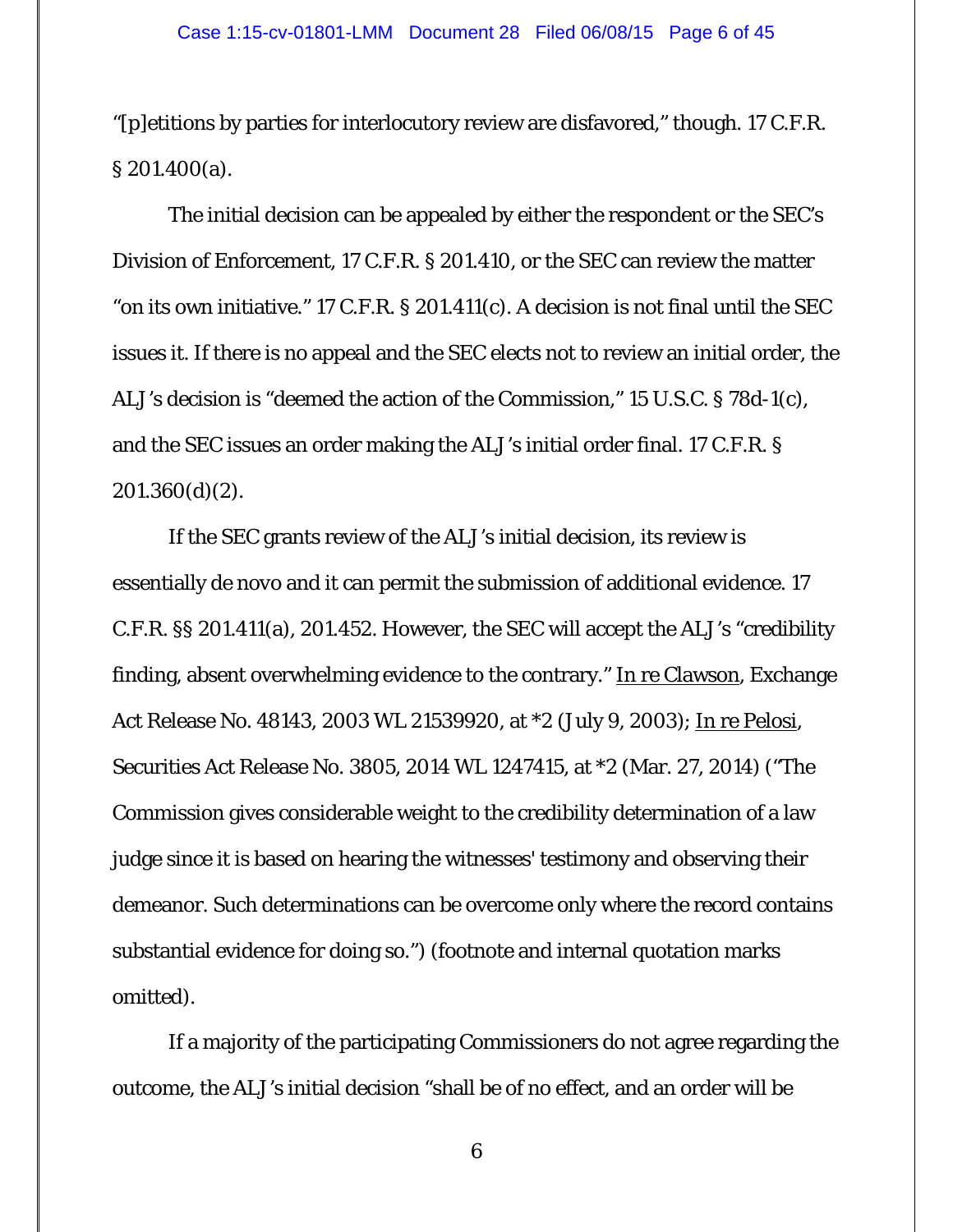"[p]etitions by parties for interlocutory review are disfavored," though. 17 C.F.R. § 201.400(a).

The initial decision can be appealed by either the respondent or the SEC's Division of Enforcement, 17 C.F.R. § 201.410, or the SEC can review the matter "on its own initiative." 17 C.F.R. § 201.411(c). A decision is not final until the SEC issues it. If there is no appeal and the SEC elects not to review an initial order, the ALJ's decision is "deemed the action of the Commission," 15 U.S.C. § 78d-1(c), and the SEC issues an order making the ALJ's initial order final. 17 C.F.R. §  $201.360(d)(2)$ .

If the SEC grants review of the ALJ's initial decision, its review is essentially *de novo* and it can permit the submission of additional evidence. 17 C.F.R. §§ 201.411(a), 201.452. However, the SEC will accept the ALJ's "credibility finding, absent overwhelming evidence to the contrary." In re Clawson, Exchange Act Release No. 48143, 2003 WL 21539920, at \*2 (July 9, 2003); In re Pelosi, Securities Act Release No. 3805, 2014 WL 1247415, at \*2 (Mar. 27, 2014) ("The Commission gives considerable weight to the credibility determination of a law judge since it is based on hearing the witnesses' testimony and observing their demeanor. Such determinations can be overcome only where the record contains substantial evidence for doing so.") (footnote and internal quotation marks omitted).

If a majority of the participating Commissioners do not agree regarding the outcome, the ALJ's initial decision "shall be of no effect, and an order will be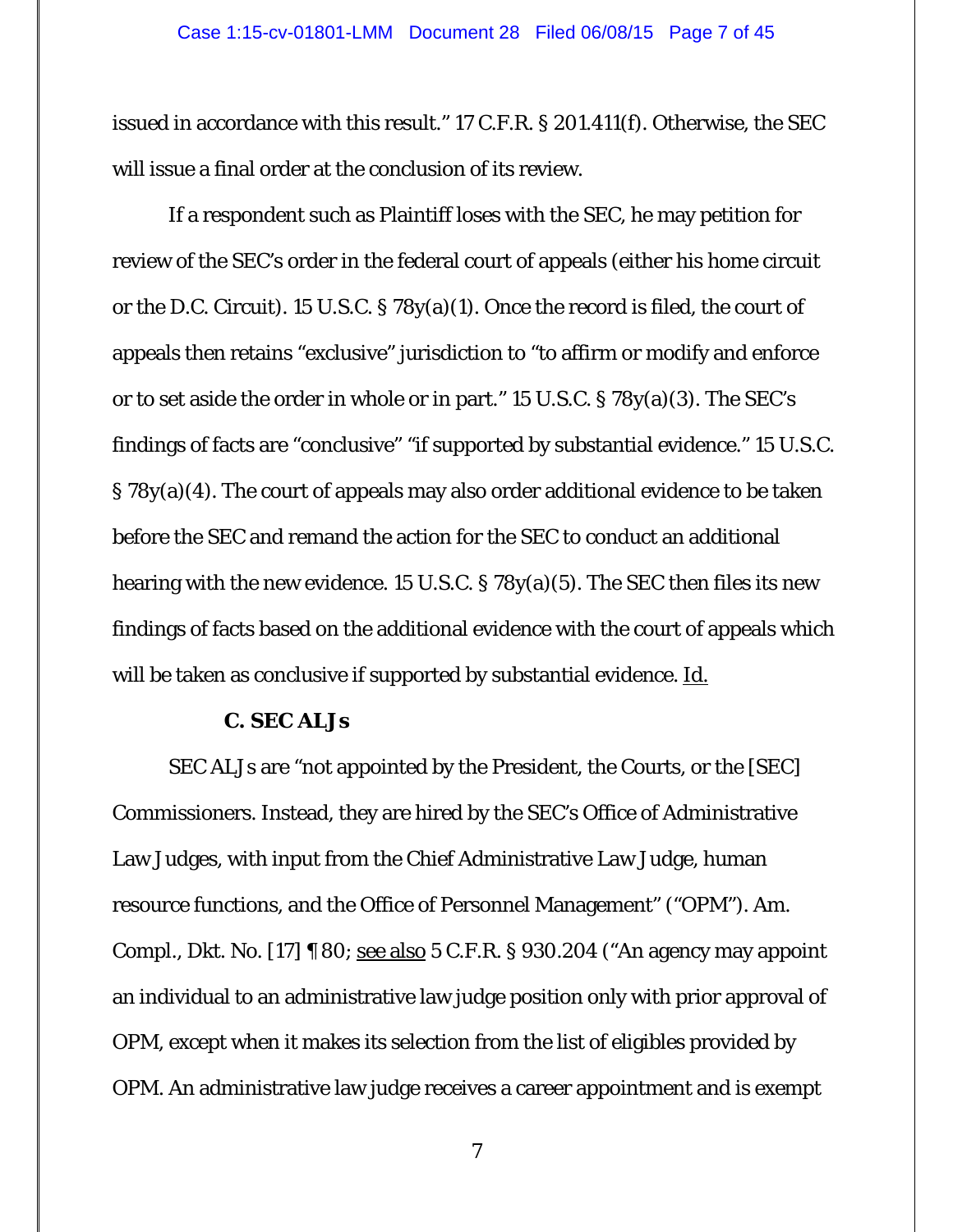#### Case 1:15-cv-01801-LMM Document 28 Filed 06/08/15 Page 7 of 45

issued in accordance with this result." 17 C.F.R. § 201.411(f). Otherwise, the SEC will issue a final order at the conclusion of its review.

If a respondent such as Plaintiff loses with the SEC, he may petition for review of the SEC's order in the federal court of appeals (either his home circuit or the D.C. Circuit). 15 U.S.C. § 78y(a)(1). Once the record is filed, the court of appeals then retains "exclusive" jurisdiction to "to affirm or modify and enforce or to set aside the order in whole or in part." 15 U.S.C. § 78y(a)(3). The SEC's findings of facts are "conclusive" "if supported by substantial evidence." 15 U.S.C. § 78y(a)(4). The court of appeals may also order additional evidence to be taken before the SEC and remand the action for the SEC to conduct an additional hearing with the new evidence. 15 U.S.C. § 78y(a)(5). The SEC then files its new findings of facts based on the additional evidence with the court of appeals which will be taken as conclusive if supported by substantial evidence. Id.

## **C. SEC ALJs**

 SEC ALJs are "not appointed by the President, the Courts, or the [SEC] Commissioners. Instead, they are hired by the SEC's Office of Administrative Law Judges, with input from the Chief Administrative Law Judge, human resource functions, and the Office of Personnel Management" ("OPM"). Am. Compl., Dkt. No. [17] ¶ 80; see also 5 C.F.R. § 930.204 ("An agency may appoint an individual to an administrative law judge position only with prior approval of OPM, except when it makes its selection from the list of eligibles provided by OPM. An administrative law judge receives a career appointment and is exempt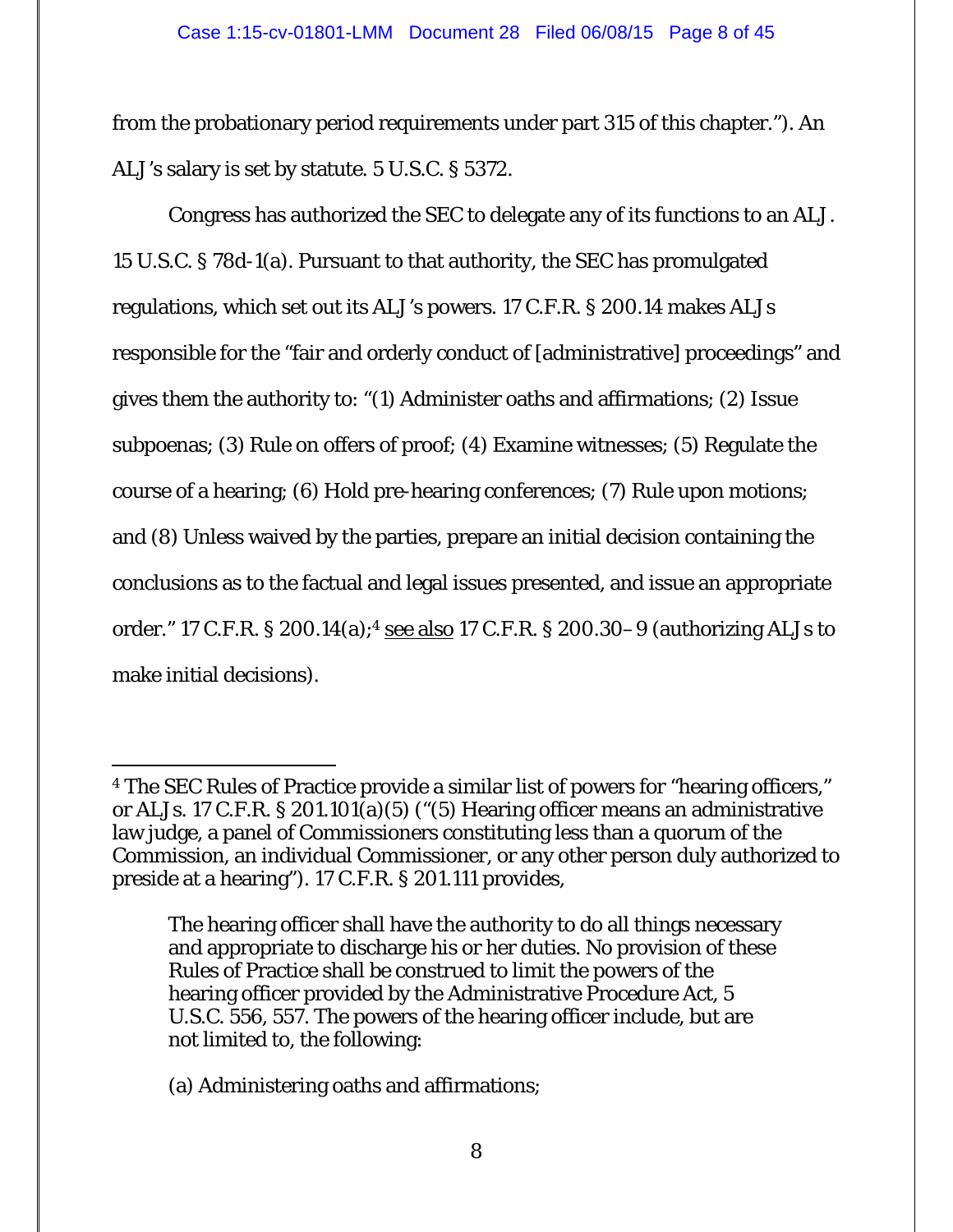#### Case 1:15-cv-01801-LMM Document 28 Filed 06/08/15 Page 8 of 45

from the probationary period requirements under part 315 of this chapter."). An ALJ's salary is set by statute. 5 U.S.C. § 5372.

 Congress has authorized the SEC to delegate any of its functions to an ALJ. 15 U.S.C. § 78d-1(a). Pursuant to that authority, the SEC has promulgated regulations, which set out its ALJ's powers. 17 C.F.R. § 200.14 makes ALJs responsible for the "fair and orderly conduct of [administrative] proceedings" and gives them the authority to: "(1) Administer oaths and affirmations; (2) Issue subpoenas; (3) Rule on offers of proof; (4) Examine witnesses; (5) Regulate the course of a hearing; (6) Hold pre-hearing conferences; (7) Rule upon motions; and (8) Unless waived by the parties, prepare an initial decision containing the conclusions as to the factual and legal issues presented, and issue an appropriate order." 17 C.F.R. § 200.14(a);4 see also 17 C.F.R. § 200.30–9 (authorizing ALJs to make initial decisions).

 $\overline{a}$ 4 The SEC Rules of Practice provide a similar list of powers for "hearing officers," or ALJs. 17 C.F.R. § 201.101(a)(5) ("(5) Hearing officer means an administrative law judge, a panel of Commissioners constituting less than a quorum of the Commission, an individual Commissioner, or any other person duly authorized to preside at a hearing"). 17 C.F.R. § 201.111 provides,

The hearing officer shall have the authority to do all things necessary and appropriate to discharge his or her duties. No provision of these Rules of Practice shall be construed to limit the powers of the hearing officer provided by the Administrative Procedure Act, 5 U.S.C. 556, 557. The powers of the hearing officer include, but are not limited to, the following:

<sup>(</sup>a) Administering oaths and affirmations;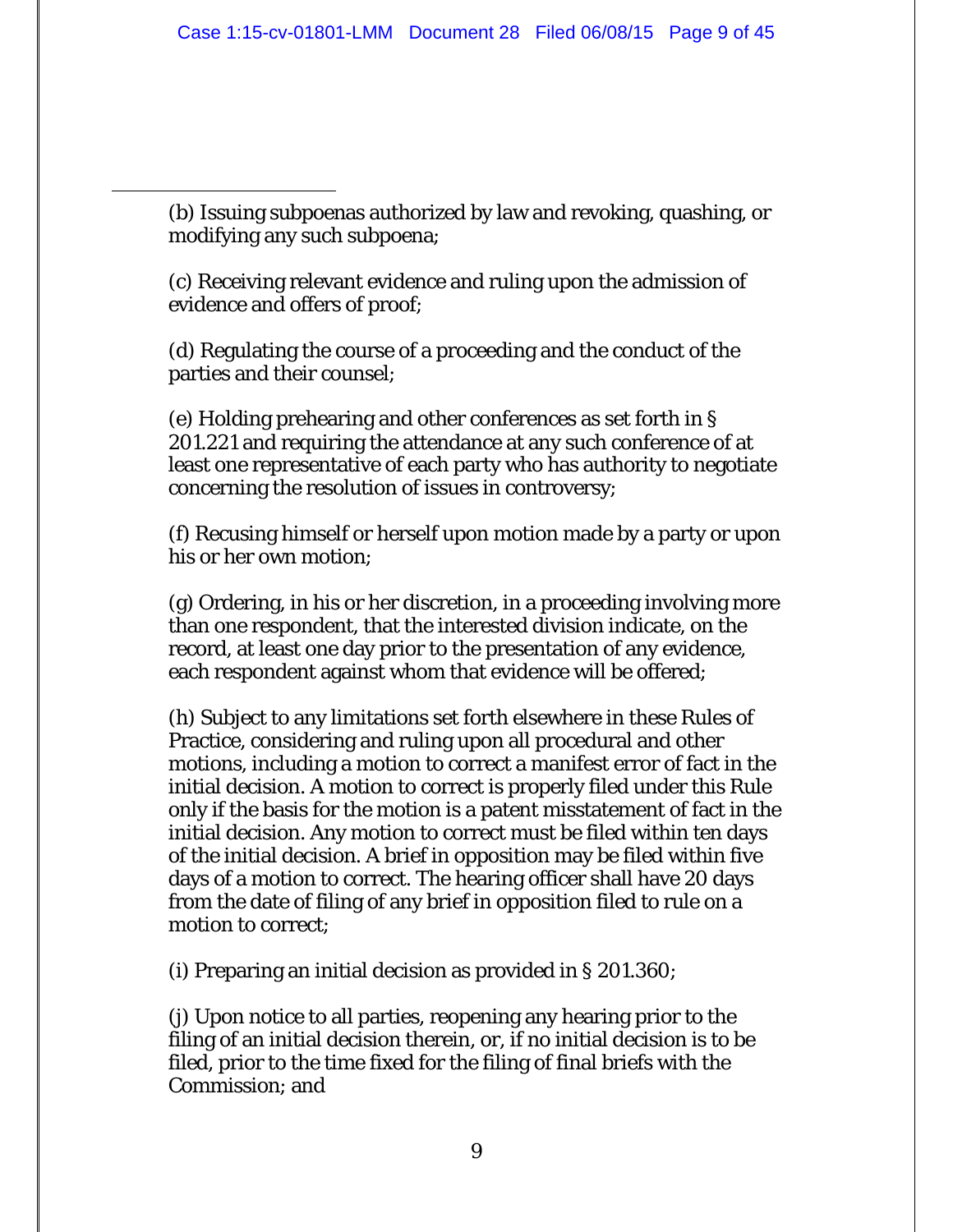(b) Issuing subpoenas authorized by law and revoking, quashing, or modifying any such subpoena;

 $\overline{a}$ 

(c) Receiving relevant evidence and ruling upon the admission of evidence and offers of proof;

(d) Regulating the course of a proceeding and the conduct of the parties and their counsel;

(e) Holding prehearing and other conferences as set forth in § 201.221 and requiring the attendance at any such conference of at least one representative of each party who has authority to negotiate concerning the resolution of issues in controversy;

(f) Recusing himself or herself upon motion made by a party or upon his or her own motion;

(g) Ordering, in his or her discretion, in a proceeding involving more than one respondent, that the interested division indicate, on the record, at least one day prior to the presentation of any evidence, each respondent against whom that evidence will be offered;

(h) Subject to any limitations set forth elsewhere in these Rules of Practice, considering and ruling upon all procedural and other motions, including a motion to correct a manifest error of fact in the initial decision. A motion to correct is properly filed under this Rule only if the basis for the motion is a patent misstatement of fact in the initial decision. Any motion to correct must be filed within ten days of the initial decision. A brief in opposition may be filed within five days of a motion to correct. The hearing officer shall have 20 days from the date of filing of any brief in opposition filed to rule on a motion to correct;

(i) Preparing an initial decision as provided in § 201.360;

(j) Upon notice to all parties, reopening any hearing prior to the filing of an initial decision therein, or, if no initial decision is to be filed, prior to the time fixed for the filing of final briefs with the Commission; and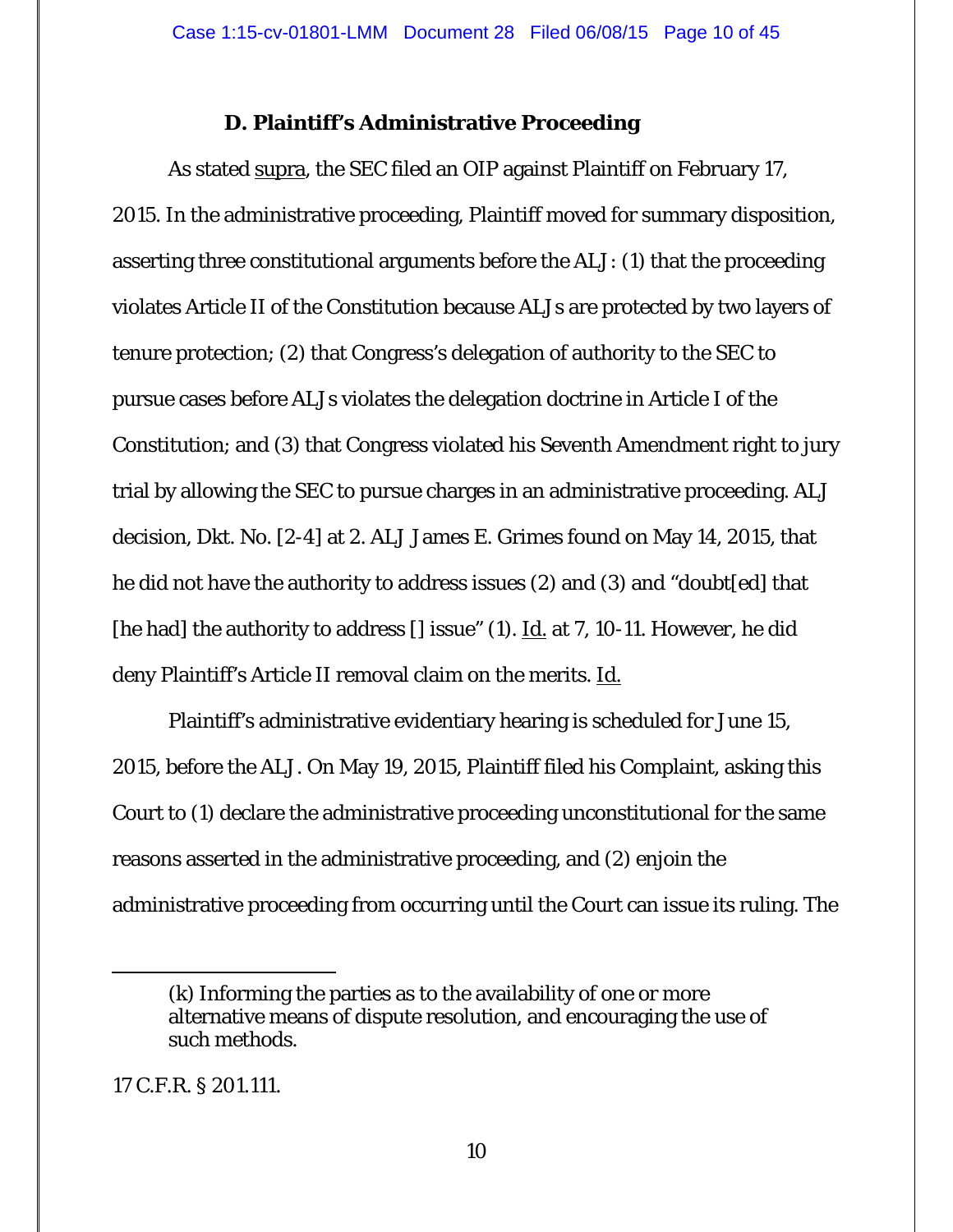## **D. Plaintiff's Administrative Proceeding**

As stated supra, the SEC filed an OIP against Plaintiff on February 17, 2015. In the administrative proceeding, Plaintiff moved for summary disposition, asserting three constitutional arguments before the ALJ: (1) that the proceeding violates Article II of the Constitution because ALJs are protected by two layers of tenure protection; (2) that Congress's delegation of authority to the SEC to pursue cases before ALJs violates the delegation doctrine in Article I of the Constitution; and (3) that Congress violated his Seventh Amendment right to jury trial by allowing the SEC to pursue charges in an administrative proceeding. ALJ decision, Dkt. No. [2-4] at 2. ALJ James E. Grimes found on May 14, 2015, that he did not have the authority to address issues (2) and (3) and "doubt[ed] that [he had] the authority to address  $\iota$  issue" (1). <u>Id.</u> at 7, 10-11. However, he did deny Plaintiff's Article II removal claim on the merits. Id.

 Plaintiff's administrative evidentiary hearing is scheduled for June 15, 2015, before the ALJ. On May 19, 2015, Plaintiff filed his Complaint, asking this Court to (1) declare the administrative proceeding unconstitutional for the same reasons asserted in the administrative proceeding, and (2) enjoin the administrative proceeding from occurring until the Court can issue its ruling. The

## 17 C.F.R. § 201.111.

 $\overline{a}$ 

<sup>(</sup>k) Informing the parties as to the availability of one or more alternative means of dispute resolution, and encouraging the use of such methods.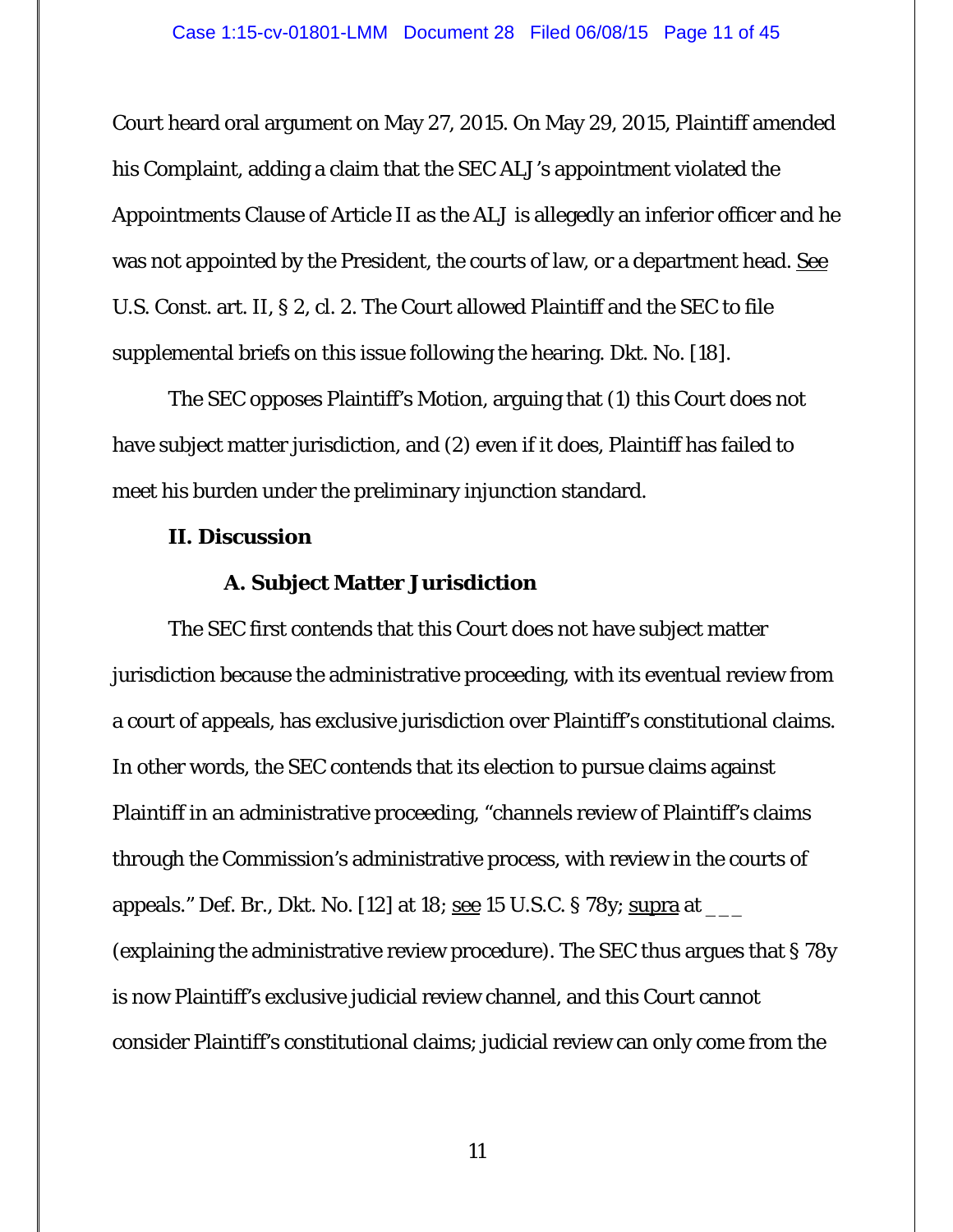Court heard oral argument on May 27, 2015. On May 29, 2015, Plaintiff amended his Complaint, adding a claim that the SEC ALJ's appointment violated the Appointments Clause of Article II as the ALJ is allegedly an inferior officer and he was not appointed by the President, the courts of law, or a department head. See U.S. Const. art. II, § 2, cl. 2. The Court allowed Plaintiff and the SEC to file supplemental briefs on this issue following the hearing. Dkt. No. [18].

The SEC opposes Plaintiff's Motion, arguing that (1) this Court does not have subject matter jurisdiction, and (2) even if it does, Plaintiff has failed to meet his burden under the preliminary injunction standard.

#### **II. Discussion**

## **A. Subject Matter Jurisdiction**

 The SEC first contends that this Court does not have subject matter jurisdiction because the administrative proceeding, with its eventual review from a court of appeals, has exclusive jurisdiction over Plaintiff's constitutional claims. In other words, the SEC contends that its election to pursue claims against Plaintiff in an administrative proceeding, "channels review of Plaintiff's claims through the Commission's administrative process, with review in the courts of appeals." Def. Br., Dkt. No. [12] at 18; <u>see</u> 15 U.S.C. § 78y; supra at  $\frac{1}{2}$ (explaining the administrative review procedure). The SEC thus argues that § 78y is now Plaintiff's exclusive judicial review channel, and this Court cannot consider Plaintiff's constitutional claims; judicial review can only come from the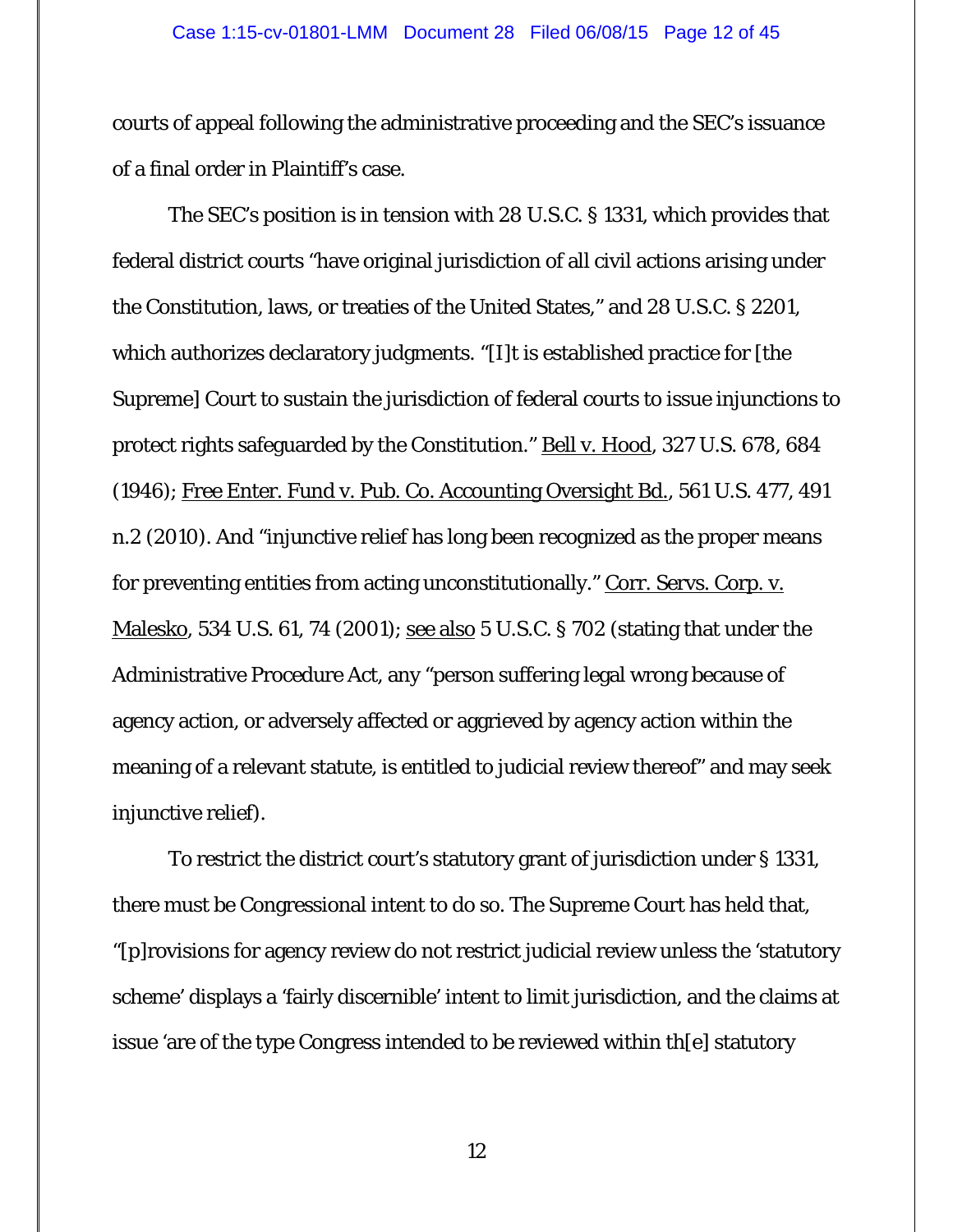#### Case 1:15-cv-01801-LMM Document 28 Filed 06/08/15 Page 12 of 45

courts of appeal following the administrative proceeding and the SEC's issuance of a final order in Plaintiff's case.

The SEC's position is in tension with 28 U.S.C. § 1331, which provides that federal district courts "have original jurisdiction of all civil actions arising under the Constitution, laws, or treaties of the United States," and 28 U.S.C. § 2201, which authorizes declaratory judgments. "[I]t is established practice for [the Supreme] Court to sustain the jurisdiction of federal courts to issue injunctions to protect rights safeguarded by the Constitution." Bell v. Hood, 327 U.S. 678, 684 (1946); Free Enter. Fund v. Pub. Co. Accounting Oversight Bd., 561 U.S. 477, 491 n.2 (2010). And "injunctive relief has long been recognized as the proper means for preventing entities from acting unconstitutionally." Corr. Servs. Corp. v. <u>Malesko</u>, 534 U.S. 61, 74 (2001); <u>see also</u> 5 U.S.C. § 702 (stating that under the Administrative Procedure Act, any "person suffering legal wrong because of agency action, or adversely affected or aggrieved by agency action within the meaning of a relevant statute, is entitled to judicial review thereof" and may seek injunctive relief).

 To restrict the district court's statutory grant of jurisdiction under § 1331, there must be Congressional intent to do so. The Supreme Court has held that, "[p]rovisions for agency review do not restrict judicial review unless the 'statutory scheme' displays a 'fairly discernible' intent to limit jurisdiction, and the claims at issue 'are of the type Congress intended to be reviewed within th[e] statutory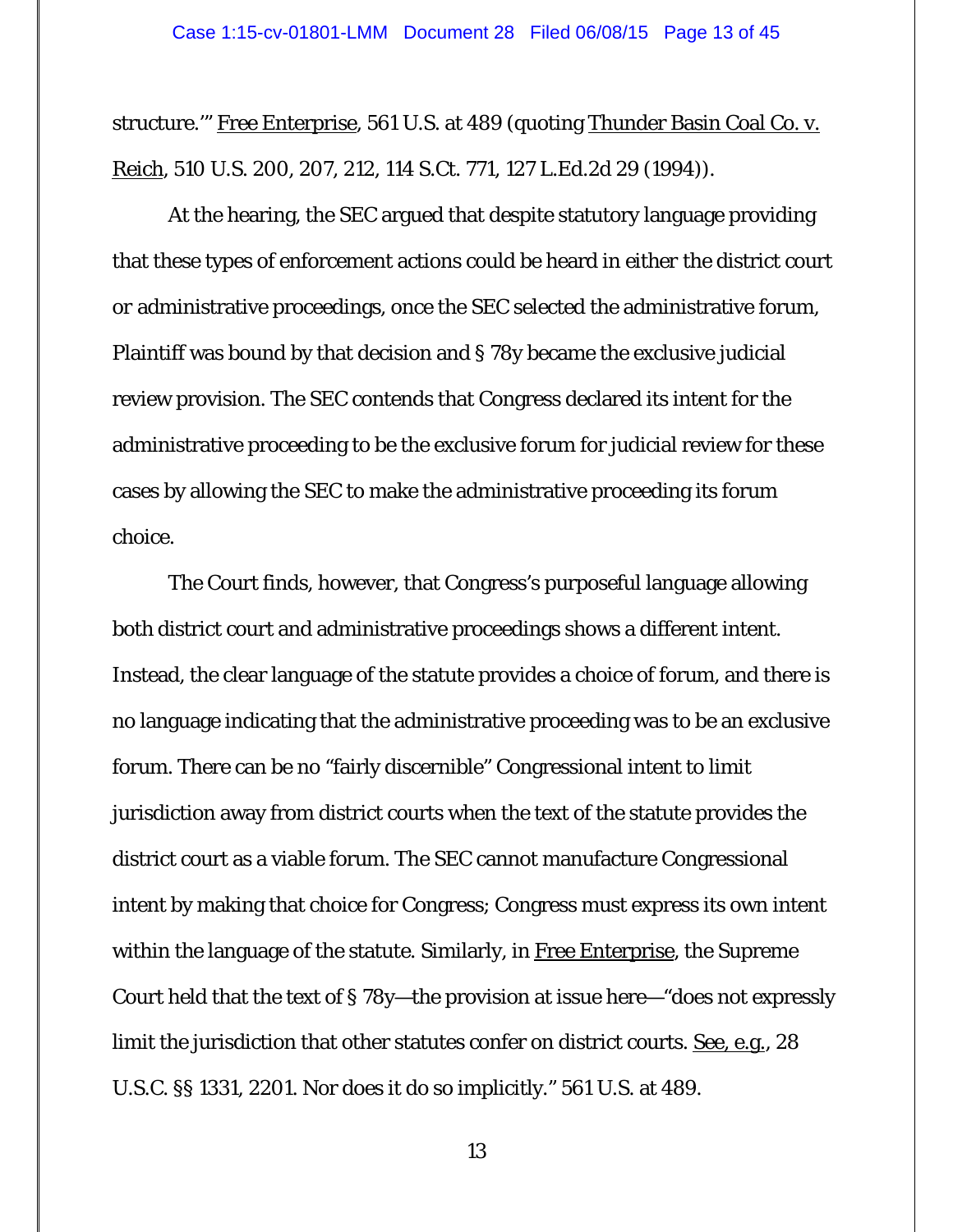structure.'" Free Enterprise, 561 U.S. at 489 (quoting Thunder Basin Coal Co. v. Reich*,* 510 U.S. 200, 207, 212, 114 S.Ct. 771, 127 L.Ed.2d 29 (1994)).

At the hearing, the SEC argued that despite statutory language providing that these types of enforcement actions could be heard in *either* the district court *or* administrative proceedings, once the SEC selected the administrative forum, Plaintiff was bound by that decision and § 78y became the exclusive judicial review provision. The SEC contends that Congress declared its intent for the administrative proceeding to be the exclusive forum for judicial review for these cases by allowing the SEC to make the administrative proceeding its forum choice.

The Court finds, however, that Congress's purposeful language allowing *both* district court and administrative proceedings shows a different intent. Instead, the clear language of the statute provides a choice of forum, and there is no language indicating that the administrative proceeding was to be an exclusive forum. There can be no "fairly discernible" Congressional intent to limit jurisdiction away from district courts when the text of the statute provides the district court as a viable forum. The SEC cannot manufacture Congressional intent by making that choice for Congress; Congress must express its own intent within the language of the statute. Similarly, in Free Enterprise, the Supreme Court held that the text of § 78y—the provision at issue here—"does not expressly limit the jurisdiction that other statutes confer on district courts. See, e.g., 28 U.S.C. §§ 1331, 2201. Nor does it do so implicitly." 561 U.S. at 489.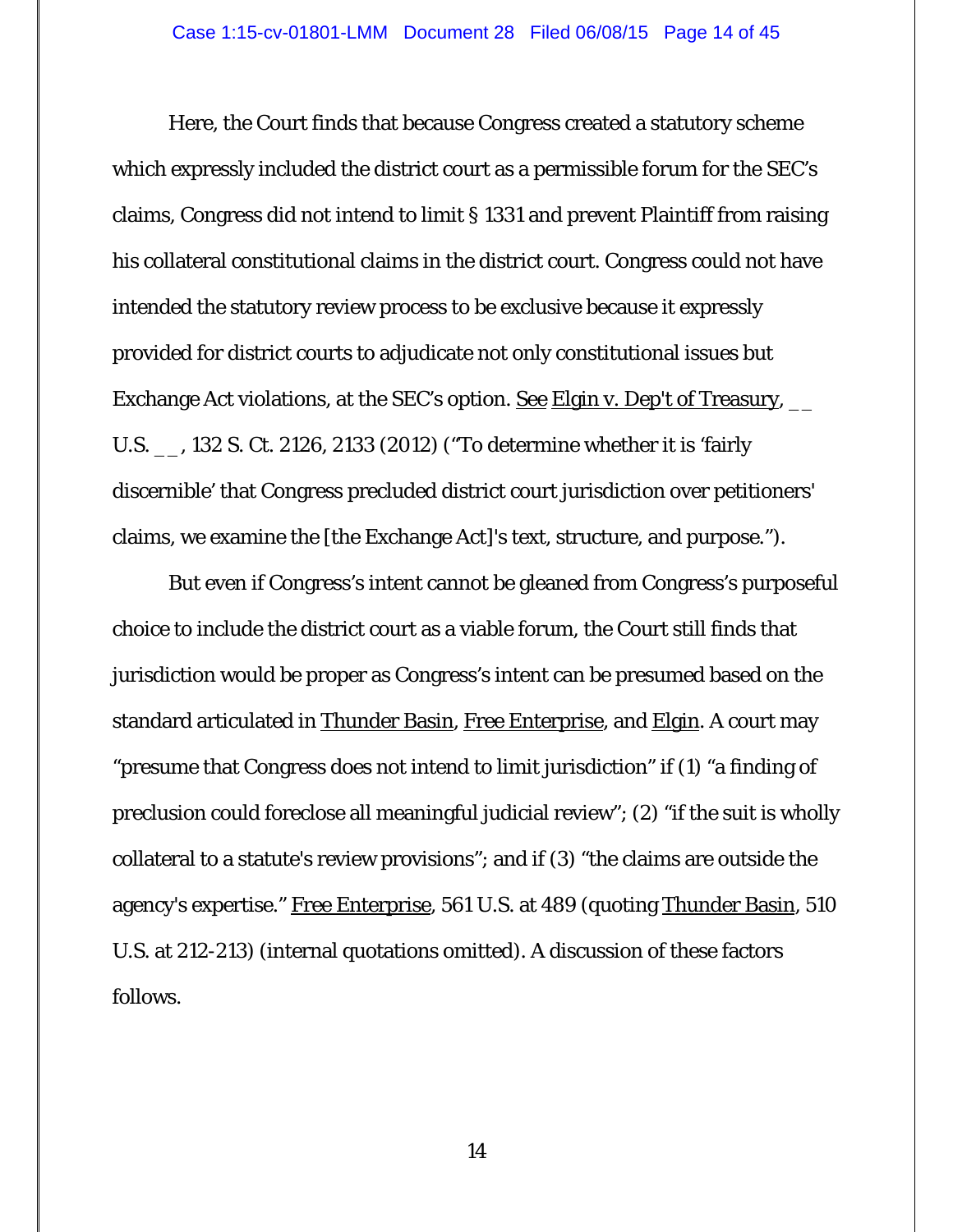Here, the Court finds that because Congress created a statutory scheme which expressly included the district court as a permissible forum for the SEC's claims, Congress did not intend to limit § 1331 and prevent Plaintiff from raising his collateral constitutional claims in the district court. Congress could not have intended the statutory review process to be exclusive because it expressly provided for district courts to adjudicate not only constitutional issues but Exchange Act violations, at the SEC's option. <u>See Elgin v. Dep't of Treasury, \_</u>\_ U.S. \_\_, 132 S. Ct. 2126, 2133 (2012) ("To determine whether it is 'fairly discernible' that Congress precluded district court jurisdiction over petitioners' claims, we examine the [the Exchange Act]'s text, structure, and purpose.").

But even if Congress's intent cannot be gleaned from Congress's purposeful choice to include the district court as a viable forum, the Court still finds that jurisdiction would be proper as Congress's intent can be presumed based on the standard articulated in Thunder Basin, Free Enterprise, and Elgin. A court may "presume that Congress does not intend to limit jurisdiction" if (1) "a finding of preclusion could foreclose all meaningful judicial review"; (2) "if the suit is wholly collateral to a statute's review provisions"; and if (3) "the claims are outside the agency's expertise." Free Enterprise, 561 U.S. at 489 (quoting Thunder Basin, 510 U.S. at 212-213) (internal quotations omitted). A discussion of these factors follows.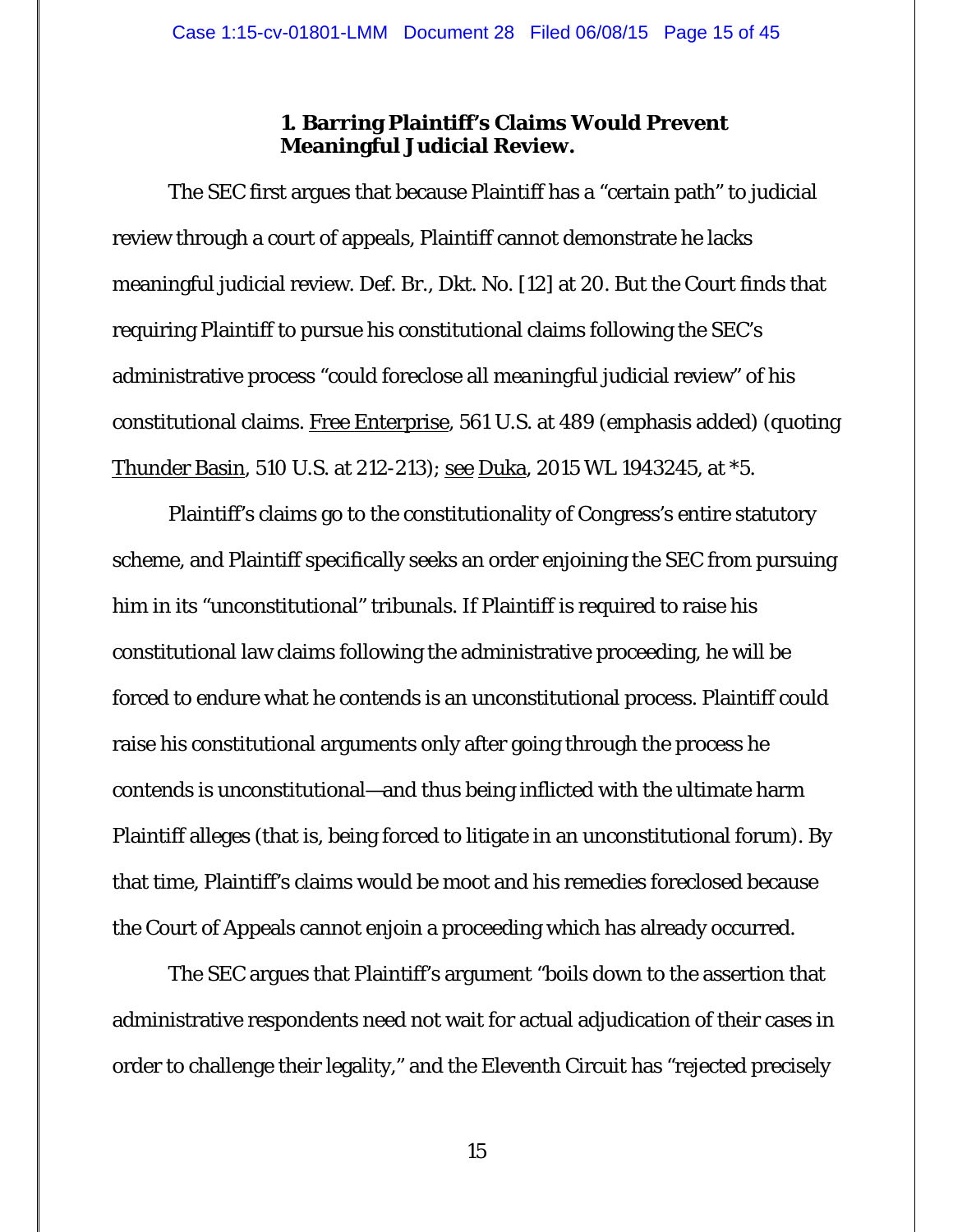## **1. Barring Plaintiff's Claims Would Prevent Meaningful Judicial Review.**

The SEC first argues that because Plaintiff has a "certain path" to judicial review through a court of appeals, Plaintiff cannot demonstrate he lacks meaningful judicial review. Def. Br., Dkt. No. [12] at 20. But the Court finds that requiring Plaintiff to pursue his constitutional claims following the SEC's administrative process "could foreclose all *meaningful* judicial review" of his constitutional claims. Free Enterprise, 561 U.S. at 489 (emphasis added) (quoting Thunder Basin, 510 U.S. at 212-213); <u>see Duka</u>, 2015 WL 1943245, at \*5.

Plaintiff's claims go to the constitutionality of Congress's entire statutory scheme, and Plaintiff specifically seeks an order enjoining the SEC from pursuing him in its "unconstitutional" tribunals. If Plaintiff is required to raise his constitutional law claims following the administrative proceeding, he will be forced to endure what he contends is an unconstitutional process. Plaintiff could raise his constitutional arguments only after going through the process he contends is unconstitutional—and thus being inflicted with the ultimate harm Plaintiff alleges (that is, being forced to litigate in an unconstitutional forum). By that time, Plaintiff's claims would be moot and his remedies foreclosed because the Court of Appeals cannot enjoin a proceeding which has already occurred.

The SEC argues that Plaintiff's argument "boils down to the assertion that administrative respondents need not wait for actual adjudication of their cases in order to challenge their legality," and the Eleventh Circuit has "rejected precisely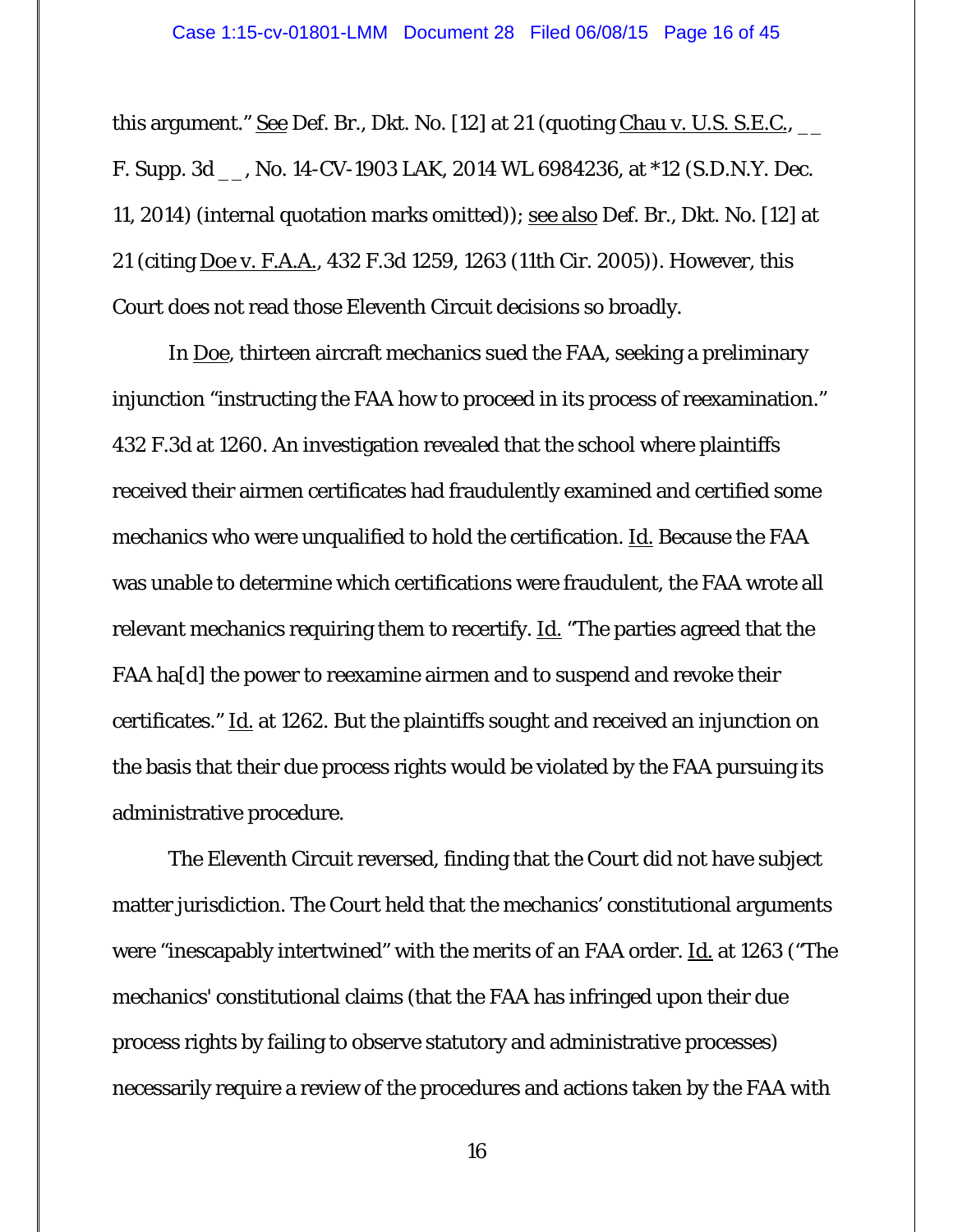this argument." See Def. Br., Dkt. No. [12] at 21 (quoting Chau v. U.S. S.E.C.,  $\qquad$ F. Supp. 3d \_\_, No. 14-CV-1903 LAK, 2014 WL 6984236, at \*12 (S.D.N.Y. Dec. 11, 2014) (internal quotation marks omitted)); see also Def. Br., Dkt. No. [12] at 21 (citing Doe v. F.A.A., 432 F.3d 1259, 1263 (11th Cir. 2005)). However, this Court does not read those Eleventh Circuit decisions so broadly.

 In Doe, thirteen aircraft mechanics sued the FAA, seeking a preliminary injunction "instructing the FAA how to proceed in its process of reexamination." 432 F.3d at 1260. An investigation revealed that the school where plaintiffs received their airmen certificates had fraudulently examined and certified some mechanics who were unqualified to hold the certification. Id. Because the FAA was unable to determine which certifications were fraudulent, the FAA wrote all relevant mechanics requiring them to recertify. Id. "The parties agreed that the FAA ha[d] the power to reexamine airmen and to suspend and revoke their certificates." Id. at 1262. But the plaintiffs sought and received an injunction on the basis that their due process rights would be violated by the FAA pursuing its administrative procedure.

 The Eleventh Circuit reversed, finding that the Court did not have subject matter jurisdiction. The Court held that the mechanics' constitutional arguments were "inescapably intertwined" with the merits of an FAA order. <u>Id.</u> at 1263 ("The mechanics' constitutional claims (that the FAA has infringed upon their due process rights by failing to observe statutory and administrative processes) necessarily require a review of the procedures and actions taken by the FAA with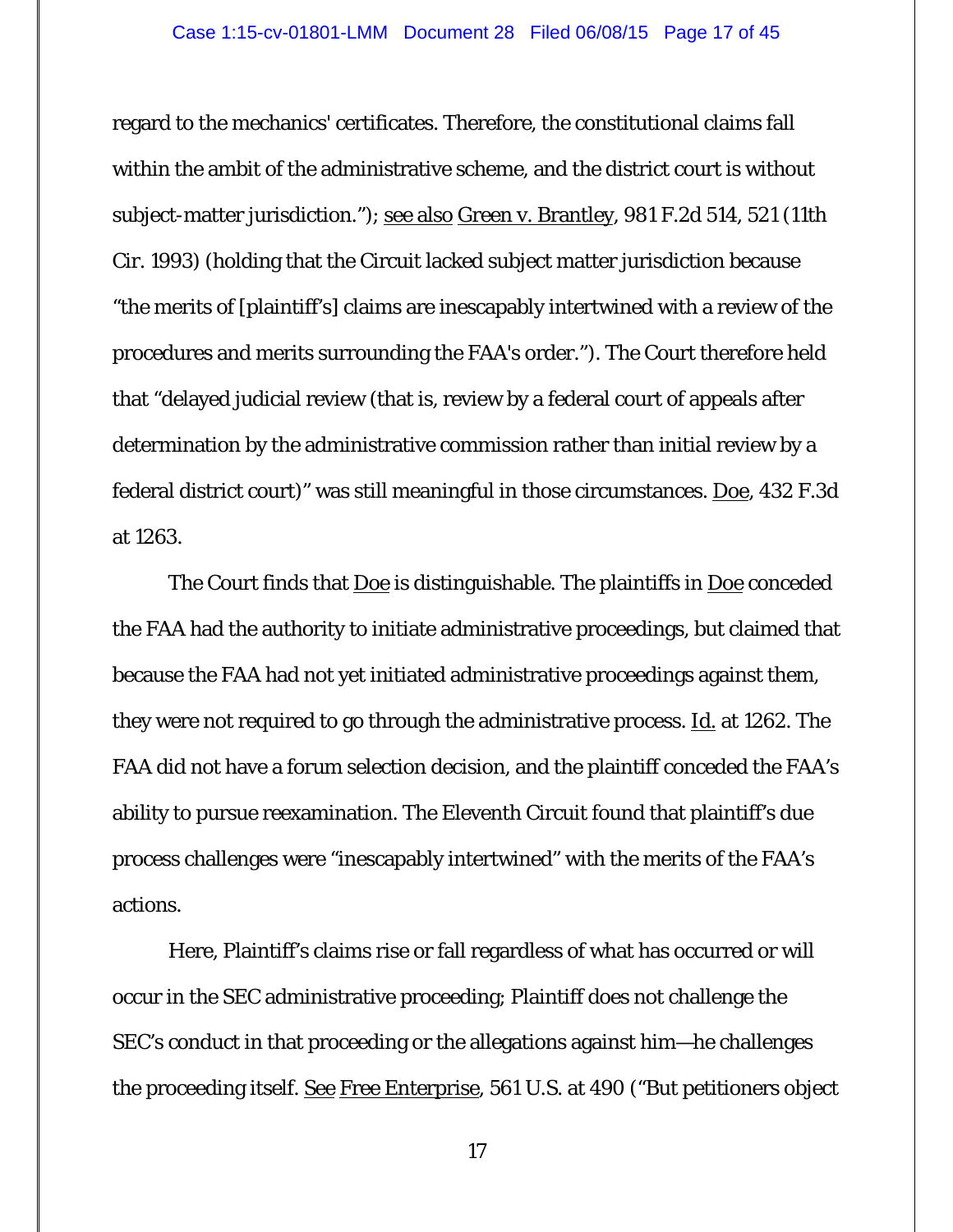regard to the mechanics' certificates. Therefore, the constitutional claims fall within the ambit of the administrative scheme, and the district court is without subject-matter jurisdiction."); see also Green v. Brantley, 981 F.2d 514, 521 (11th Cir. 1993) (holding that the Circuit lacked subject matter jurisdiction because "the merits of [plaintiff's] claims are inescapably intertwined with a review of the procedures and merits surrounding the FAA's order."). The Court therefore held that "delayed judicial review (that is, review by a federal court of appeals after determination by the administrative commission rather than initial review by a federal district court)" was still meaningful in those circumstances. Doe, 432 F.3d at 1263.

The Court finds that <u>Doe</u> is distinguishable. The plaintiffs in <u>Doe</u> conceded the FAA had the authority to initiate administrative proceedings, but claimed that because the FAA had not yet initiated administrative proceedings against them, they were not required to go through the administrative process. <u>Id.</u> at 1262. The FAA did not have a forum selection decision, and the plaintiff conceded the FAA's ability to pursue reexamination. The Eleventh Circuit found that plaintiff's due process challenges were "inescapably intertwined" with the merits of the FAA's actions.

Here, Plaintiff's claims rise or fall regardless of what has occurred or will occur in the SEC administrative proceeding; Plaintiff does not challenge the SEC's conduct in that proceeding or the allegations against him—he challenges the proceeding *itself*. See Free Enterprise, 561 U.S. at 490 ("But petitioners object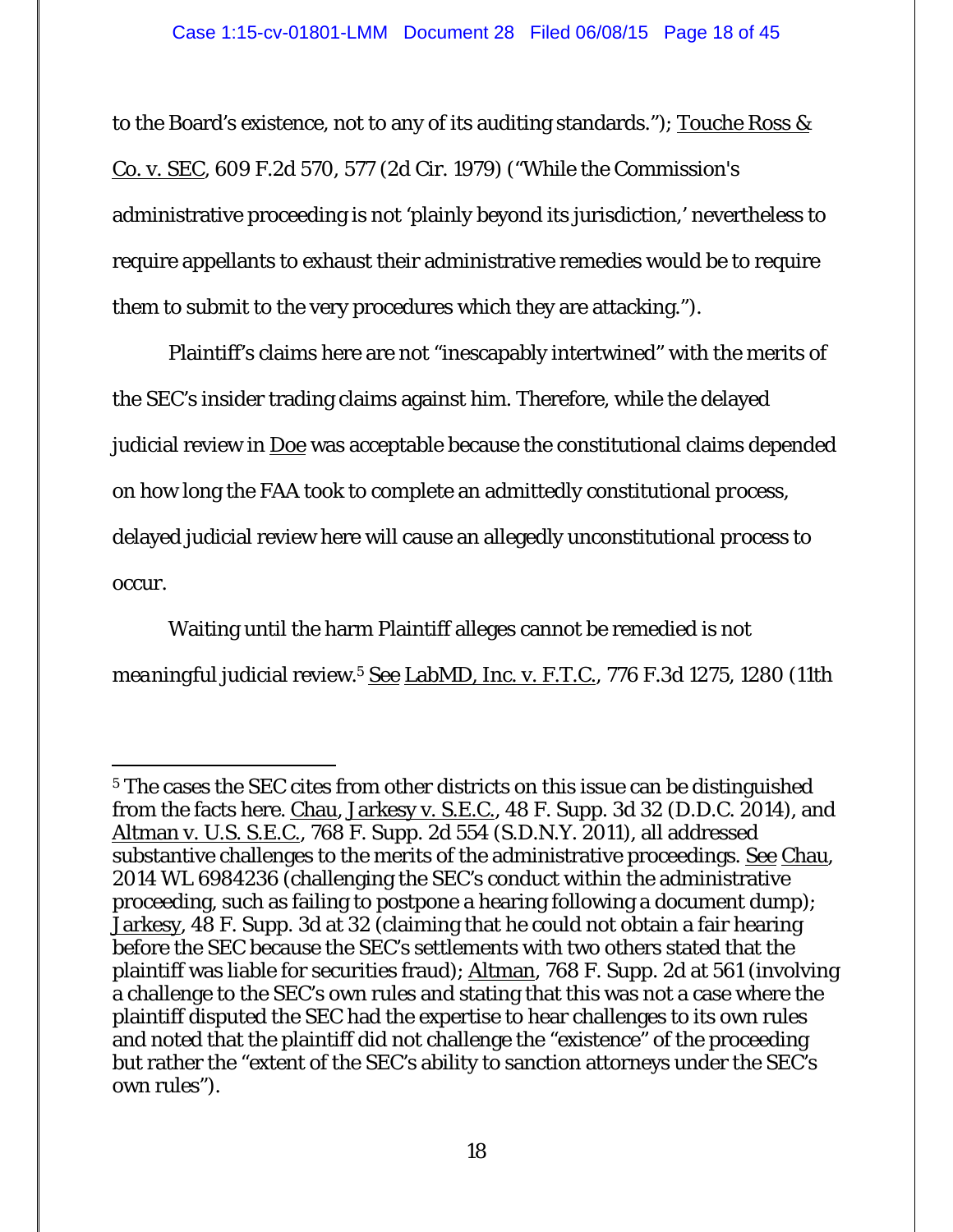to the Board's existence, not to any of its auditing standards."); <u>Touche Ross  $\&$ </u> Co. v. SEC, 609 F.2d 570, 577 (2d Cir. 1979) ("While the Commission's administrative proceeding is not 'plainly beyond its jurisdiction,' nevertheless to require appellants to exhaust their administrative remedies would be to require them to submit to the very procedures which they are attacking.").

Plaintiff's claims here are not "inescapably intertwined" with the merits of the SEC's insider trading claims against him. Therefore, while the delayed judicial review in Doe was acceptable because the constitutional claims depended on how long the FAA took to complete an admittedly constitutional *process*, delayed judicial review here will cause an allegedly unconstitutional *process* to occur.

Waiting until the harm Plaintiff alleges cannot be remedied is not *meaningful* judicial review.5 See LabMD, Inc. v. F.T.C., 776 F.3d 1275, 1280 (11th

<sup>-</sup><sup>5</sup> The cases the SEC cites from other districts on this issue can be distinguished from the facts here. Chau, Jarkesy v. S.E.C., 48 F. Supp. 3d 32 (D.D.C. 2014), and Altman v. U.S. S.E.C., 768 F. Supp. 2d 554 (S.D.N.Y. 2011), all addressed substantive challenges to the merits of the administrative proceedings. See Chau, 2014 WL 6984236 (challenging the SEC's conduct within the administrative proceeding, such as failing to postpone a hearing following a document dump); Jarkesy, 48 F. Supp. 3d at 32 (claiming that he could not obtain a fair hearing before the SEC because the SEC's settlements with two others stated that the plaintiff was liable for securities fraud); Altman, 768 F. Supp. 2d at 561 (involving a challenge to the SEC's own rules and stating that this was not a case where the plaintiff disputed the SEC had the expertise to hear challenges to its own rules and noted that the plaintiff did not challenge the "existence" of the proceeding but rather the "extent of the SEC's ability to sanction attorneys under the SEC's own rules").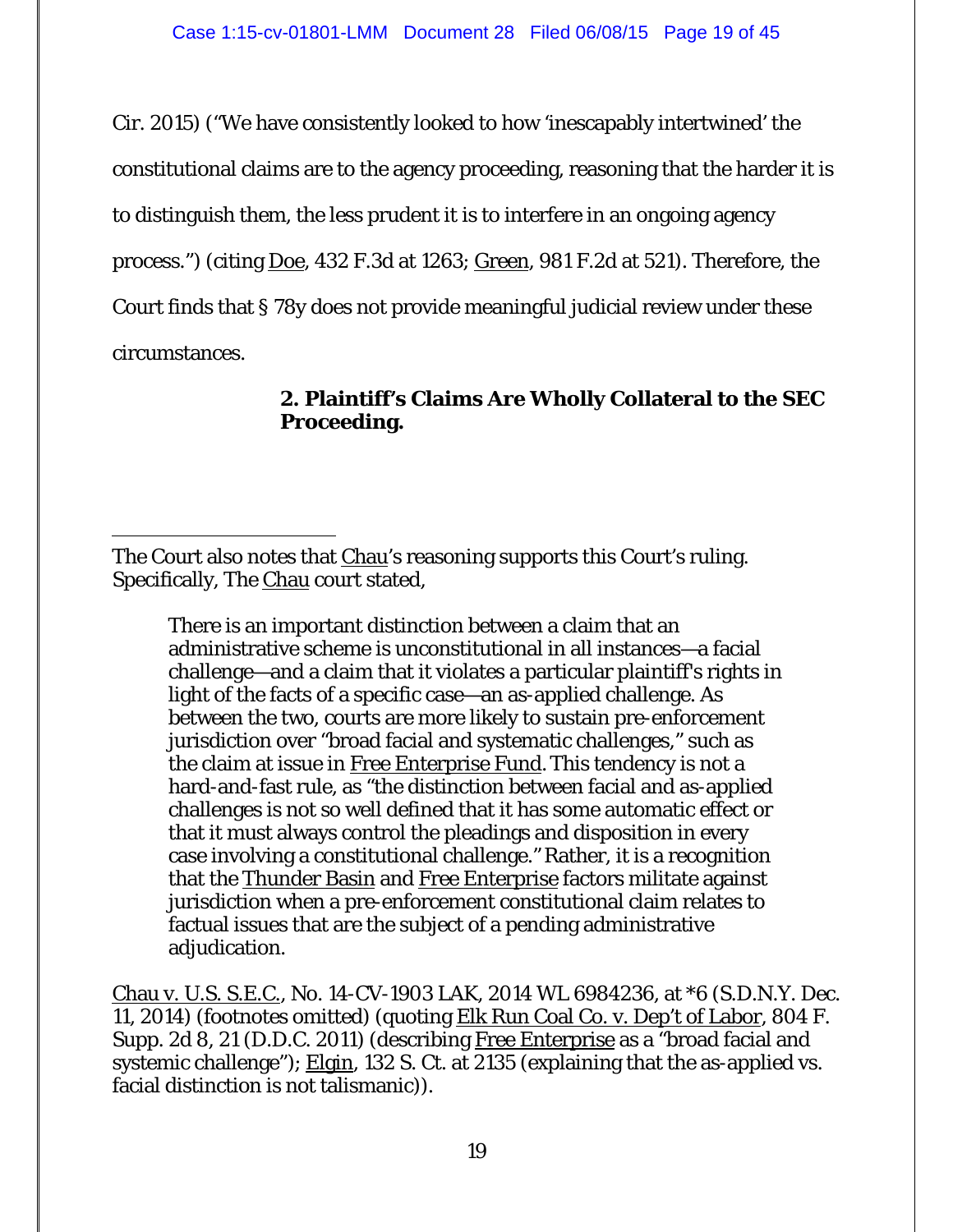Cir. 2015) ("We have consistently looked to how 'inescapably intertwined' the constitutional claims are to the agency proceeding, reasoning that the harder it is to distinguish them, the less prudent it is to interfere in an ongoing agency process.") (citing Doe, 432 F.3d at 1263; Green, 981 F.2d at 521). Therefore, the Court finds that § 78y does not provide meaningful judicial review under these circumstances.

# **2. Plaintiff's Claims Are Wholly Collateral to the SEC Proceeding.**

 $\overline{a}$ 

There is an important distinction between a claim that an administrative scheme is unconstitutional in all instances—a facial challenge—and a claim that it violates a particular plaintiff's rights in light of the facts of a specific case—an as-applied challenge. As between the two, courts are more likely to sustain pre-enforcement jurisdiction over "broad facial and systematic challenges," such as the claim at issue in Free Enterprise Fund*.*This tendency is not a hard-and-fast rule, as "the distinction between facial and as-applied challenges is not so well defined that it has some automatic effect or that it must always control the pleadings and disposition in every case involving a constitutional challenge." Rather, it is a recognition that the Thunder Basin and Free Enterprise factors militate against jurisdiction when a pre-enforcement constitutional claim relates to factual issues that are the subject of a pending administrative adjudication.

Chau v. U.S. S.E.C., No. 14-CV-1903 LAK, 2014 WL 6984236, at \*6 (S.D.N.Y. Dec. 11, 2014) (footnotes omitted) (quoting Elk Run Coal Co. v. Dep't of Labor, 804 F. Supp. 2d 8, 21 (D.D.C. 2011) (describing Free Enterprise as a "broad facial and systemic challenge"); Elgin, 132 S. Ct. at 2135 (explaining that the as-applied vs. facial distinction is not talismanic)).

The Court also notes that Chau's reasoning supports this Court's ruling. Specifically, The Chau court stated,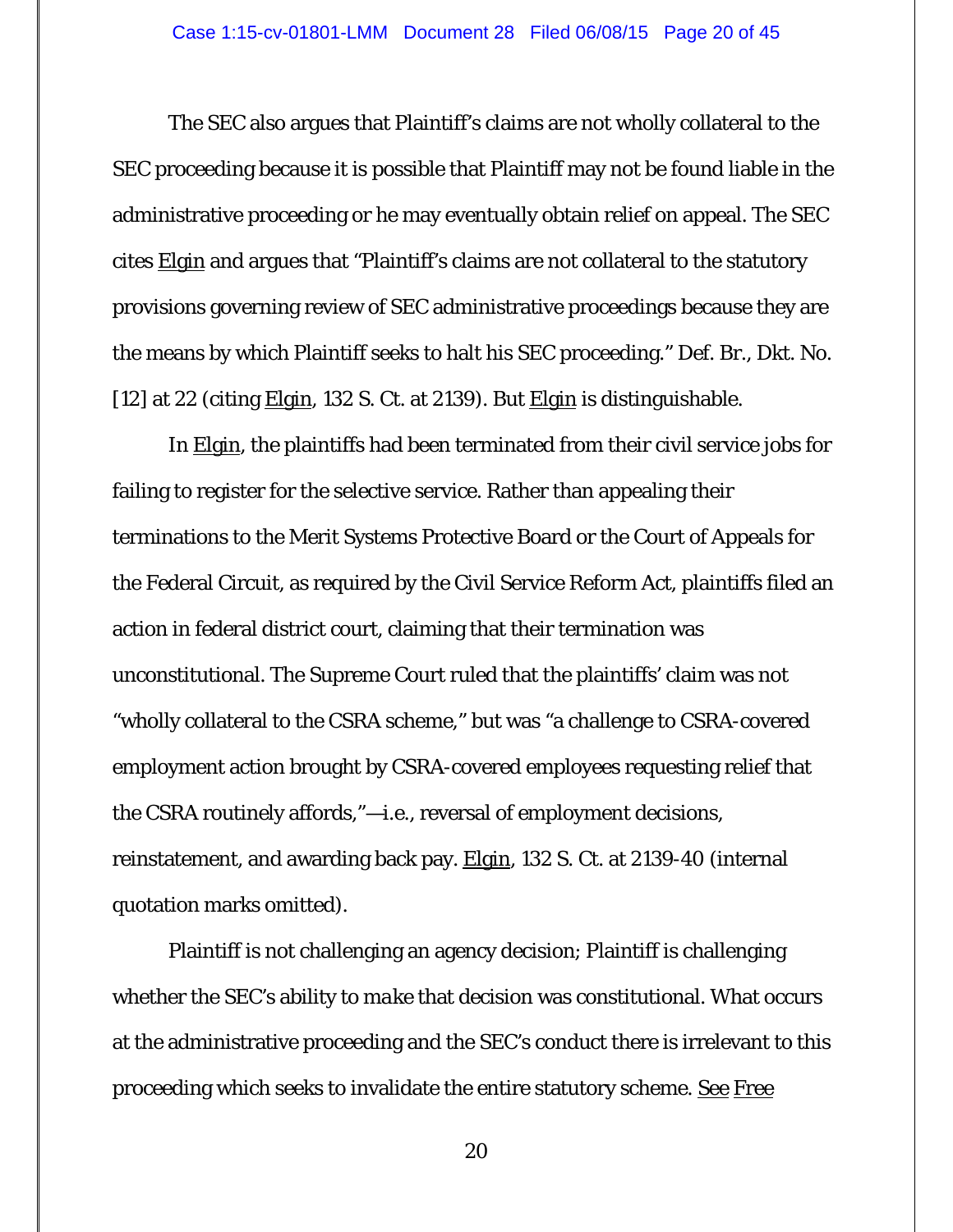The SEC also argues that Plaintiff's claims are not wholly collateral to the SEC proceeding because it is possible that Plaintiff may not be found liable in the administrative proceeding or he may eventually obtain relief on appeal. The SEC cites Elgin and argues that "Plaintiff's claims are not collateral to the statutory provisions governing review of SEC administrative proceedings because they are the means by which Plaintiff seeks to halt his SEC proceeding." Def. Br., Dkt. No. [12] at 22 (citing  $Elgin$ , 132 S. Ct. at 2139). But  $Elgin$  is distinguishable.</u></u>

In Elgin, the plaintiffs had been terminated from their civil service jobs for failing to register for the selective service. Rather than appealing their terminations to the Merit Systems Protective Board or the Court of Appeals for the Federal Circuit, as required by the Civil Service Reform Act, plaintiffs filed an action in federal district court, claiming that their termination was unconstitutional. The Supreme Court ruled that the plaintiffs' claim was not "wholly collateral to the CSRA scheme," but was "a challenge to CSRA-covered employment action brought by CSRA-covered employees requesting relief that the CSRA routinely affords,"—i.e., reversal of employment decisions, reinstatement, and awarding back pay. Elgin, 132 S. Ct. at 2139-40 (internal quotation marks omitted).

Plaintiff is not challenging an agency decision; Plaintiff is challenging whether the SEC's ability to *make* that decision was constitutional. What occurs at the administrative proceeding and the SEC's conduct there is irrelevant to this proceeding which seeks to invalidate the entire statutory scheme. See Free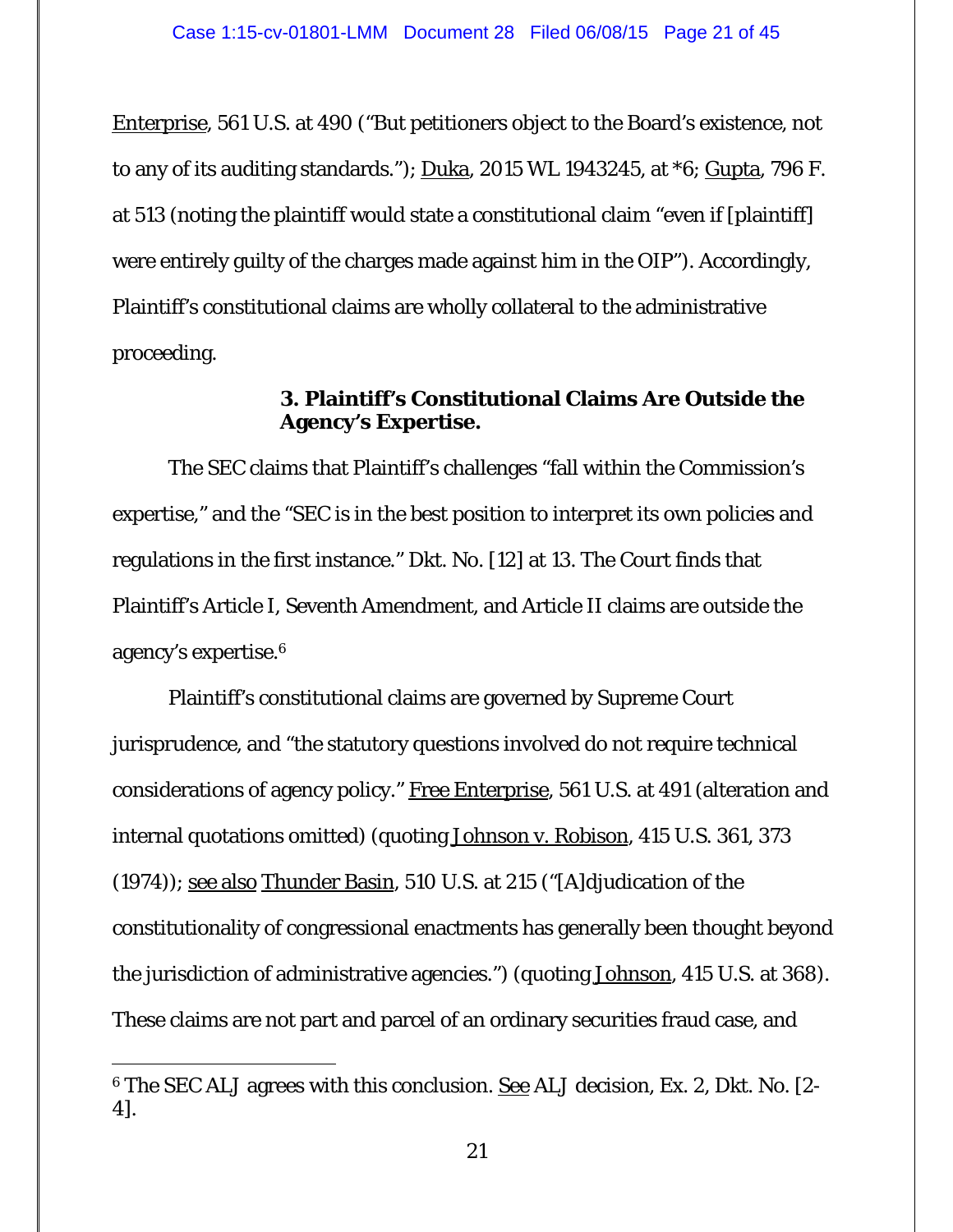Enterprise, 561 U.S. at 490 ("But petitioners object to the Board's existence, not to any of its auditing standards.");  $Duka$ , 2015 WL 1943245, at  $*6$ ;  $Gupta$ , 796 F. at 513 (noting the plaintiff would state a constitutional claim "even if [plaintiff] were entirely guilty of the charges made against him in the OIP"). Accordingly, Plaintiff's constitutional claims are wholly collateral to the administrative proceeding.

## **3. Plaintiff's Constitutional Claims Are Outside the Agency's Expertise.**

The SEC claims that Plaintiff's challenges "fall within the Commission's expertise," and the "SEC is in the best position to interpret its own policies and regulations in the first instance." Dkt. No. [12] at 13. The Court finds that Plaintiff's Article I, Seventh Amendment, and Article II claims are outside the agency's expertise.6

Plaintiff's constitutional claims are governed by Supreme Court jurisprudence, and "the statutory questions involved do not require technical considerations of agency policy." Free Enterprise, 561 U.S. at 491 (alteration and internal quotations omitted) (quoting Johnson v. Robison, 415 U.S. 361, 373 (1974)); see also Thunder Basin, 510 U.S. at 215 ("[A]djudication of the constitutionality of congressional enactments has generally been thought beyond the jurisdiction of administrative agencies.") (quoting Johnson, 415 U.S. at 368). These claims are not part and parcel of an ordinary securities fraud case, and

-

<sup>6</sup> The SEC ALJ agrees with this conclusion. See ALJ decision, Ex. 2, Dkt. No. [2- 4].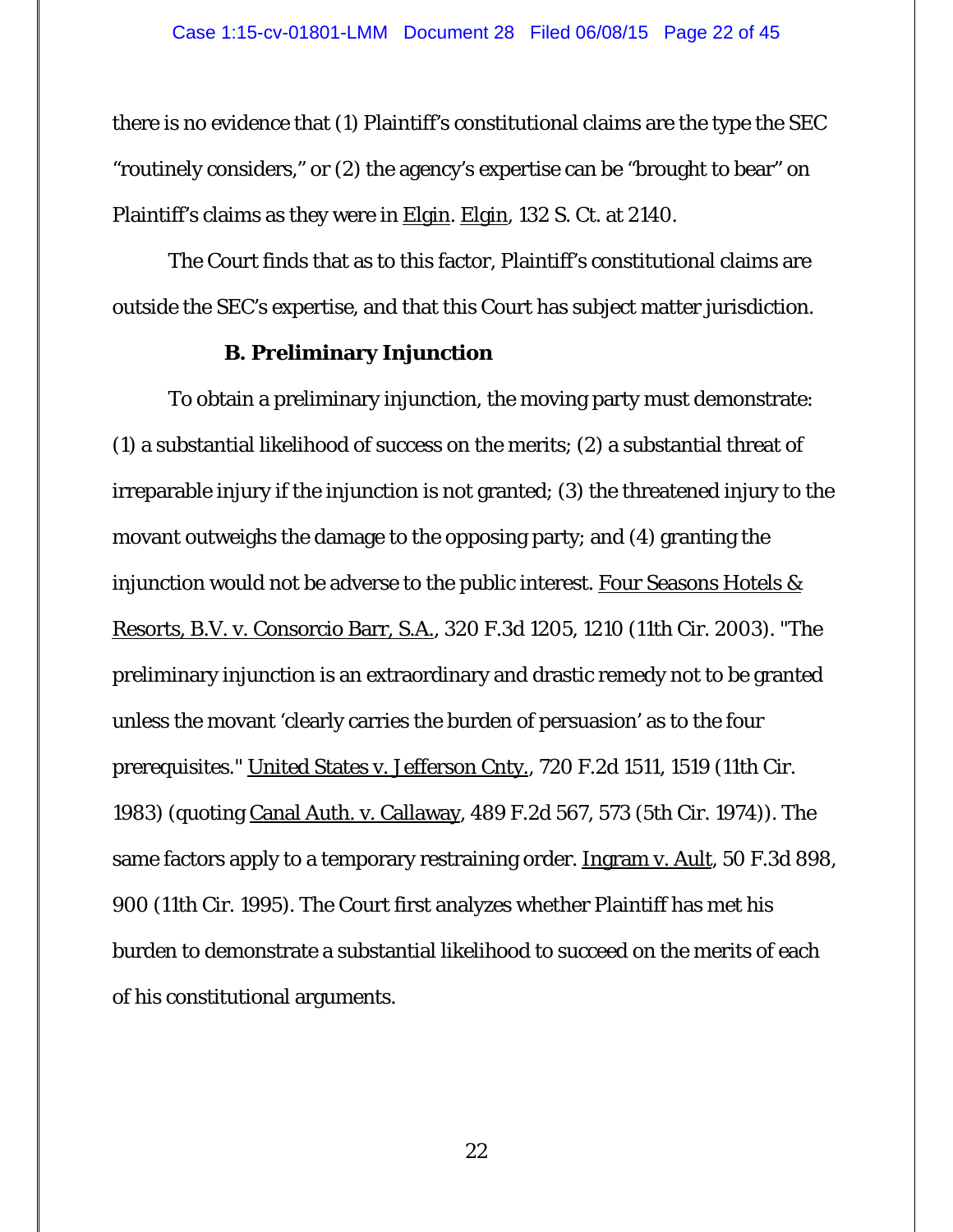there is no evidence that (1) Plaintiff's constitutional claims are the type the SEC "routinely considers," or (2) the agency's expertise can be "brought to bear" on Plaintiff's claims as they were in Elgin. Elgin, 132 S. Ct. at 2140.

The Court finds that as to this factor, Plaintiff's constitutional claims are outside the SEC's expertise, and that this Court has subject matter jurisdiction.

## **B. Preliminary Injunction**

To obtain a preliminary injunction, the moving party must demonstrate: (1) a substantial likelihood of success on the merits; (2) a substantial threat of irreparable injury if the injunction is not granted; (3) the threatened injury to the movant outweighs the damage to the opposing party; and (4) granting the injunction would not be adverse to the public interest. Four Seasons Hotels  $\&$ Resorts, B.V. v. Consorcio Barr, S.A., 320 F.3d 1205, 1210 (11th Cir. 2003). "The preliminary injunction is an extraordinary and drastic remedy not to be granted unless the movant 'clearly carries the burden of persuasion' as to the four prerequisites." United States v. Jefferson Cnty., 720 F.2d 1511, 1519 (11th Cir. 1983) (quoting Canal Auth. v. Callaway, 489 F.2d 567, 573 (5th Cir. 1974)). The same factors apply to a temporary restraining order. Ingram v. Ault, 50 F.3d 898, 900 (11th Cir. 1995). The Court first analyzes whether Plaintiff has met his burden to demonstrate a substantial likelihood to succeed on the merits of each of his constitutional arguments.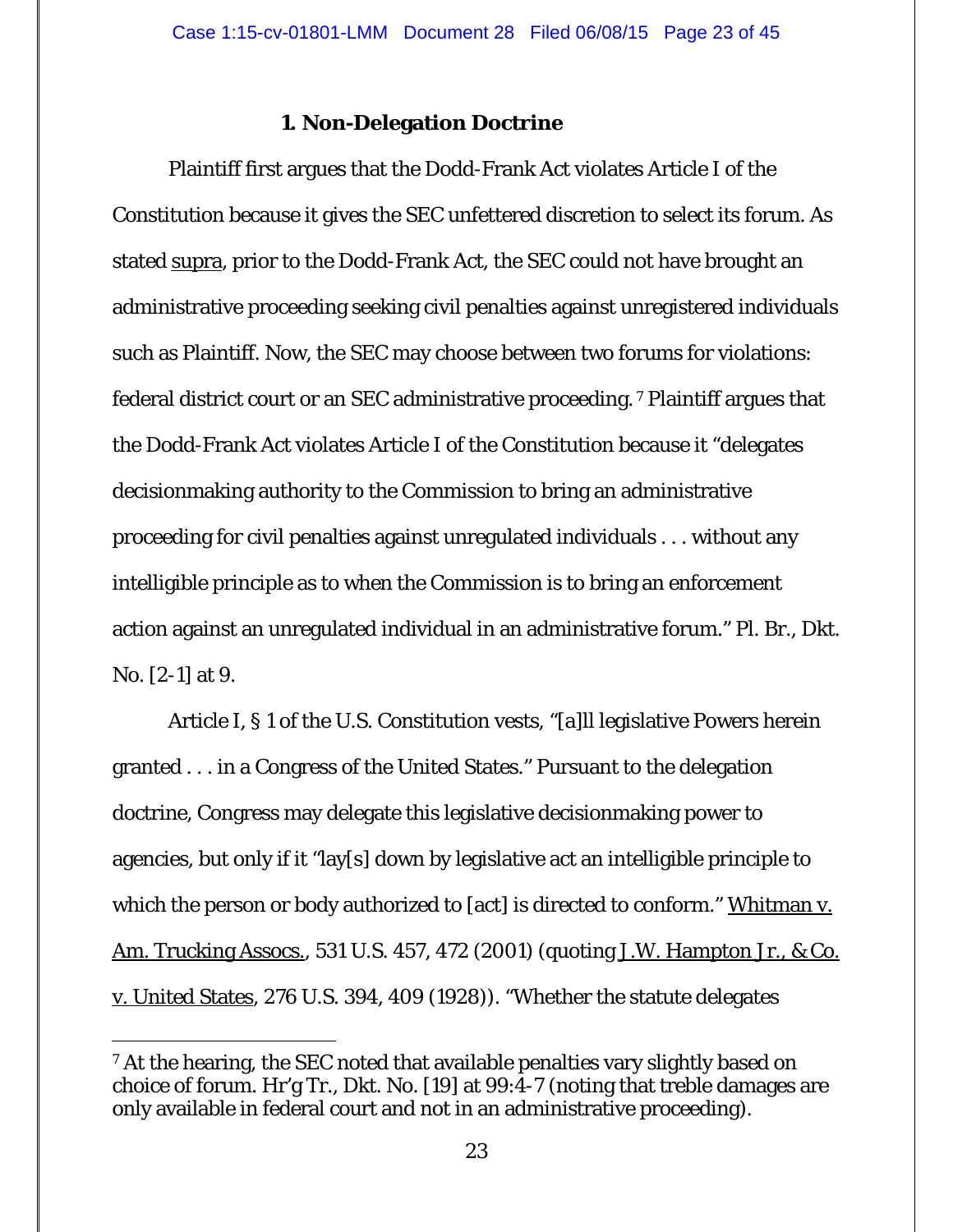## **1. Non-Delegation Doctrine**

 Plaintiff first argues that the Dodd-Frank Act violates Article I of the Constitution because it gives the SEC unfettered discretion to select its forum. As stated supra, prior to the Dodd-Frank Act, the SEC could not have brought an administrative proceeding seeking civil penalties against unregistered individuals such as Plaintiff. Now, the SEC may choose between two forums for violations: federal district court or an SEC administrative proceeding. 7 Plaintiff argues that the Dodd-Frank Act violates Article I of the Constitution because it "delegates decisionmaking authority to the Commission to bring an administrative proceeding for civil penalties against unregulated individuals . . . without any intelligible principle as to when the Commission is to bring an enforcement action against an unregulated individual in an administrative forum." Pl. Br., Dkt. No. [2-1] at 9.

Article I, § 1 of the U.S. Constitution vests, "[a]ll legislative Powers herein granted . . . in a Congress of the United States." Pursuant to the delegation doctrine, Congress may delegate this legislative decisionmaking power to agencies, but only if it "lay[s] down by legislative act an intelligible principle to which the person or body authorized to [act] is directed to conform." Whitman v. Am. Trucking Assocs., 531 U.S. 457, 472 (2001) (quoting J.W. Hampton Jr., & Co. v. United States, 276 U.S. 394, 409 (1928)). "Whether the statute delegates

 $\overline{a}$ 

<sup>&</sup>lt;sup>7</sup> At the hearing, the SEC noted that available penalties vary slightly based on choice of forum. Hr'g Tr., Dkt. No. [19] at 99:4-7 (noting that treble damages are only available in federal court and not in an administrative proceeding).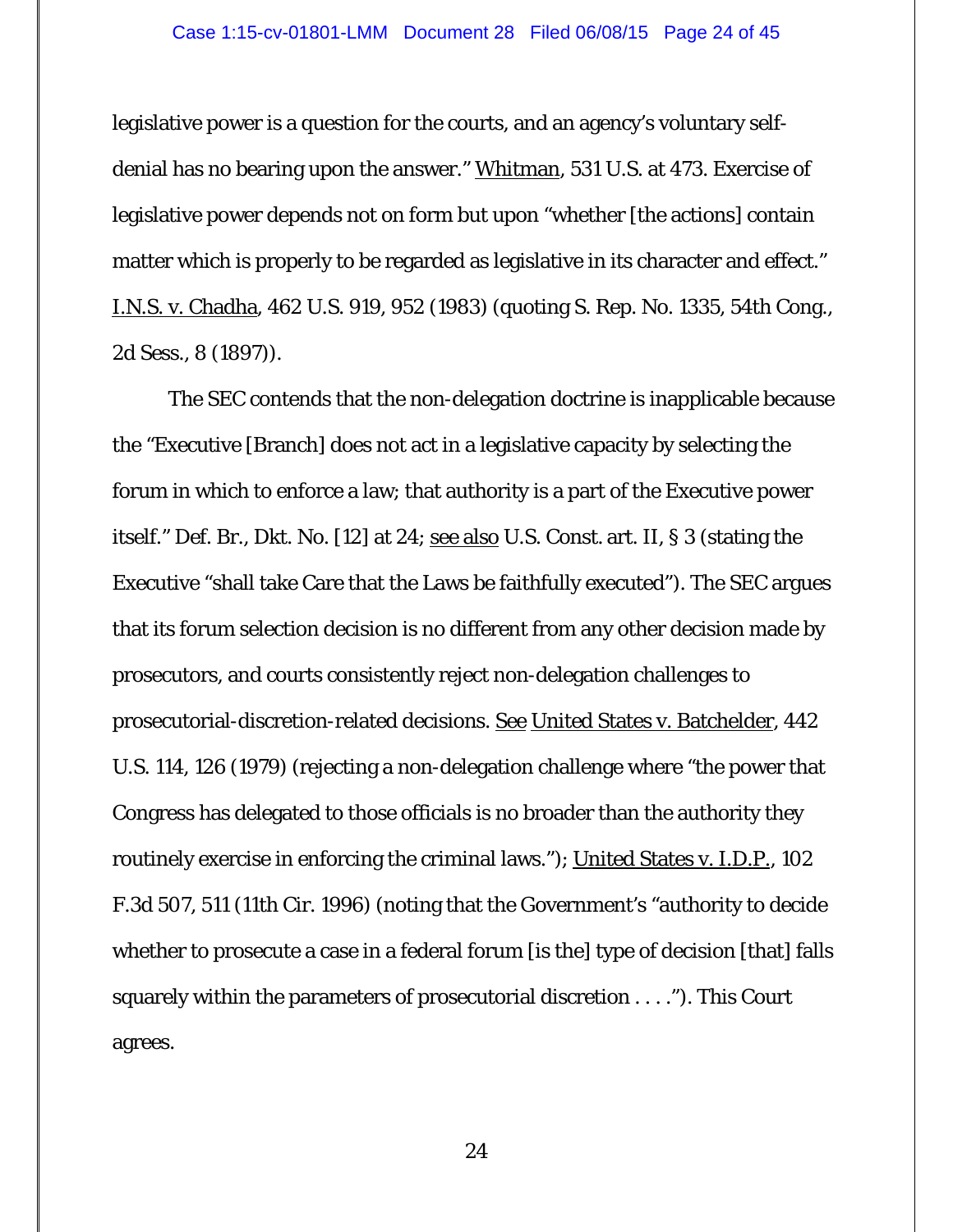legislative power is a question for the courts, and an agency's voluntary selfdenial has no bearing upon the answer." Whitman, 531 U.S. at 473. Exercise of legislative power depends not on form but upon "whether [the actions] contain matter which is properly to be regarded as legislative in its character and effect." I.N.S. v. Chadha, 462 U.S. 919, 952 (1983) (quoting S. Rep. No. 1335, 54th Cong., 2d Sess., 8 (1897)).

 The SEC contends that the non-delegation doctrine is inapplicable because the "Executive [Branch] does not act in a legislative capacity by selecting the forum in which to enforce a law; that authority is a part of the Executive power itself." Def. Br., Dkt. No. [12] at 24; see also U.S. Const. art. II, § 3 (stating the Executive "shall take Care that the Laws be faithfully executed"). The SEC argues that its forum selection decision is no different from any other decision made by prosecutors, and courts consistently reject non-delegation challenges to prosecutorial-discretion-related decisions. See United States v. Batchelder, 442 U.S. 114, 126 (1979) (rejecting a non-delegation challenge where "the power that Congress has delegated to those officials is no broader than the authority they routinely exercise in enforcing the criminal laws."); United States v. I.D.P., 102 F.3d 507, 511 (11th Cir. 1996) (noting that the Government's "authority to decide whether to prosecute a case in a federal forum [is the] type of decision [that] falls squarely within the parameters of prosecutorial discretion . . . ."). This Court agrees.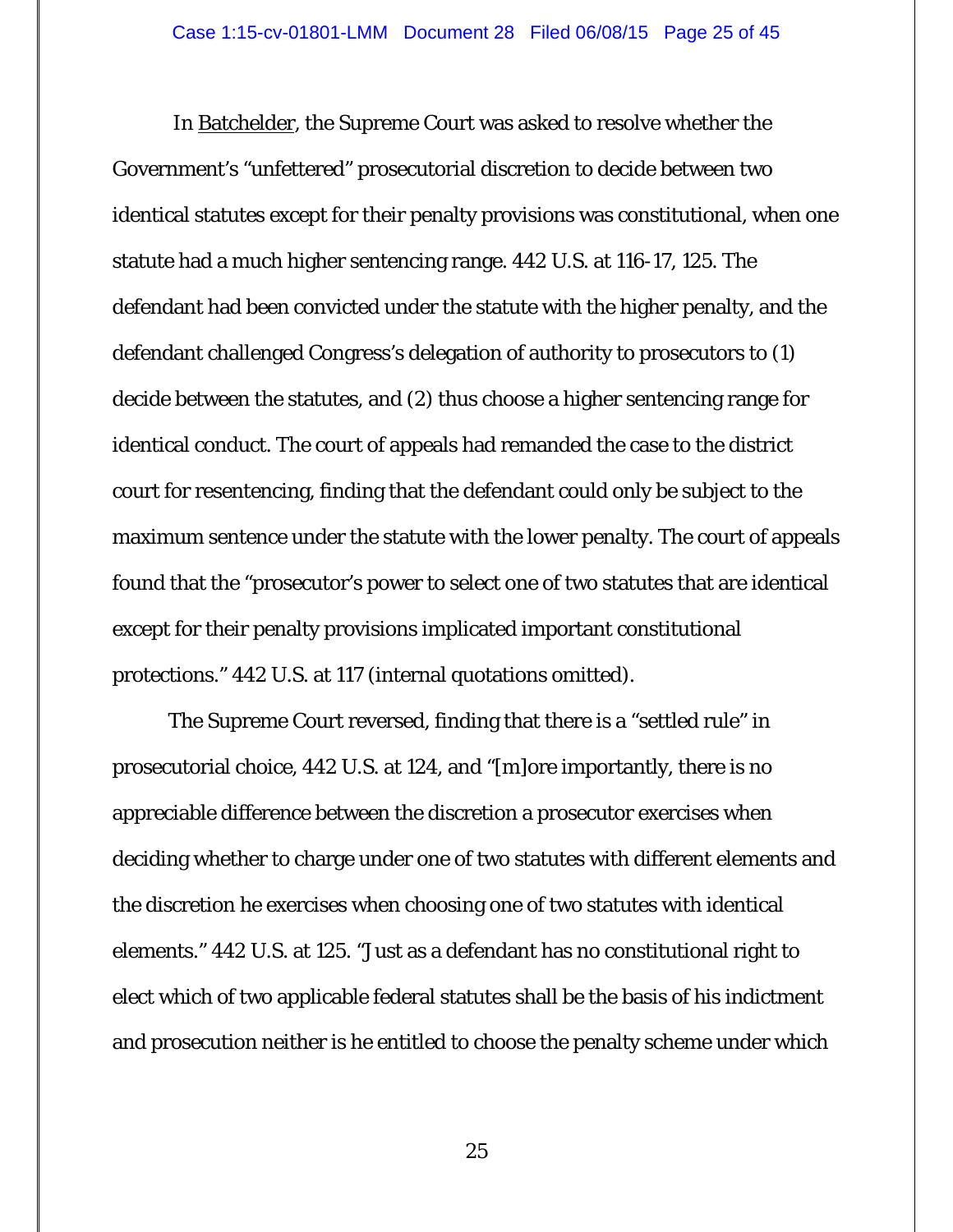In Batchelder, the Supreme Court was asked to resolve whether the Government's "unfettered" prosecutorial discretion to decide between two identical statutes except for their penalty provisions was constitutional, when one statute had a much higher sentencing range. 442 U.S. at 116-17, 125. The defendant had been convicted under the statute with the higher penalty, and the defendant challenged Congress's delegation of authority to prosecutors to (1) decide between the statutes, and (2) thus choose a higher sentencing range for identical conduct. The court of appeals had remanded the case to the district court for resentencing, finding that the defendant could only be subject to the maximum sentence under the statute with the lower penalty. The court of appeals found that the "prosecutor's power to select one of two statutes that are identical except for their penalty provisions implicated important constitutional protections." 442 U.S. at 117 (internal quotations omitted).

 The Supreme Court reversed, finding that there is a "settled rule" in prosecutorial choice, 442 U.S. at 124, and "[m]ore importantly, there is no appreciable difference between the discretion a prosecutor exercises when deciding whether to charge under one of two statutes with different elements and the discretion he exercises when choosing one of two statutes with identical elements." 442 U.S. at 125. "Just as a defendant has no constitutional right to elect which of two applicable federal statutes shall be the basis of his indictment and prosecution neither is he entitled to choose the penalty scheme under which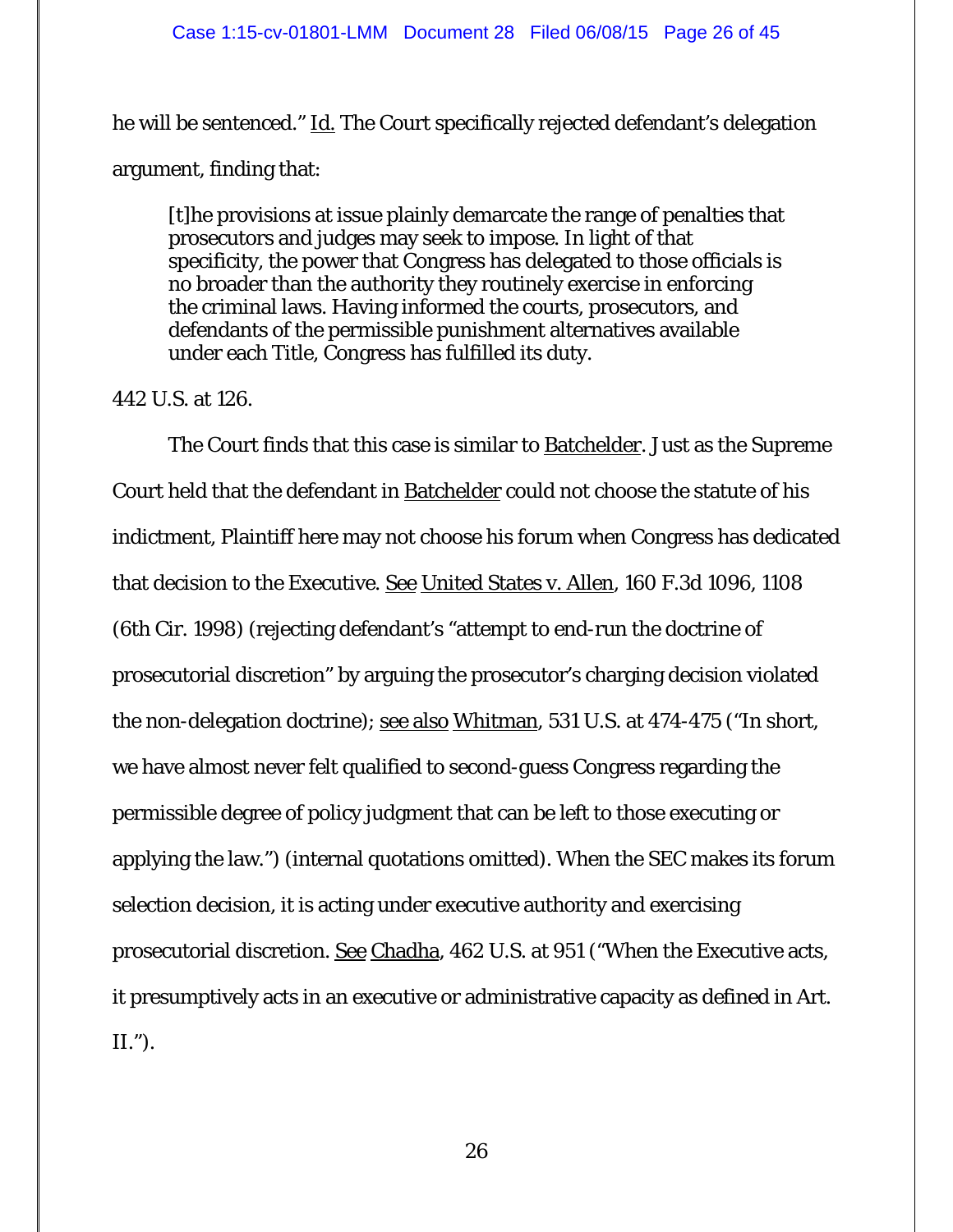he will be sentenced." Id. The Court specifically rejected defendant's delegation argument, finding that:

[t]he provisions at issue plainly demarcate the range of penalties that prosecutors and judges may seek to impose. In light of that specificity, the power that Congress has delegated to those officials is no broader than the authority they routinely exercise in enforcing the criminal laws. Having informed the courts, prosecutors, and defendants of the permissible punishment alternatives available under each Title, Congress has fulfilled its duty.

## 442 U.S. at 126.

 The Court finds that this case is similar to Batchelder. Just as the Supreme Court held that the defendant in Batchelder could not choose the statute of his indictment, Plaintiff here may not choose his forum when Congress has dedicated that decision to the Executive. See United States v. Allen, 160 F.3d 1096, 1108 (6th Cir. 1998) (rejecting defendant's "attempt to end-run the doctrine of prosecutorial discretion" by arguing the prosecutor's charging decision violated the non-delegation doctrine); <u>see also Whitman</u>, 531 U.S. at 474-475 ("In short, we have almost never felt qualified to second-guess Congress regarding the permissible degree of policy judgment that can be left to those executing or applying the law.") (internal quotations omitted). When the SEC makes its forum selection decision, it is acting under executive authority and exercising prosecutorial discretion. See Chadha, 462 U.S. at 951 ("When the Executive acts, it presumptively acts in an executive or administrative capacity as defined in Art. II.").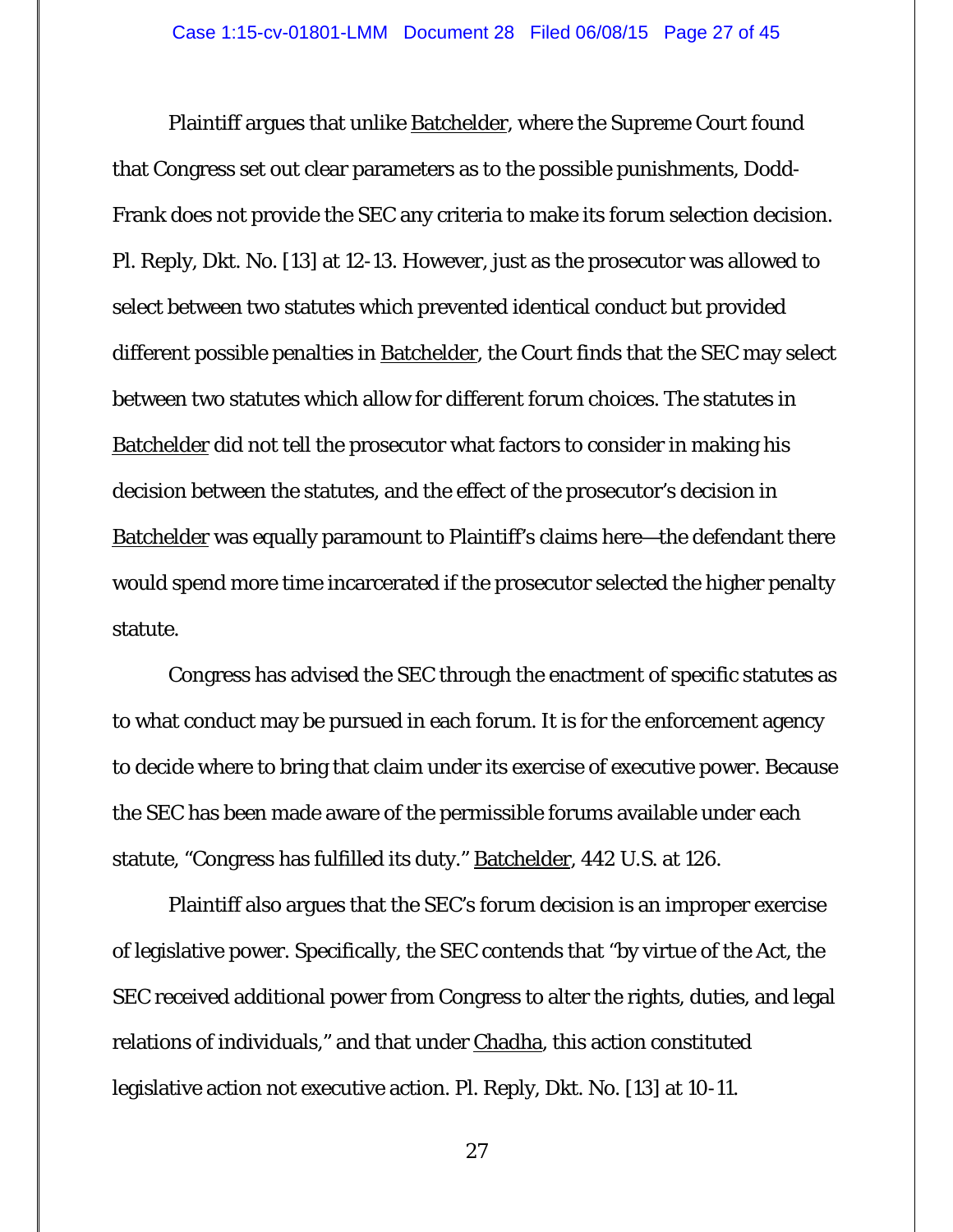Plaintiff argues that unlike Batchelder, where the Supreme Court found that Congress set out clear parameters as to the possible punishments, Dodd-Frank does not provide the SEC any criteria to make its forum selection decision. Pl. Reply, Dkt. No. [13] at 12-13. However, just as the prosecutor was allowed to select between two statutes which prevented identical conduct but provided different possible penalties in Batchelder, the Court finds that the SEC may select between two statutes which allow for different forum choices. The statutes in Batchelder did not tell the prosecutor what factors to consider in making his decision between the statutes, and the effect of the prosecutor's decision in Batchelder was equally paramount to Plaintiff's claims here—the defendant there would spend more time incarcerated if the prosecutor selected the higher penalty statute.

Congress has advised the SEC through the enactment of specific statutes as to what conduct may be pursued in each forum. It is for the enforcement agency to decide where to bring that claim under its exercise of executive power. Because the SEC has been made aware of the permissible forums available under each statute, "Congress has fulfilled its duty." Batchelder, 442 U.S. at 126.

Plaintiff also argues that the SEC's forum decision is an improper exercise of legislative power. Specifically, the SEC contends that "by virtue of the Act, the SEC received additional power from Congress to alter the rights, duties, and legal relations of individuals," and that under *Chadha*, this action constituted legislative action not executive action. Pl. Reply, Dkt. No. [13] at 10-11.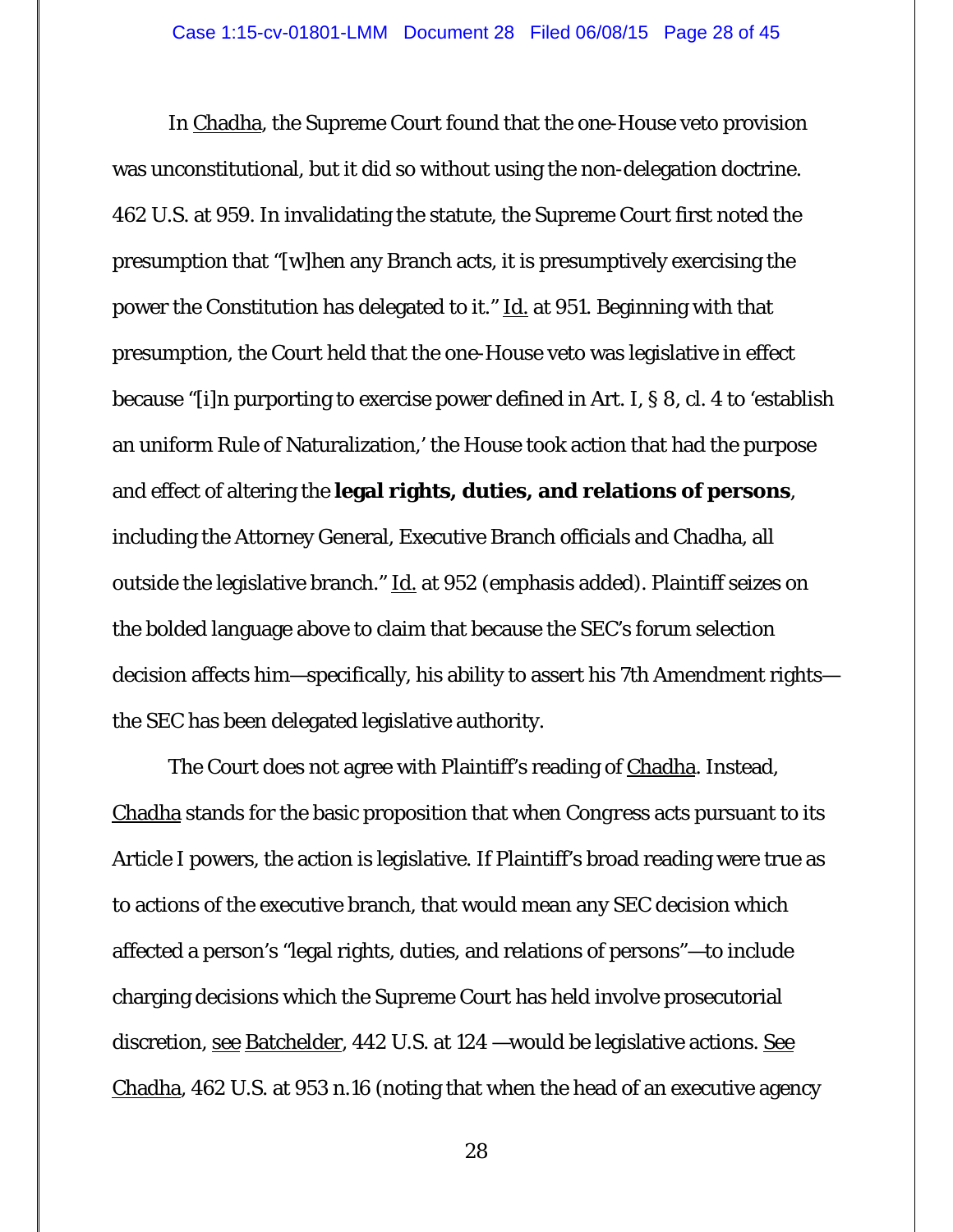In Chadha, the Supreme Court found that the one-House veto provision was unconstitutional, but it did so without using the non-delegation doctrine. 462 U.S. at 959. In invalidating the statute, the Supreme Court first noted the presumption that "[w]hen any Branch acts, it is presumptively exercising the power the Constitution has delegated to it." Id. at 951. Beginning with that presumption, the Court held that the one-House veto was legislative in effect because "[i]n purporting to exercise power defined in Art. I, § 8, cl. 4 to 'establish an uniform Rule of Naturalization,' the House took action that had the purpose and effect of altering the **legal rights, duties, and relations of persons**, including the Attorney General, Executive Branch officials and Chadha, all outside the legislative branch." Id. at 952 (emphasis added). Plaintiff seizes on the bolded language above to claim that because the SEC's forum selection decision affects him—specifically, his ability to assert his 7th Amendment rights the SEC has been delegated legislative authority.

 The Court does not agree with Plaintiff's reading of Chadha. Instead, Chadha stands for the basic proposition that when *Congress* acts pursuant to its Article I powers, the action is legislative. If Plaintiff's broad reading were true as to actions of the executive branch, that would mean any SEC decision which affected a person's "legal rights, duties, and relations of persons"—to include charging decisions which the Supreme Court has held involve prosecutorial discretion, <u>see Batchelder</u>, 442 U.S. at 124 —would be legislative actions. See Chadha, 462 U.S. at 953 n.16 (noting that when the head of an executive agency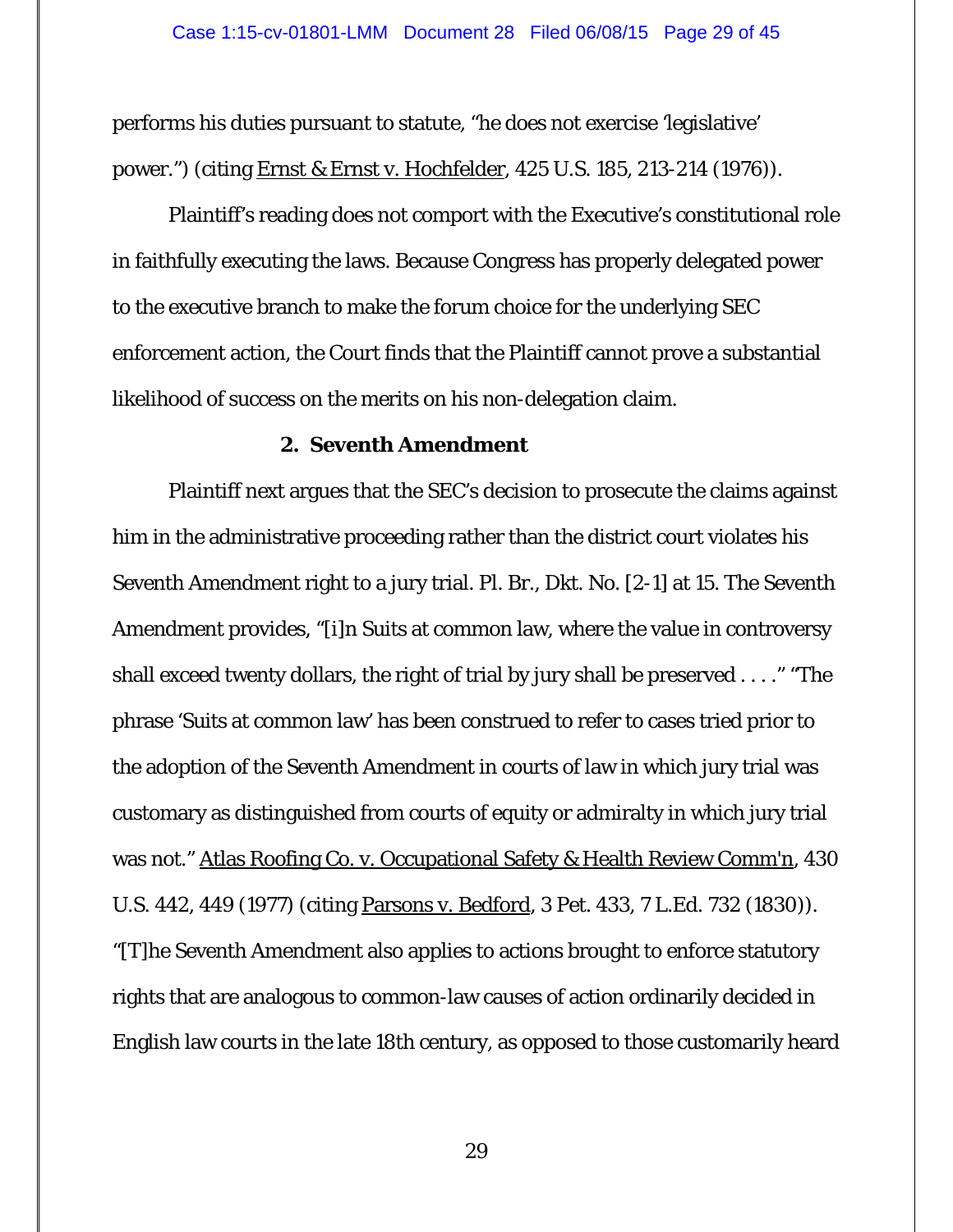performs his duties pursuant to statute, "he does not exercise 'legislative' power.") (citing Ernst & Ernst v. Hochfelder, 425 U.S. 185, 213-214 (1976)).

Plaintiff's reading does not comport with the Executive's constitutional role in faithfully executing the laws. Because Congress has properly delegated power to the executive branch to make the forum choice for the underlying SEC enforcement action, the Court finds that the Plaintiff cannot prove a substantial likelihood of success on the merits on his non-delegation claim.

## **2. Seventh Amendment**

 Plaintiff next argues that the SEC's decision to prosecute the claims against him in the administrative proceeding rather than the district court violates his Seventh Amendment right to a jury trial. Pl. Br., Dkt. No. [2-1] at 15. The Seventh Amendment provides, "[i]n Suits at common law, where the value in controversy shall exceed twenty dollars, the right of trial by jury shall be preserved . . . ." "The phrase 'Suits at common law' has been construed to refer to cases tried prior to the adoption of the Seventh Amendment in courts of law in which jury trial was customary as distinguished from courts of equity or admiralty in which jury trial was not." Atlas Roofing Co. v. Occupational Safety & Health Review Comm'n, 430 U.S. 442, 449 (1977) (citing Parsons v. Bedford, 3 Pet. 433, 7 L.Ed. 732 (1830)). "[T]he Seventh Amendment also applies to actions brought to enforce statutory rights that are analogous to common-law causes of action ordinarily decided in English law courts in the late 18th century, as opposed to those customarily heard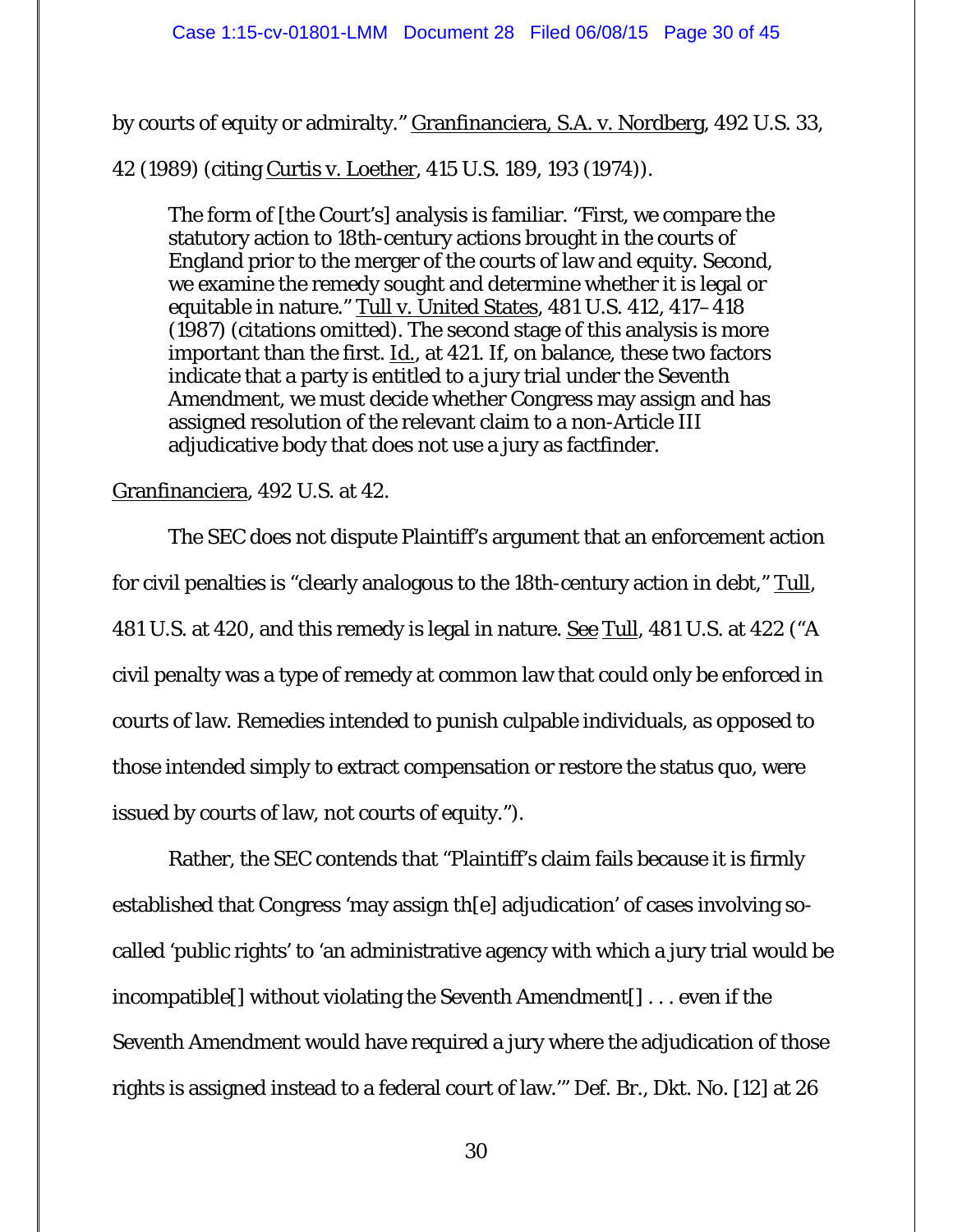by courts of equity or admiralty." Granfinanciera, S.A. v. Nordberg, 492 U.S. 33,

42 (1989) (citing Curtis v. Loether*,* 415 U.S. 189, 193 (1974)).

The form of [the Court's] analysis is familiar. "First, we compare the statutory action to 18th-century actions brought in the courts of England prior to the merger of the courts of law and equity. Second, we examine the remedy sought and determine whether it is legal or equitable in nature." Tull v. United States*,* 481 U.S. 412, 417–418 (1987) (citations omitted). The second stage of this analysis is more important than the first. Id.*,* at 421. If, on balance, these two factors indicate that a party is entitled to a jury trial under the Seventh Amendment, we must decide whether Congress may assign and has assigned resolution of the relevant claim to a non-Article III adjudicative body that does not use a jury as factfinder.

## Granfinanciera, 492 U.S. at 42.

 The SEC does not dispute Plaintiff's argument that an enforcement action for civil penalties is "clearly analogous to the 18th-century action in debt," Tull, 481 U.S. at 420, and this remedy is legal in nature. See Tull, 481 U.S. at 422 ("A civil penalty was a type of remedy at common law that could only be enforced in courts of law. Remedies intended to punish culpable individuals, as opposed to those intended simply to extract compensation or restore the status quo, were issued by courts of law, not courts of equity.").

Rather, the SEC contends that "Plaintiff's claim fails because it is firmly established that Congress 'may assign th[e] adjudication' of cases involving socalled 'public rights' to 'an administrative agency with which a jury trial would be incompatible[] without violating the Seventh Amendment[] . . . even if the Seventh Amendment would have required a jury where the adjudication of those rights is assigned instead to a federal court of law.'" Def. Br., Dkt. No. [12] at 26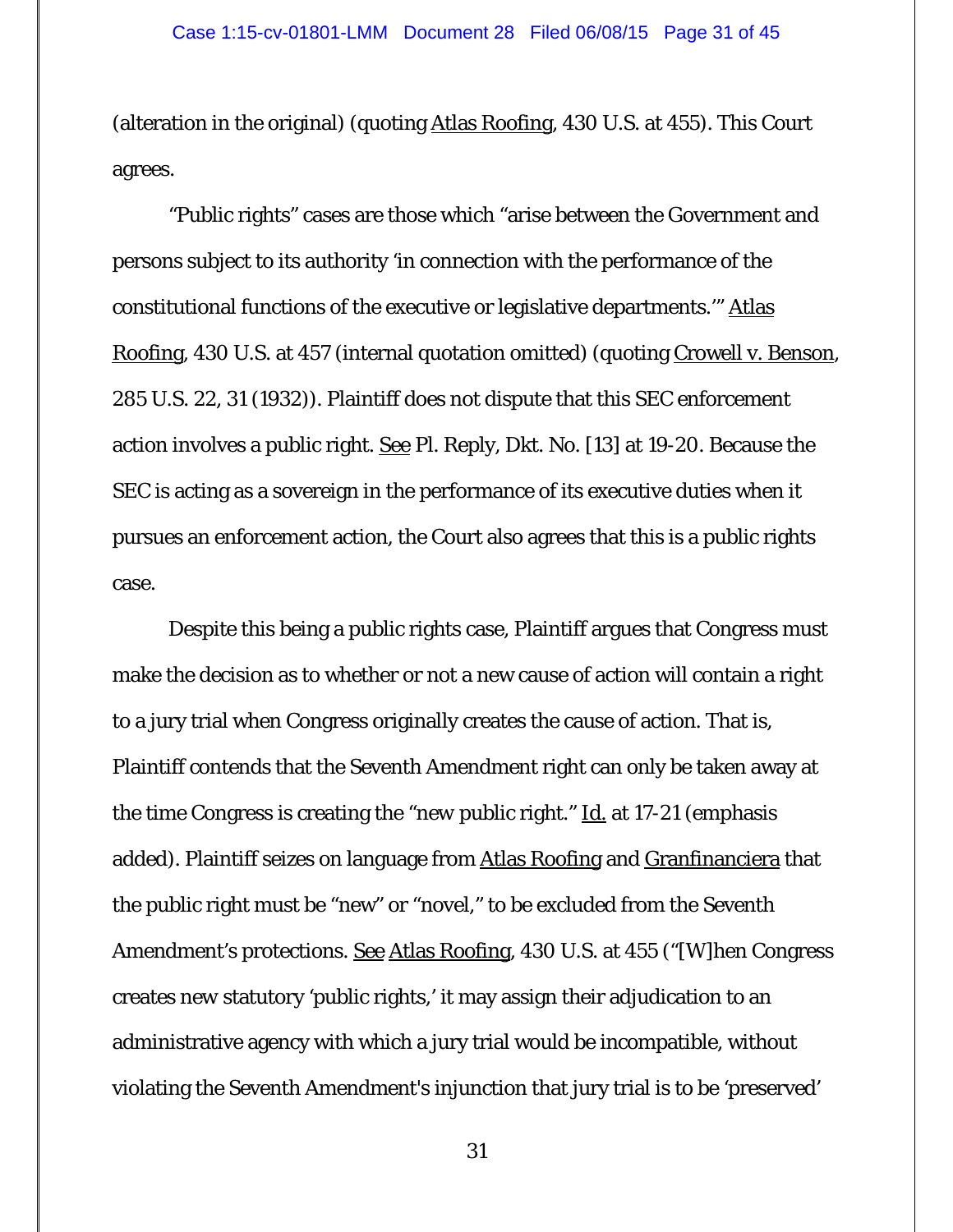(alteration in the original) (quoting Atlas Roofing, 430 U.S. at 455). This Court agrees.

 "Public rights" cases are those which "arise between the Government and persons subject to its authority 'in connection with the performance of the constitutional functions of the executive or legislative departments.'" Atlas Roofing, 430 U.S. at 457 (internal quotation omitted) (quoting Crowell v. Benson, 285 U.S. 22, 31 (1932)). Plaintiff does not dispute that this SEC enforcement action involves a public right. See Pl. Reply, Dkt. No. [13] at 19-20. Because the SEC is acting as a sovereign in the performance of its executive duties when it pursues an enforcement action, the Court also agrees that this is a public rights case.

Despite this being a public rights case, Plaintiff argues that Congress must make the decision as to whether or not a new cause of action will contain a right to a jury trial when Congress originally creates the cause of action. That is, Plaintiff contends that the Seventh Amendment right can only be taken away at the time Congress is creating the "*new* public right." Id. at 17-21 (emphasis added). Plaintiff seizes on language from Atlas Roofing and Granfinanciera that the public right must be "new" or "novel," to be excluded from the Seventh Amendment's protections. See Atlas Roofing, 430 U.S. at 455 ("[W]hen Congress creates *new* statutory 'public rights,' it may assign their adjudication to an administrative agency with which a jury trial would be incompatible, without violating the Seventh Amendment's injunction that jury trial is to be 'preserved'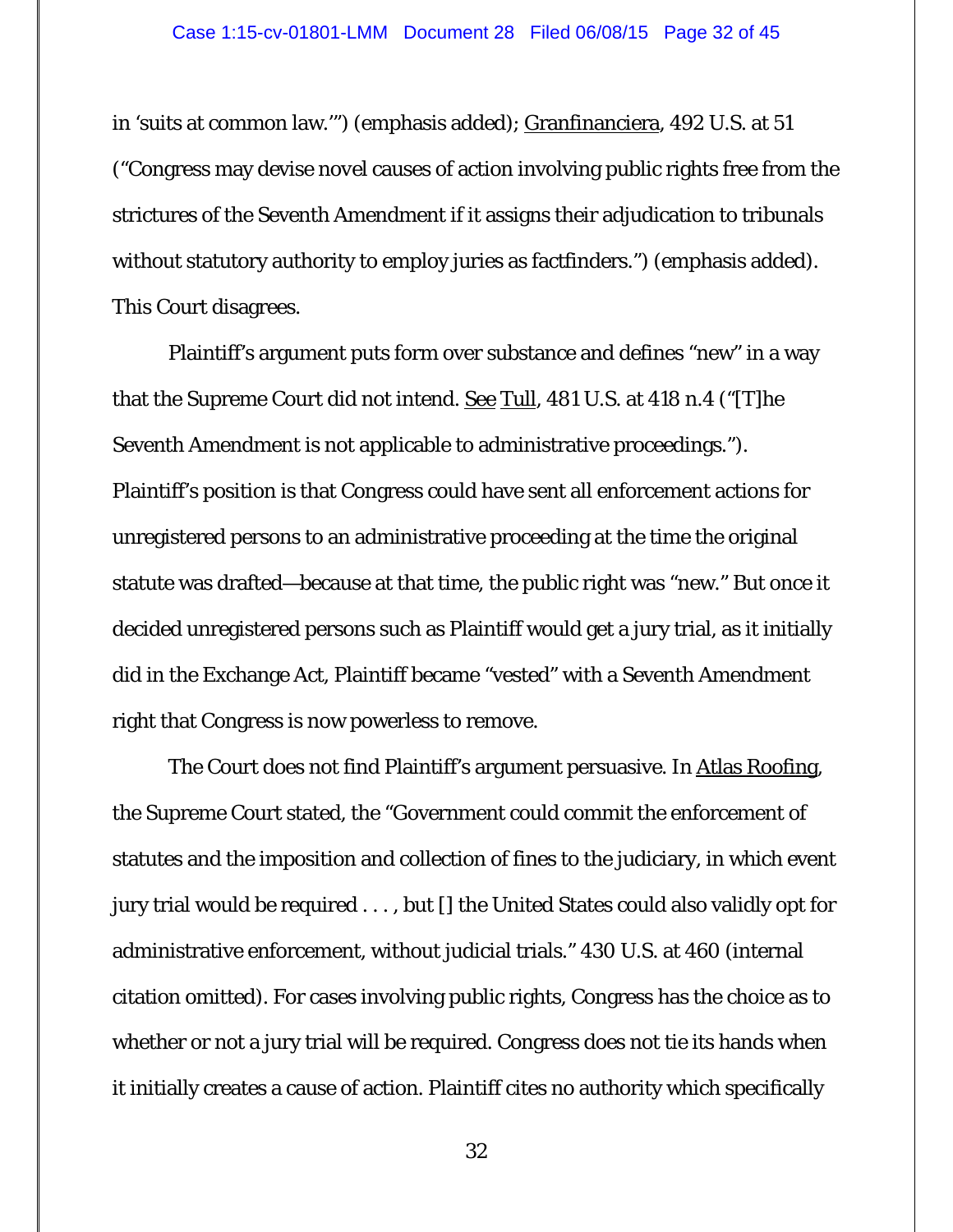in 'suits at common law.'") (emphasis added); Granfinanciera, 492 U.S. at 51 ("Congress may devise *novel* causes of action involving public rights free from the strictures of the Seventh Amendment if it assigns their adjudication to tribunals without statutory authority to employ juries as factfinders.") (emphasis added). This Court disagrees.

Plaintiff's argument puts form over substance and defines "new" in a way that the Supreme Court did not intend. <u>See Tull</u>, 481 U.S. at 418 n.4 ("[T]he Seventh Amendment is not applicable to administrative proceedings."). Plaintiff's position is that Congress could have sent all enforcement actions for unregistered persons to an administrative proceeding at the time the original statute was drafted—because at that time, the public right was "new." But once it decided unregistered persons such as Plaintiff would get a jury trial, as it initially did in the Exchange Act, Plaintiff became "vested" with a Seventh Amendment right that Congress is now powerless to remove.

The Court does not find Plaintiff's argument persuasive. In Atlas Roofing, the Supreme Court stated, the "Government could commit the enforcement of statutes and the imposition and collection of fines to the judiciary, in which event jury trial would be required . . . , but [] the United States could also validly opt for administrative enforcement, without judicial trials." 430 U.S. at 460 (internal citation omitted). For cases involving public rights, Congress has the choice as to whether or not a jury trial will be required. Congress does not tie its hands when it initially creates a cause of action. Plaintiff cites no authority which specifically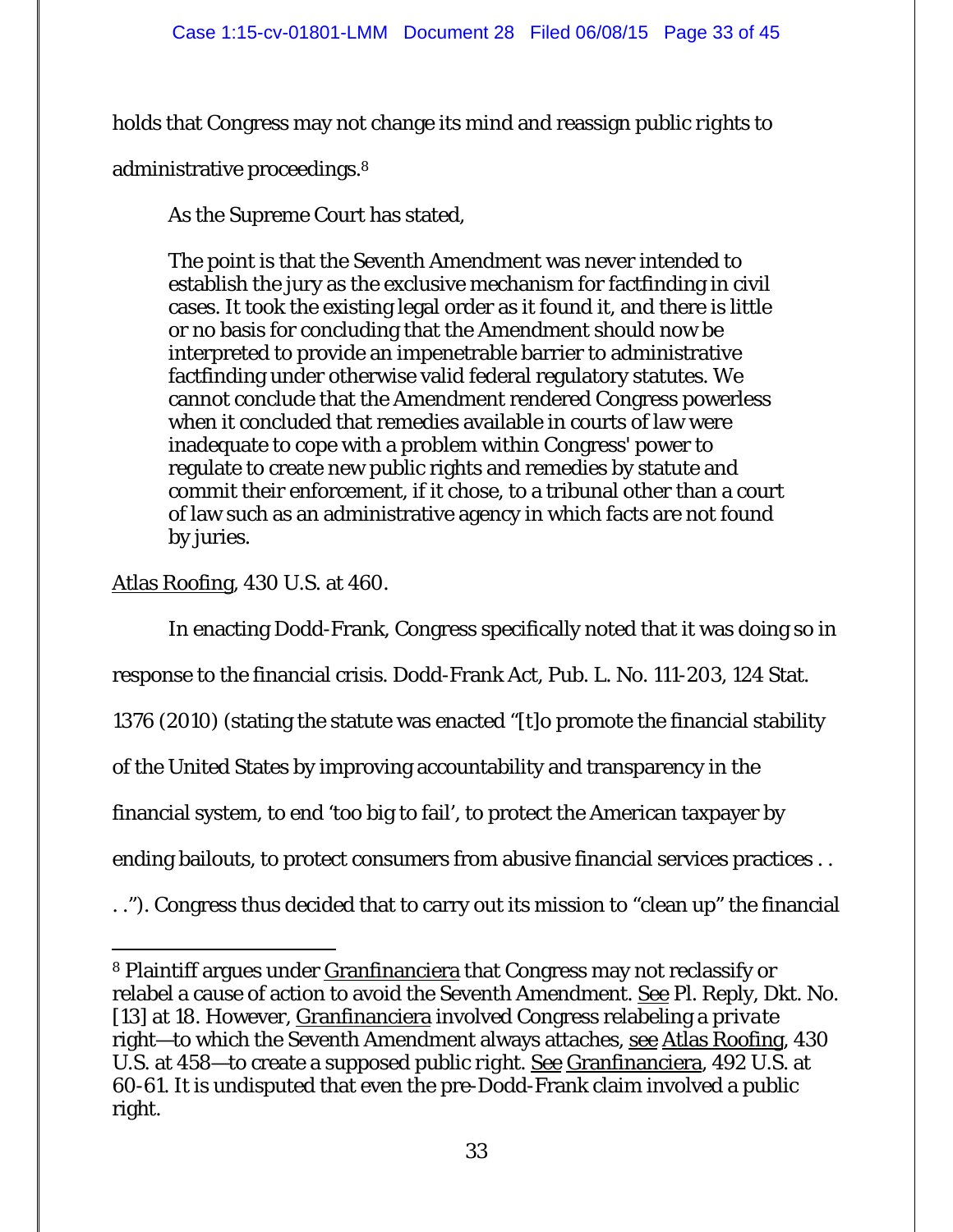holds that Congress may not change its mind and reassign *public rights* to

administrative proceedings.8

As the Supreme Court has stated,

The point is that the Seventh Amendment was never intended to establish the jury as the exclusive mechanism for factfinding in civil cases. It took the existing legal order as it found it, and there is little or no basis for concluding that the Amendment should now be interpreted to provide an impenetrable barrier to administrative factfinding under otherwise valid federal regulatory statutes. We cannot conclude that the Amendment rendered Congress powerless when it concluded that remedies available in courts of law were inadequate to cope with a problem within Congress' power to regulate to create new public rights and remedies by statute and commit their enforcement, if it chose, to a tribunal other than a court of law such as an administrative agency in which facts are not found by juries.

Atlas Roofing, 430 U.S. at 460.

In enacting Dodd-Frank, Congress specifically noted that it was doing so in

response to the financial crisis. Dodd-Frank Act, Pub. L. No. 111-203, 124 Stat.

1376 (2010) (stating the statute was enacted "[t]o promote the financial stability

of the United States by improving accountability and transparency in the

financial system, to end 'too big to fail', to protect the American taxpayer by

ending bailouts, to protect consumers from abusive financial services practices . .

. ."). Congress thus decided that to carry out its mission to "clean up" the financial

 $\overline{a}$ 8 Plaintiff argues under Granfinanciera that Congress may not reclassify or relabel a cause of action to avoid the Seventh Amendment. See Pl. Reply, Dkt. No. [13] at 18. However, Granfinanciera involved Congress relabeling a *private* right—to which the Seventh Amendment always attaches, see Atlas Roofing, 430 U.S. at 458—to create a supposed *public right*. See Granfinanciera, 492 U.S. at 60-61. It is undisputed that even the pre-Dodd-Frank claim involved a public right.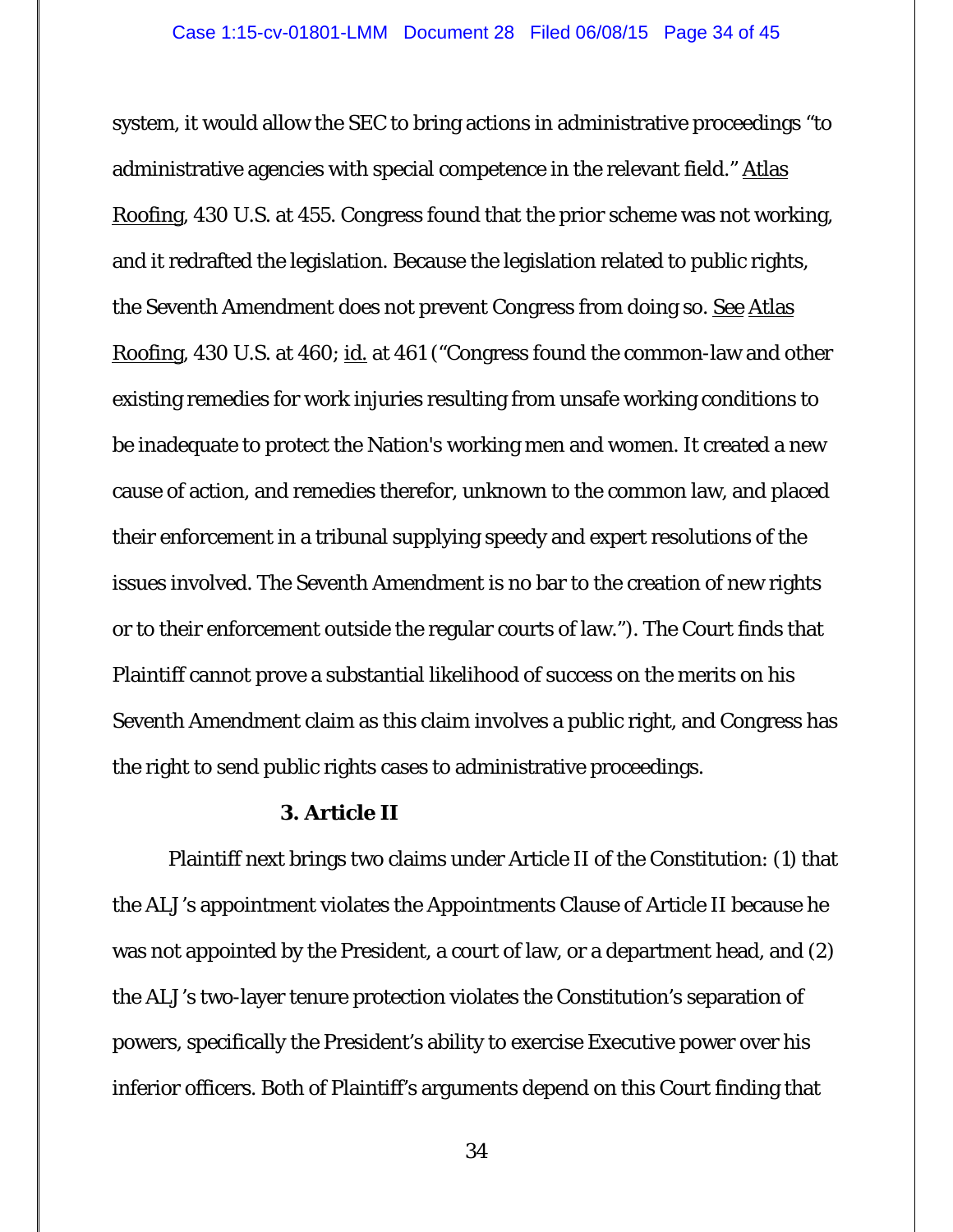system, it would allow the SEC to bring actions in administrative proceedings "to administrative agencies with special competence in the relevant field." Atlas Roofing, 430 U.S. at 455. Congress found that the prior scheme was not working, and it redrafted the legislation. Because the legislation related to public rights, the Seventh Amendment does not prevent Congress from doing so. See Atlas Roofing, 430 U.S. at 460; id. at 461 ("Congress found the common-law and other existing remedies for work injuries resulting from unsafe working conditions to be inadequate to protect the Nation's working men and women. It created a new cause of action, and remedies therefor, unknown to the common law, and placed their enforcement in a tribunal supplying speedy and expert resolutions of the issues involved. The Seventh Amendment is no bar to the creation of new rights or to their enforcement outside the regular courts of law."). The Court finds that Plaintiff cannot prove a substantial likelihood of success on the merits on his Seventh Amendment claim as this claim involves a public right, and Congress has the right to send public rights cases to administrative proceedings.

### **3. Article II**

 Plaintiff next brings two claims under Article II of the Constitution: (1) that the ALJ's appointment violates the Appointments Clause of Article II because he was not appointed by the President, a court of law, or a department head, and (2) the ALJ's two-layer tenure protection violates the Constitution's separation of powers, specifically the President's ability to exercise Executive power over his inferior officers. Both of Plaintiff's arguments depend on this Court finding that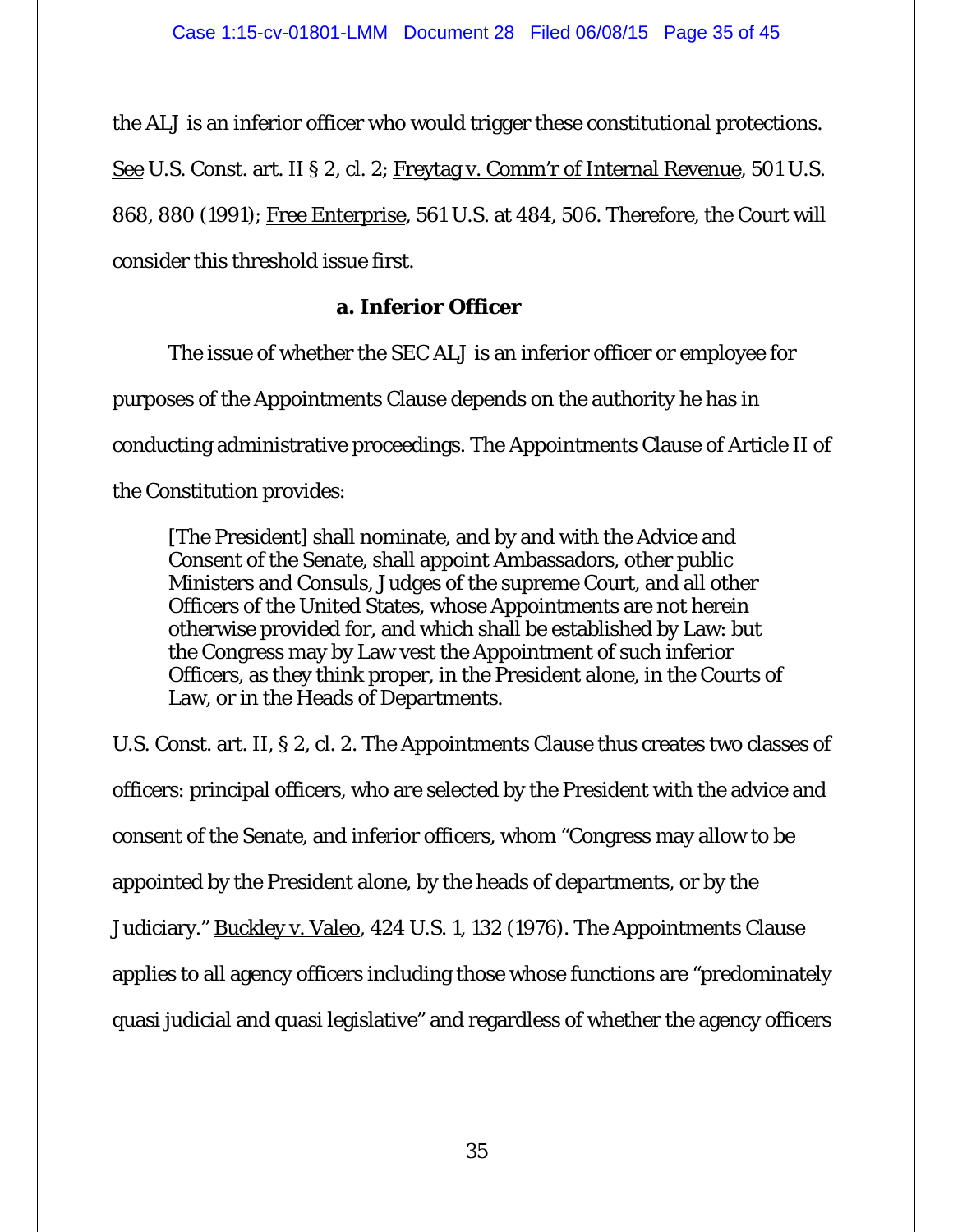the ALJ is an inferior officer who would trigger these constitutional protections. See U.S. Const. art. II § 2, cl. 2; Freytag v. Comm'r of Internal Revenue, 501 U.S. 868, 880 (1991); Free Enterprise, 561 U.S. at 484, 506. Therefore, the Court will consider this threshold issue first.

# **a. Inferior Officer**

 The issue of whether the SEC ALJ is an inferior officer or employee for purposes of the Appointments Clause depends on the authority he has in conducting administrative proceedings. The Appointments Clause of Article II of the Constitution provides:

[The President] shall nominate, and by and with the Advice and Consent of the Senate, shall appoint Ambassadors, other public Ministers and Consuls, Judges of the supreme Court, and all other Officers of the United States, whose Appointments are not herein otherwise provided for, and which shall be established by Law: but the Congress may by Law vest the Appointment of such inferior Officers, as they think proper, in the President alone, in the Courts of Law, or in the Heads of Departments.

U.S. Const. art. II, § 2, cl. 2. The Appointments Clause thus creates two classes of officers: principal officers, who are selected by the President with the advice and consent of the Senate, and inferior officers, whom "Congress may allow to be appointed by the President alone, by the heads of departments, or by the Judiciary." Buckley v. Valeo, 424 U.S. 1, 132 (1976). The Appointments Clause applies to all agency officers including those whose functions are "predominately quasi judicial and quasi legislative" and regardless of whether the agency officers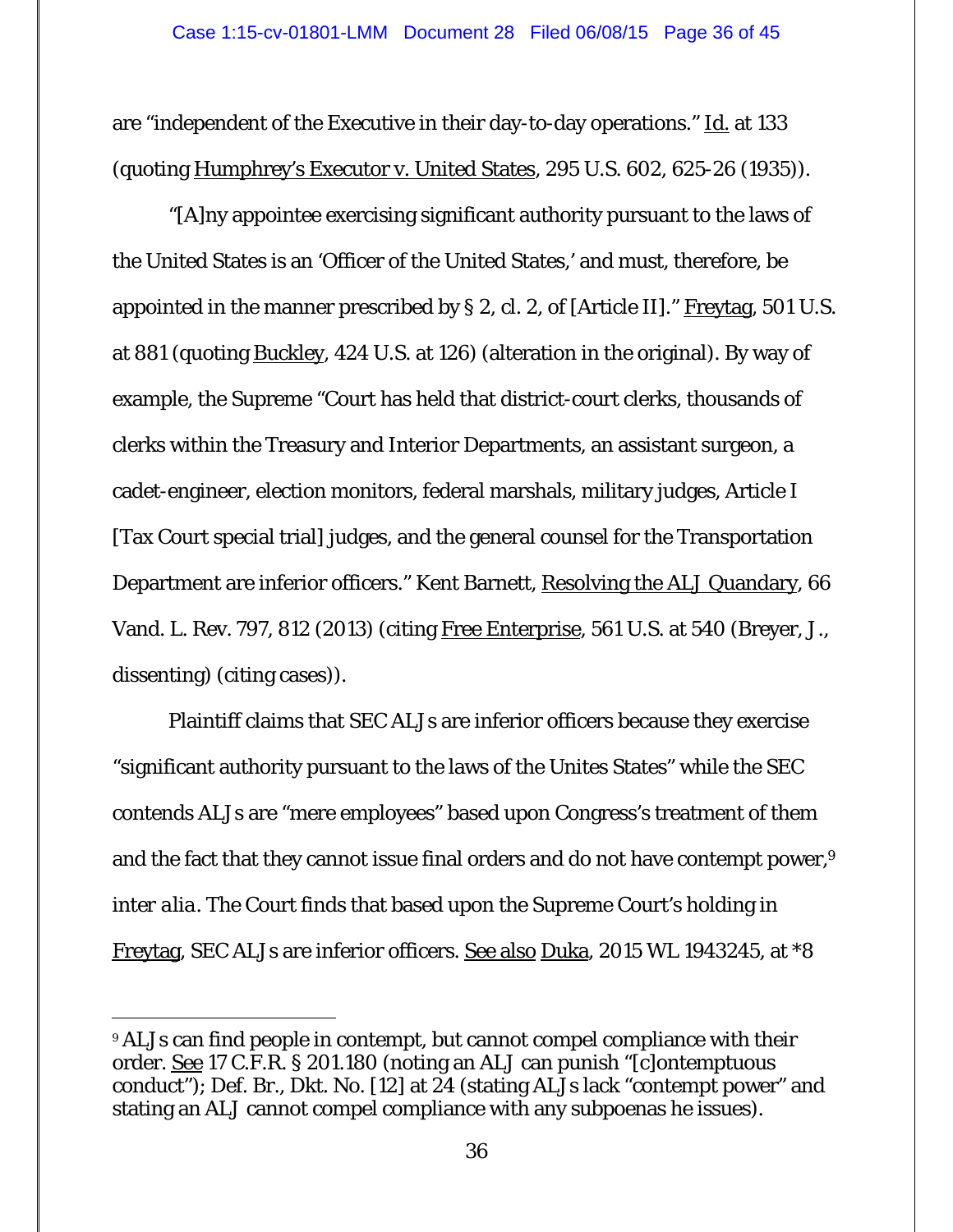are "independent of the Executive in their day-to-day operations." Id. at 133 (quoting Humphrey's Executor v. United States, 295 U.S. 602, 625-26 (1935)).

 "[A]ny appointee exercising significant authority pursuant to the laws of the United States is an 'Officer of the United States,' and must, therefore, be appointed in the manner prescribed by § 2, cl. 2, of [Article II]." Freytag, 501 U.S. at 881 (quoting Buckley, 424 U.S. at 126) (alteration in the original). By way of example, the Supreme "Court has held that district-court clerks, thousands of clerks within the Treasury and Interior Departments, an assistant surgeon, a cadet-engineer, election monitors, federal marshals, military judges, Article I [Tax Court special trial] judges, and the general counsel for the Transportation Department are inferior officers." Kent Barnett, Resolving the ALJ Quandary, 66 Vand. L. Rev. 797, 812 (2013) (citing Free Enterprise, 561 U.S. at 540 (Breyer, J., dissenting) (citing cases)).

 Plaintiff claims that SEC ALJs are inferior officers because they exercise "significant authority pursuant to the laws of the Unites States" while the SEC contends ALJs are "mere employees" based upon Congress's treatment of them and the fact that they cannot issue final orders and do not have contempt power,<sup>9</sup> *inter alia*. The Court finds that based upon the Supreme Court's holding in Freytag, SEC ALJs are inferior officers. See also Duka, 2015 WL 1943245, at \*8

<sup>9</sup> ALJs can find people in contempt, but cannot compel compliance with their order. See 17 C.F.R. § 201.180 (noting an ALJ can punish "[c]ontemptuous conduct"); Def. Br., Dkt. No. [12] at 24 (stating ALJs lack "contempt power" and stating an ALJ cannot compel compliance with any subpoenas he issues).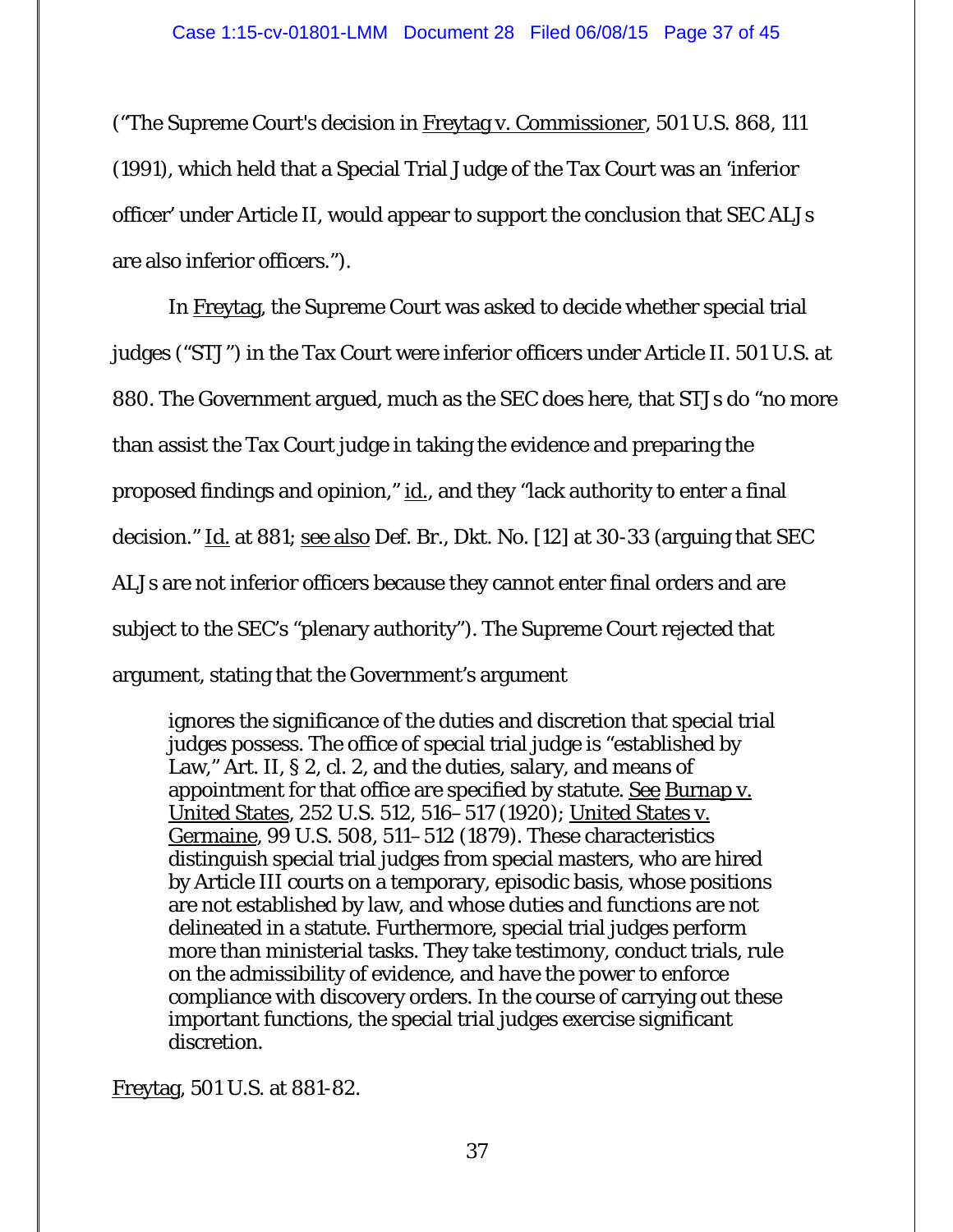("The Supreme Court's decision in Freytag v. Commissioner*,* 501 U.S. 868, 111 (1991), which held that a Special Trial Judge of the Tax Court was an 'inferior officer' under Article II, would appear to support the conclusion that SEC ALJs are also inferior officers.").

 In Freytag, the Supreme Court was asked to decide whether special trial judges ("STJ") in the Tax Court were inferior officers under Article II. 501 U.S. at 880. The Government argued, much as the SEC does here, that STJs do "no more than assist the Tax Court judge in taking the evidence and preparing the proposed findings and opinion," id., and they "lack authority to enter a final decision." Id. at 881; see also Def. Br., Dkt. No. [12] at 30-33 (arguing that SEC ALJs are not inferior officers because they cannot enter final orders and are subject to the SEC's "plenary authority"). The Supreme Court rejected that argument, stating that the Government's argument

ignores the significance of the duties and discretion that special trial judges possess. The office of special trial judge is "established by Law," Art. II, § 2, cl. 2, and the duties, salary, and means of appointment for that office are specified by statute. See Burnap v. United States*,* 252 U.S. 512, 516–517 (1920); United States v. Germaine*,* 99 U.S. 508, 511–512 (1879). These characteristics distinguish special trial judges from special masters, who are hired by Article III courts on a temporary, episodic basis, whose positions are not established by law, and whose duties and functions are not delineated in a statute. Furthermore, special trial judges perform more than ministerial tasks. They take testimony, conduct trials, rule on the admissibility of evidence, and have the power to enforce compliance with discovery orders. In the course of carrying out these important functions, the special trial judges exercise significant discretion.

Freytag, 501 U.S. at 881-82.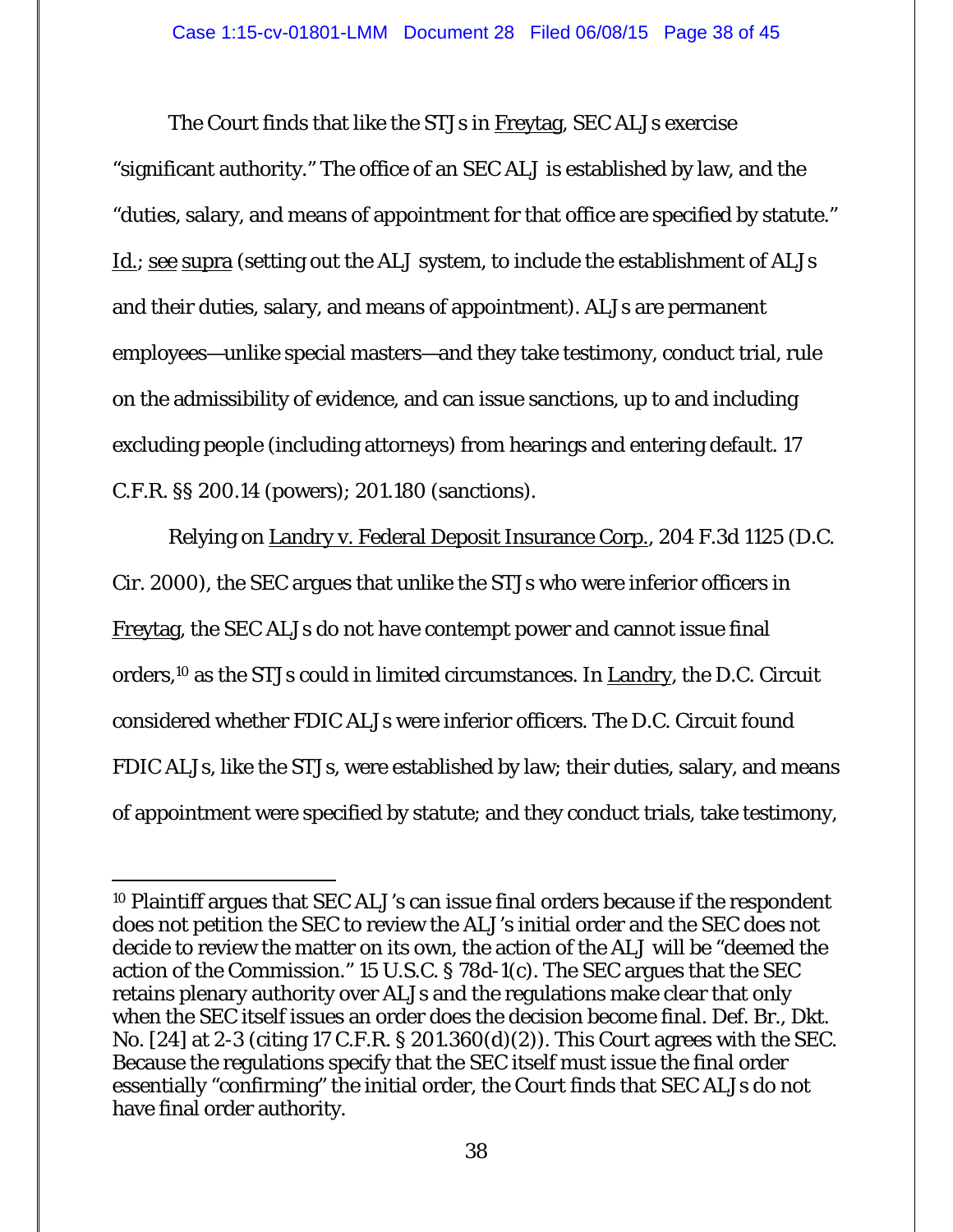The Court finds that like the STJs in Freytag, SEC ALJs exercise "significant authority." The office of an SEC ALJ is established by law, and the "duties, salary, and means of appointment for that office are specified by statute." Id.; see supra (setting out the ALJ system, to include the establishment of ALJs and their duties, salary, and means of appointment). ALJs are permanent employees—unlike special masters—and they take testimony, conduct trial, rule on the admissibility of evidence, and can issue sanctions, up to and including excluding people (including attorneys) from hearings and entering default. 17 C.F.R. §§ 200.14 (powers); 201.180 (sanctions).

 Relying on Landry v. Federal Deposit Insurance Corp., 204 F.3d 1125 (D.C. Cir. 2000), the SEC argues that unlike the STJs who were inferior officers in Freytag, the SEC ALJs do not have contempt power and cannot issue final orders,10 as the STJs could in limited circumstances. In Landry, the D.C. Circuit considered whether FDIC ALJs were inferior officers. The D.C. Circuit found FDIC ALJs, like the STJs, were established by law; their duties, salary, and means of appointment were specified by statute; and they conduct trials, take testimony,

-

<sup>10</sup> Plaintiff argues that SEC ALJ's can issue final orders because if the respondent does not petition the SEC to review the ALJ's initial order and the SEC does not decide to review the matter on its own, the action of the ALJ will be "deemed the action of the Commission." 15 U.S.C. § 78d-1(c). The SEC argues that the SEC retains plenary authority over ALJs and the regulations make clear that only when the SEC itself issues an order does the decision become final. Def. Br., Dkt. No. [24] at 2-3 (citing 17 C.F.R. § 201.360(d)(2)). This Court agrees with the SEC. Because the regulations specify that the SEC itself must issue the final order essentially "confirming" the initial order, the Court finds that SEC ALJs do not have final order authority.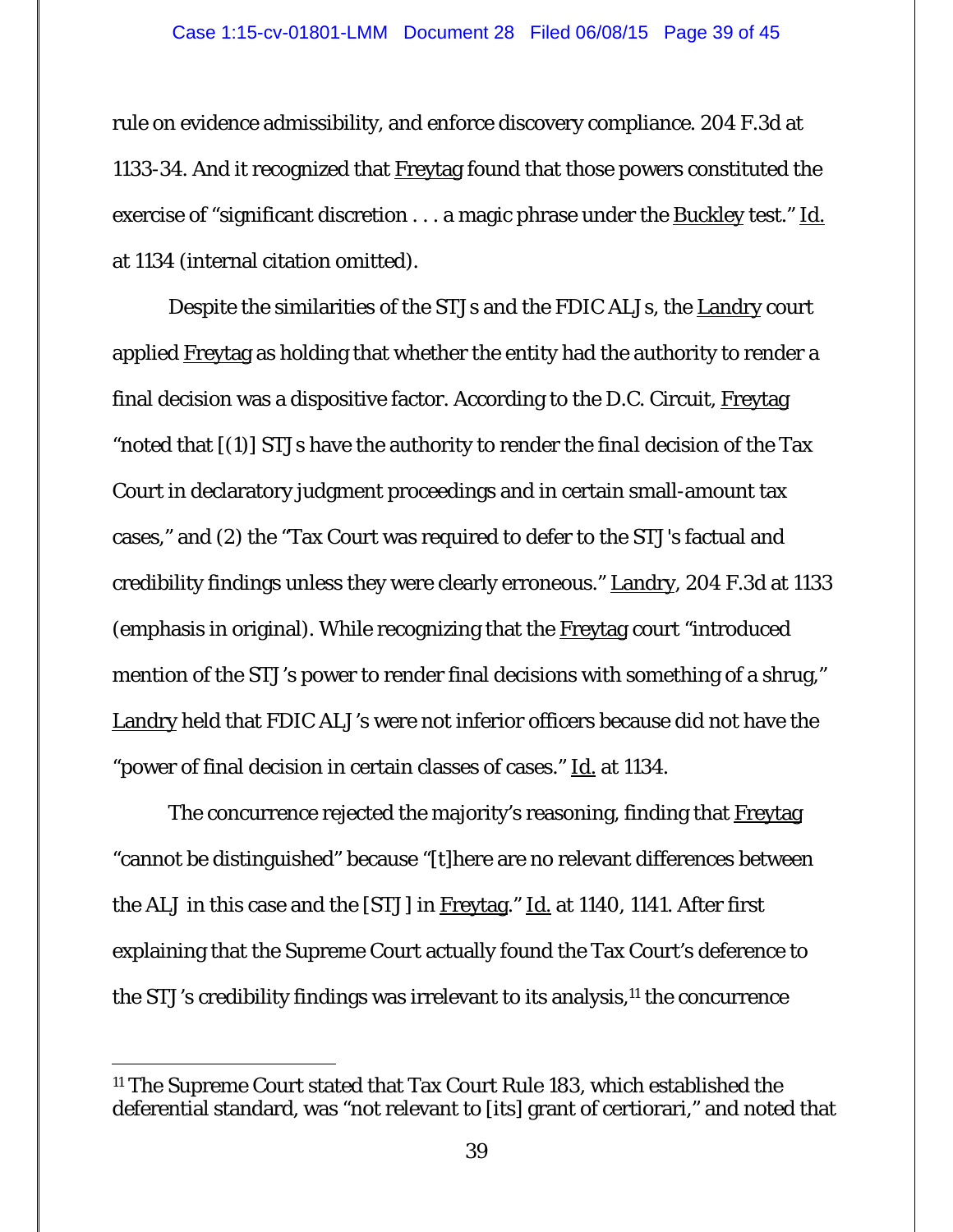#### Case 1:15-cv-01801-LMM Document 28 Filed 06/08/15 Page 39 of 45

rule on evidence admissibility, and enforce discovery compliance. 204 F.3d at 1133-34. And it recognized that Freytag found that those powers constituted the exercise of "significant discretion . . . a magic phrase under the Buckley test." Id. at 1134 (internal citation omitted).

Despite the similarities of the STJs and the FDIC ALJs, the Landry court applied Freytag as holding that whether the entity had the authority to render a final decision was a dispositive factor. According to the D.C. Circuit, Freytag "noted that [(1)] STJs have the authority to render the *final* decision of the Tax Court in declaratory judgment proceedings and in certain small-amount tax cases," and (2) the "Tax Court was required to defer to the STJ's factual and credibility findings unless they were clearly erroneous." Landry, 204 F.3d at 1133 (emphasis in original). While recognizing that the Freytag court "introduced mention of the STJ's power to render final decisions with something of a shrug," Landry held that FDIC ALJ's were not inferior officers because did not have the "power of final decision in certain classes of cases." Id. at 1134.

 The concurrence rejected the majority's reasoning, finding that Freytag "cannot be distinguished" because "[t]here are no relevant differences between the ALJ in this case and the [STJ] in Freytag." Id. at 1140, 1141. After first explaining that the Supreme Court actually found the Tax Court's deference to the STJ's credibility findings was irrelevant to its analysis,11 the concurrence

-

<sup>11</sup> The Supreme Court stated that Tax Court Rule 183, which established the deferential standard, was "not relevant to [its] grant of certiorari," and noted that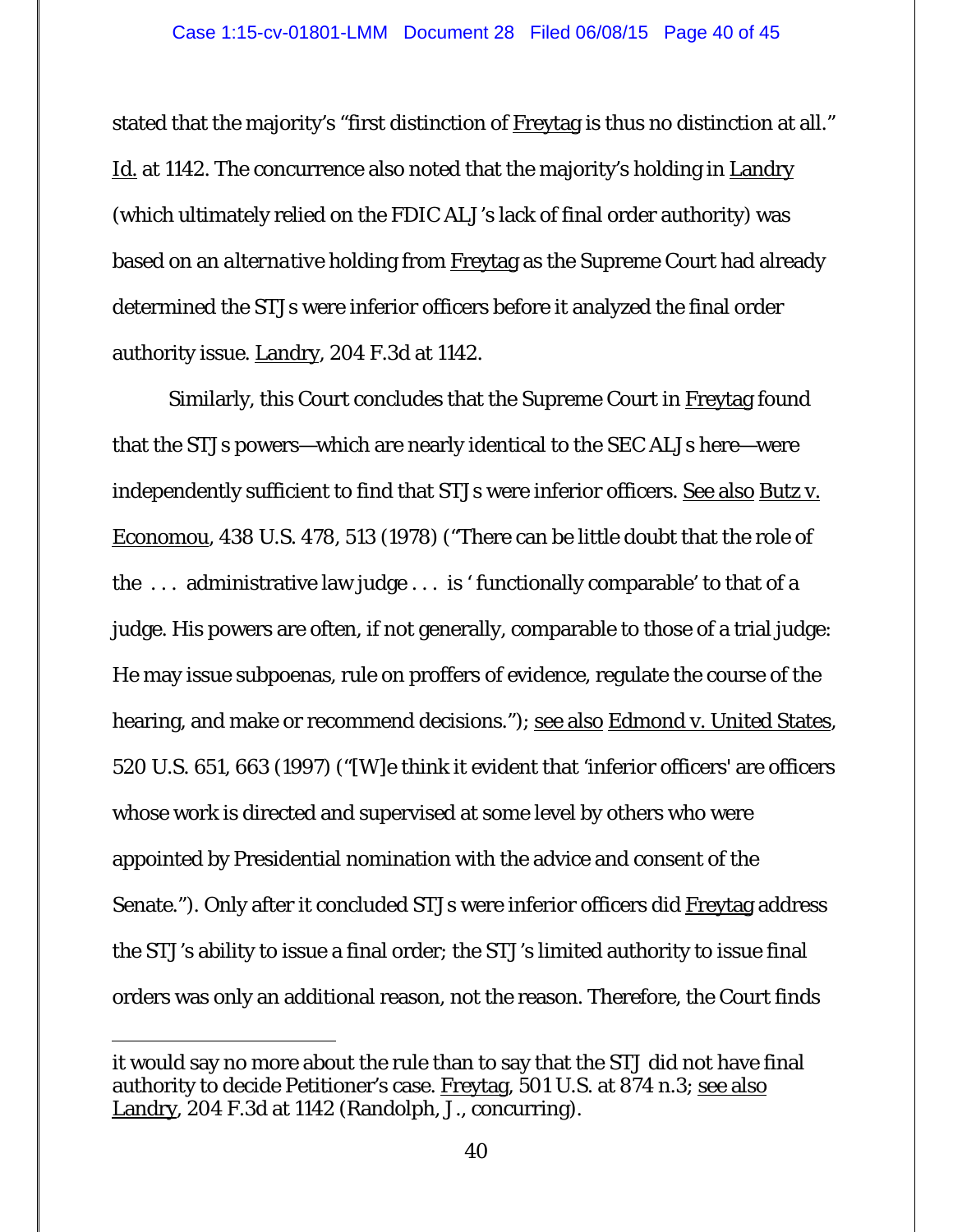stated that the majority's "first distinction of Freytag is thus no distinction at all." Id. at 1142. The concurrence also noted that the majority's holding in Landry (which ultimately relied on the FDIC ALJ's lack of final order authority) was based on an *alternative* holding from Freytag as the Supreme Court had already determined the STJs were inferior officers before it analyzed the final order authority issue. Landry, 204 F.3d at 1142.

 Similarly, this Court concludes that the Supreme Court in Freytag found that the STJs powers—which are nearly identical to the SEC ALJs here—were independently sufficient to find that STJs were inferior officers. See also Butz v. Economou, 438 U.S. 478, 513 (1978) ("There can be little doubt that the role of the . . . administrative law judge . . . is ' functionally comparable' to that of a judge. His powers are often, if not generally, comparable to those of a trial judge: He may issue subpoenas, rule on proffers of evidence, regulate the course of the hearing, and make or recommend decisions."); see also Edmond v. United States*,* 520 U.S. 651, 663 (1997) ("[W]e think it evident that 'inferior officers' are officers whose work is directed and supervised at some level by others who were appointed by Presidential nomination with the advice and consent of the Senate."). Only after it concluded STJs were inferior officers did Freytag address the STJ's ability to issue a final order; the STJ's limited authority to issue final orders was only an additional reason, not *the* reason. Therefore, the Court finds

 $\overline{a}$ 

it would say no more about the rule than to say that the STJ did not have final authority to decide Petitioner's case. Freytag, 501 U.S. at 874 n.3; see also Landry, 204 F.3d at 1142 (Randolph, J., concurring).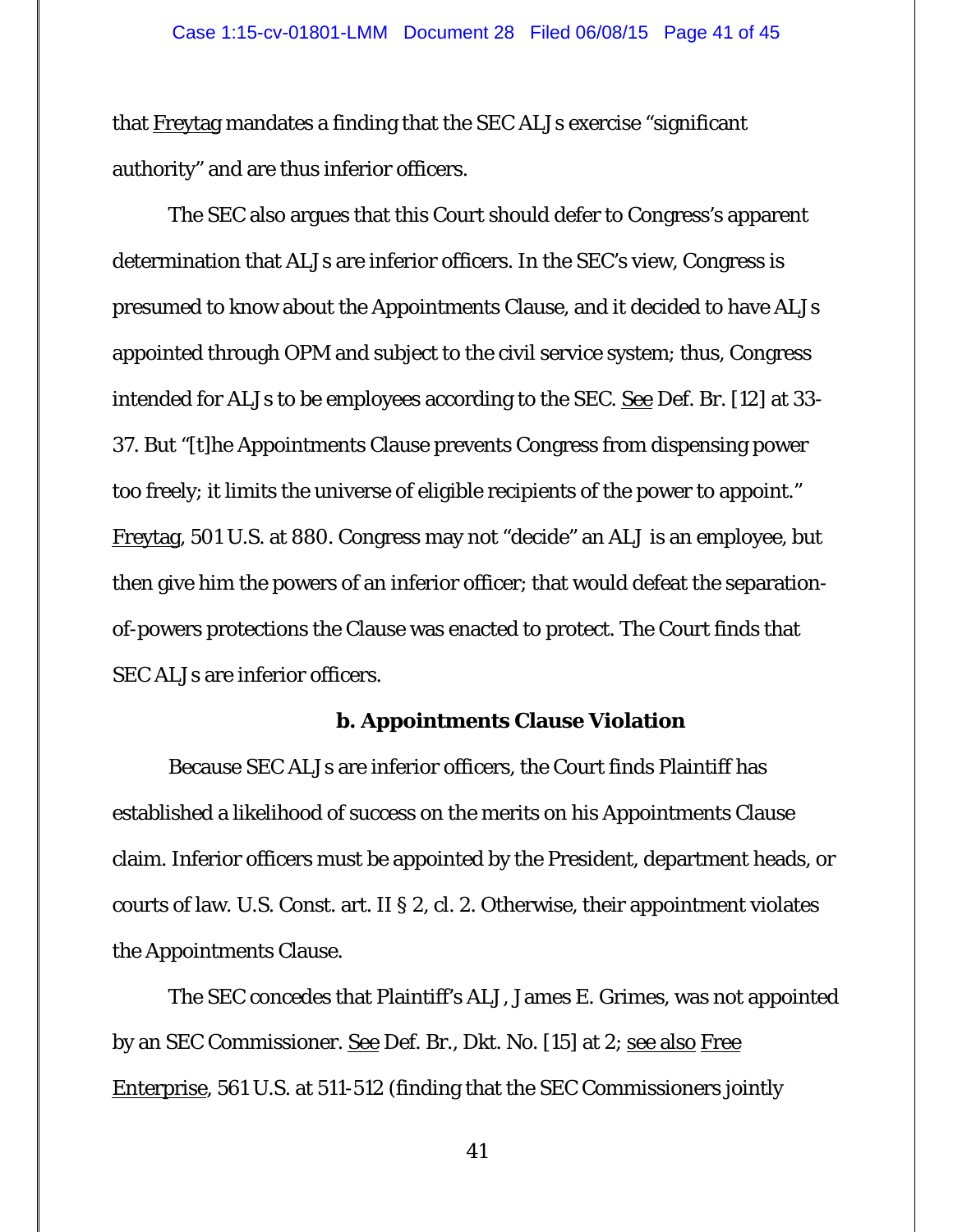that Freytag mandates a finding that the SEC ALJs exercise "significant authority" and are thus inferior officers.

 The SEC also argues that this Court should defer to Congress's apparent determination that ALJs are inferior officers. In the SEC's view, Congress is presumed to know about the Appointments Clause, and it decided to have ALJs appointed through OPM and subject to the civil service system; thus, Congress intended for ALJs to be employees according to the SEC. <u>See</u> Def. Br. [12] at 33-37. But "[t]he Appointments Clause prevents Congress from dispensing power too freely; it limits the universe of eligible recipients of the power to appoint." Freytag, 501 U.S. at 880. Congress may not "decide" an ALJ is an employee, but then give him the powers of an inferior officer; that would defeat the separationof-powers protections the Clause was enacted to protect. The Court finds that SEC ALJs are inferior officers.

#### **b. Appointments Clause Violation**

 Because SEC ALJs are inferior officers, the Court finds Plaintiff has established a likelihood of success on the merits on his Appointments Clause claim. Inferior officers must be appointed by the President, department heads, or courts of law. U.S. Const. art. II § 2, cl. 2. Otherwise, their appointment violates the Appointments Clause.

The SEC concedes that Plaintiff's ALJ, James E. Grimes, was not appointed by an SEC Commissioner. See Def. Br., Dkt. No. [15] at 2; see also Free Enterprise, 561 U.S. at 511-512 (finding that the SEC Commissioners jointly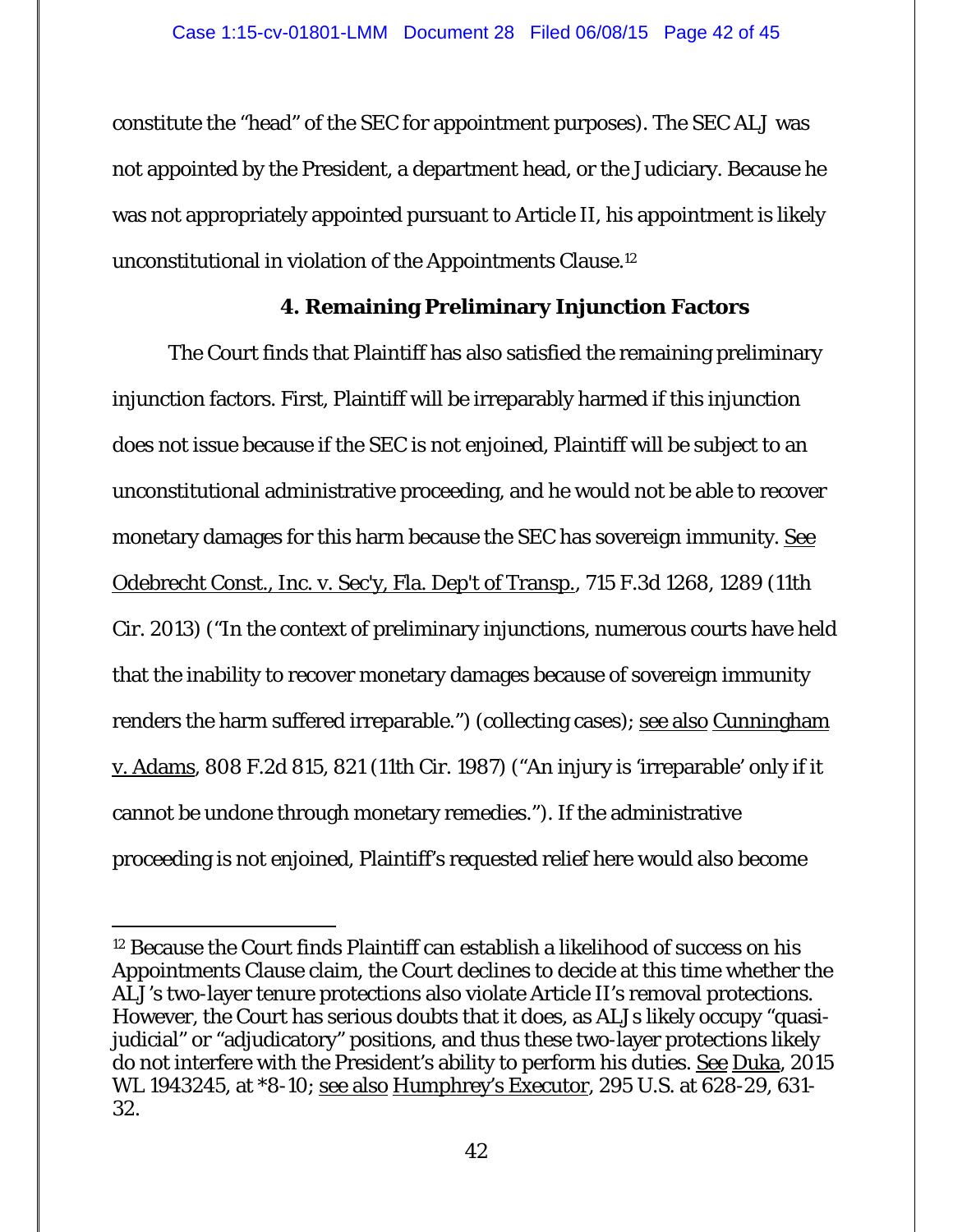constitute the "head" of the SEC for appointment purposes). The SEC ALJ was not appointed by the President, a department head, or the Judiciary. Because he was not appropriately appointed pursuant to Article II, his appointment is likely unconstitutional in violation of the Appointments Clause.12

## **4. Remaining Preliminary Injunction Factors**

 The Court finds that Plaintiff has also satisfied the remaining preliminary injunction factors. First, Plaintiff will be irreparably harmed if this injunction does not issue because if the SEC is not enjoined, Plaintiff will be subject to an unconstitutional administrative proceeding, and he would not be able to recover monetary damages for this harm because the SEC has sovereign immunity. See Odebrecht Const., Inc. v. Sec'y, Fla. Dep't of Transp., 715 F.3d 1268, 1289 (11th Cir. 2013) ("In the context of preliminary injunctions, numerous courts have held that the inability to recover monetary damages because of sovereign immunity renders the harm suffered irreparable.") (collecting cases); see also Cunningham v. Adams, 808 F.2d 815, 821 (11th Cir. 1987) ("An injury is 'irreparable' only if it cannot be undone through monetary remedies."). If the administrative proceeding is not enjoined, Plaintiff's requested relief here would also become

-

<sup>12</sup> Because the Court finds Plaintiff can establish a likelihood of success on his Appointments Clause claim, the Court declines to decide at this time whether the ALJ's two-layer tenure protections also violate Article II's removal protections. However, the Court has serious doubts that it does, as ALJs likely occupy "quasijudicial" or "adjudicatory" positions, and thus these two-layer protections likely do not interfere with the President's ability to perform his duties. See Duka, 2015 WL 1943245, at \*8-10; see also Humphrey's Executor, 295 U.S. at 628-29, 631- 32.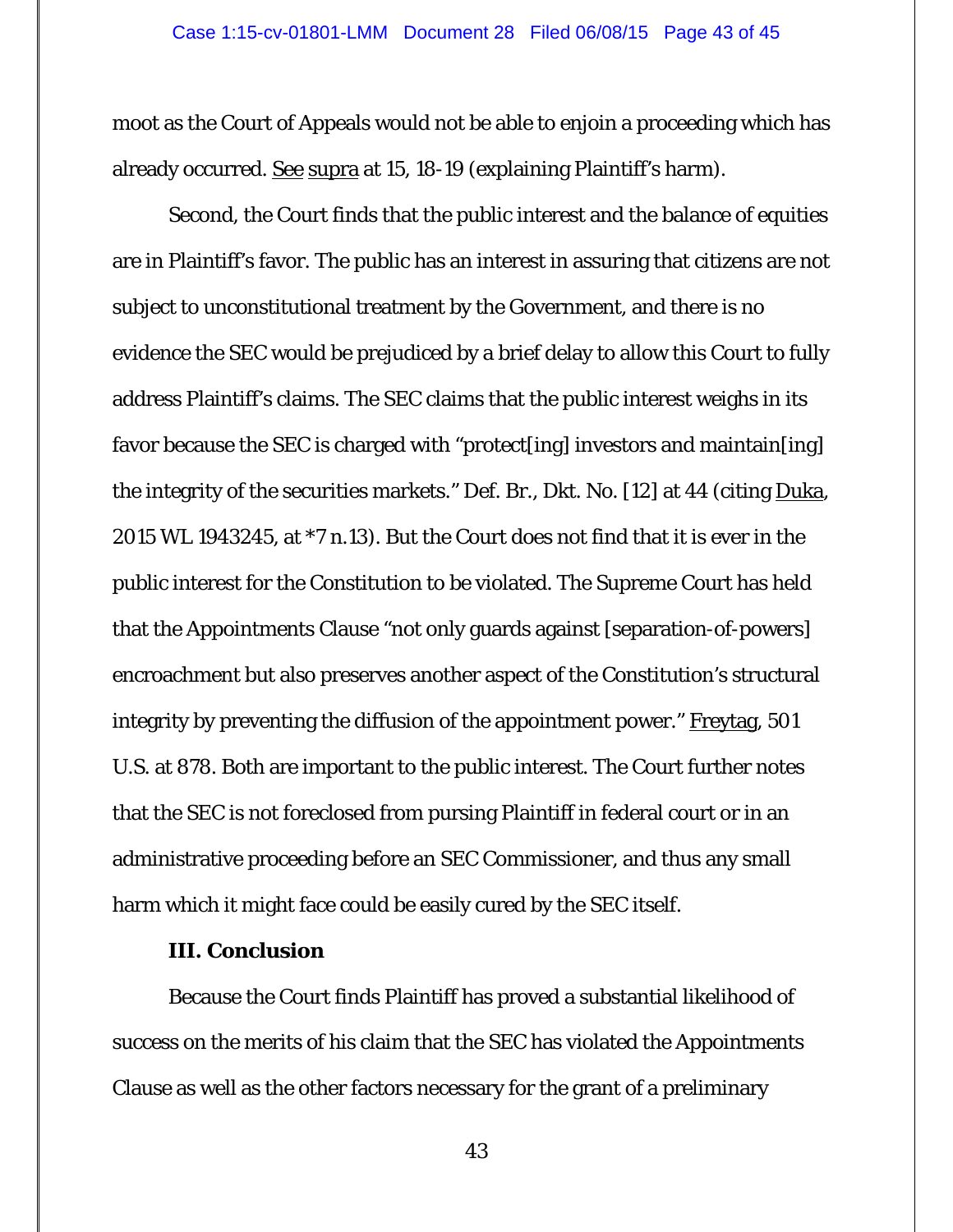moot as the Court of Appeals would not be able to enjoin a proceeding which has already occurred. See supra at 15, 18-19 (explaining Plaintiff's harm).

 Second, the Court finds that the public interest and the balance of equities are in Plaintiff's favor. The public has an interest in assuring that citizens are not subject to unconstitutional treatment by the Government, and there is no evidence the SEC would be prejudiced by a brief delay to allow this Court to fully address Plaintiff's claims. The SEC claims that the public interest weighs in its favor because the SEC is charged with "protect[ing] investors and maintain[ing] the integrity of the securities markets." Def. Br., Dkt. No. [12] at 44 (citing Duka, 2015 WL 1943245, at \*7 n.13). But the Court does not find that it is ever in the public interest for the Constitution to be violated. The Supreme Court has held that the Appointments Clause "not only guards against [separation-of-powers] encroachment but also preserves another aspect of the Constitution's structural integrity by preventing the diffusion of the appointment power." Freytag, 501 U.S. at 878. Both are important to the public interest. The Court further notes that the SEC is not foreclosed from pursing Plaintiff in federal court or in an administrative proceeding before an SEC Commissioner, and thus any small harm which it might face could be easily cured by the SEC itself.

## **III. Conclusion**

 Because the Court finds Plaintiff has proved a substantial likelihood of success on the merits of his claim that the SEC has violated the Appointments Clause as well as the other factors necessary for the grant of a preliminary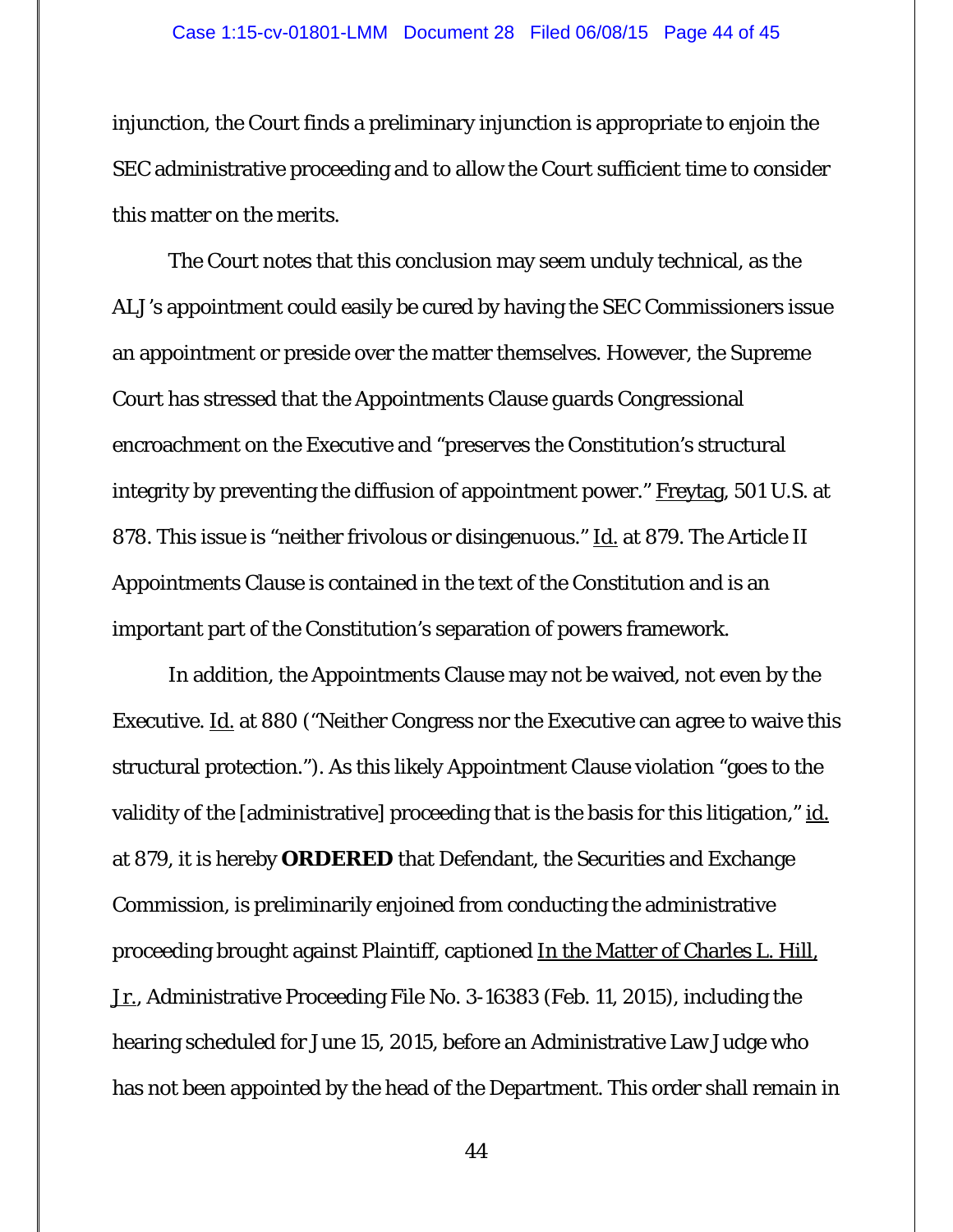injunction, the Court finds a preliminary injunction is appropriate to enjoin the SEC administrative proceeding and to allow the Court sufficient time to consider this matter on the merits.

The Court notes that this conclusion may seem unduly technical, as the ALJ's appointment could easily be cured by having the SEC Commissioners issue an appointment or preside over the matter themselves. However, the Supreme Court has stressed that the Appointments Clause guards Congressional encroachment on the Executive and "preserves the Constitution's structural integrity by preventing the diffusion of appointment power." Freytag, 501 U.S. at 878. This issue is "neither frivolous or disingenuous." Id. at 879. The Article II Appointments Clause is contained in the text of the Constitution and is an important part of the Constitution's separation of powers framework.

In addition, the Appointments Clause may not be waived, not even by the Executive. Id. at 880 ("Neither Congress nor the Executive can agree to waive this structural protection."). As this likely Appointment Clause violation "goes to the validity of the [administrative] proceeding that is the basis for this litigation," id. at 879, it is hereby **ORDERED** that Defendant, the Securities and Exchange Commission, is preliminarily enjoined from conducting the administrative proceeding brought against Plaintiff, captioned In the Matter of Charles L. Hill, Jr., Administrative Proceeding File No. 3-16383 (Feb. 11, 2015), including the hearing scheduled for June 15, 2015, before an Administrative Law Judge who has not been appointed by the head of the Department. This order shall remain in